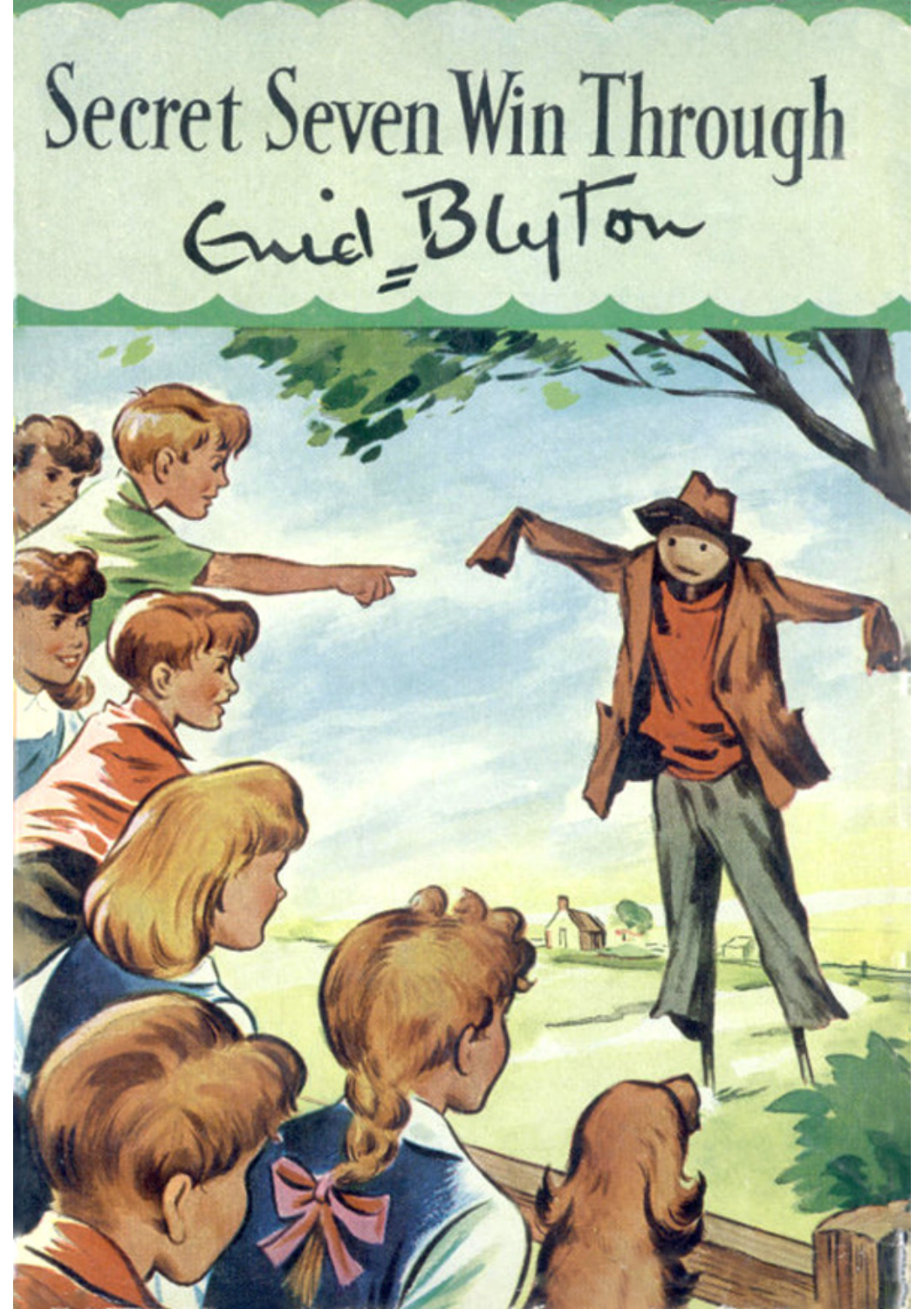# Secret Seven Win Through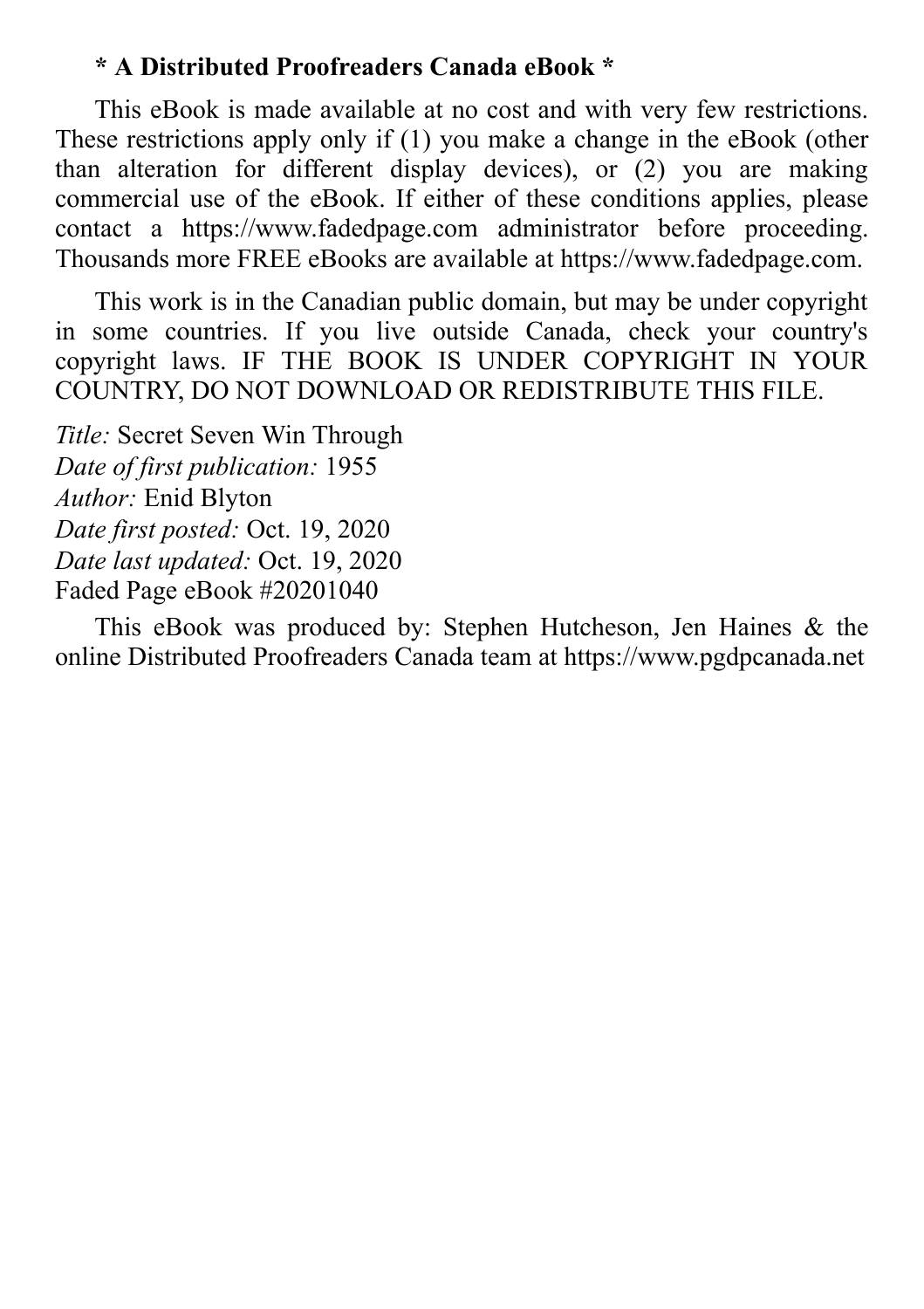#### **\* A Distributed Proofreaders Canada eBook \***

This eBook is made available at no cost and with very few restrictions. These restrictions apply only if (1) you make a change in the eBook (other than alteration for different display devices), or (2) you are making commercial use of the eBook. If either of these conditions applies, please contact a https://www.fadedpage.com administrator before proceeding. Thousands more FREE eBooks are available at https://www.fadedpage.com.

This work is in the Canadian public domain, but may be under copyright in some countries. If you live outside Canada, check your country's copyright laws. IF THE BOOK IS UNDER COPYRIGHT IN YOUR COUNTRY, DO NOT DOWNLOAD OR REDISTRIBUTE THIS FILE.

*Title:* Secret Seven Win Through *Date of first publication:* 1955 *Author:* Enid Blyton *Date first posted:* Oct. 19, 2020 *Date last updated:* Oct. 19, 2020 Faded Page eBook #20201040

This eBook was produced by: Stephen Hutcheson, Jen Haines & the online Distributed Proofreaders Canada team at https://www.pgdpcanada.net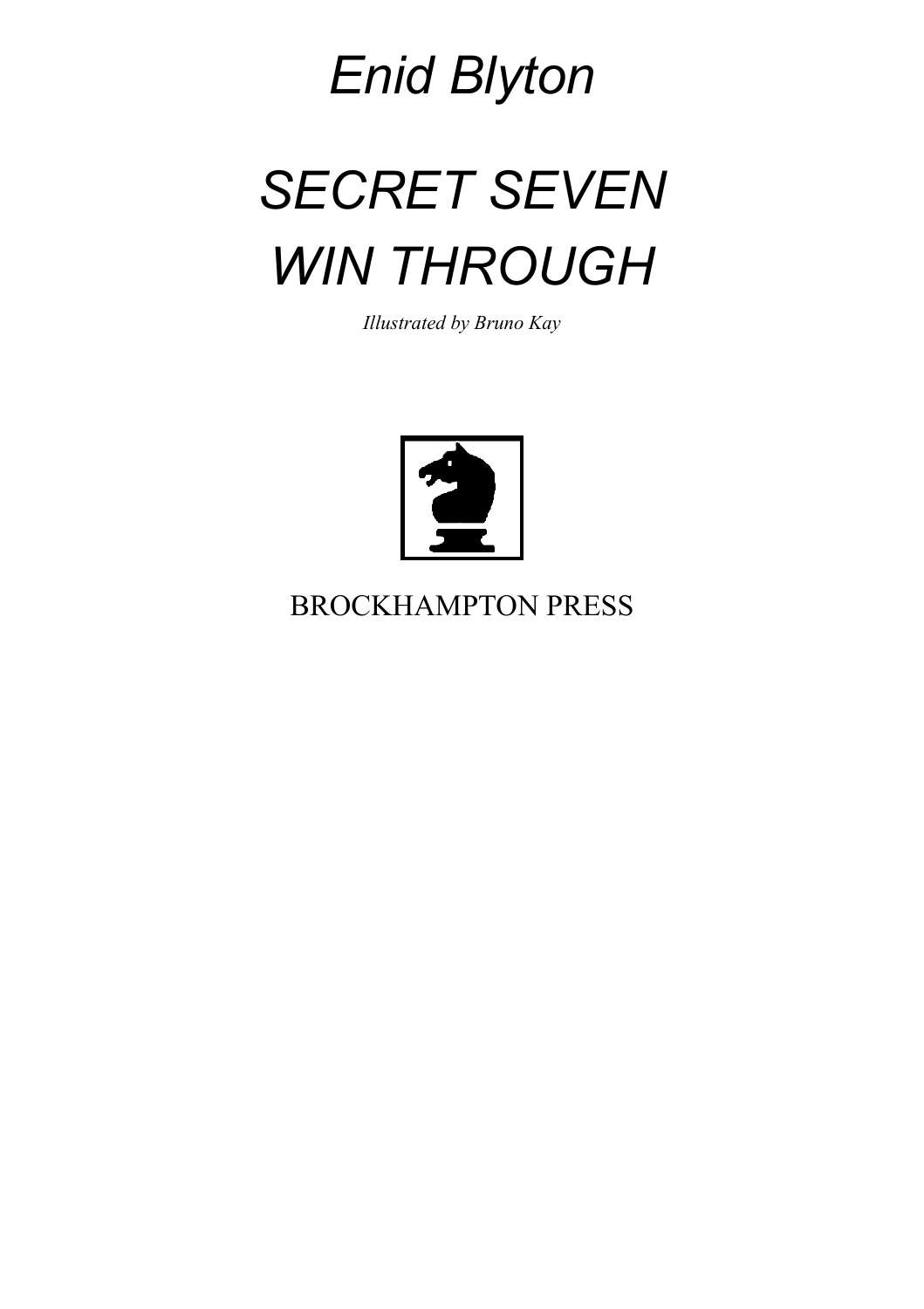## *Enid Blyton*

# *SECRET SEVEN WIN THROUGH*

*Illustrated by Bruno Kay*



### BROCKHAMPTON PRESS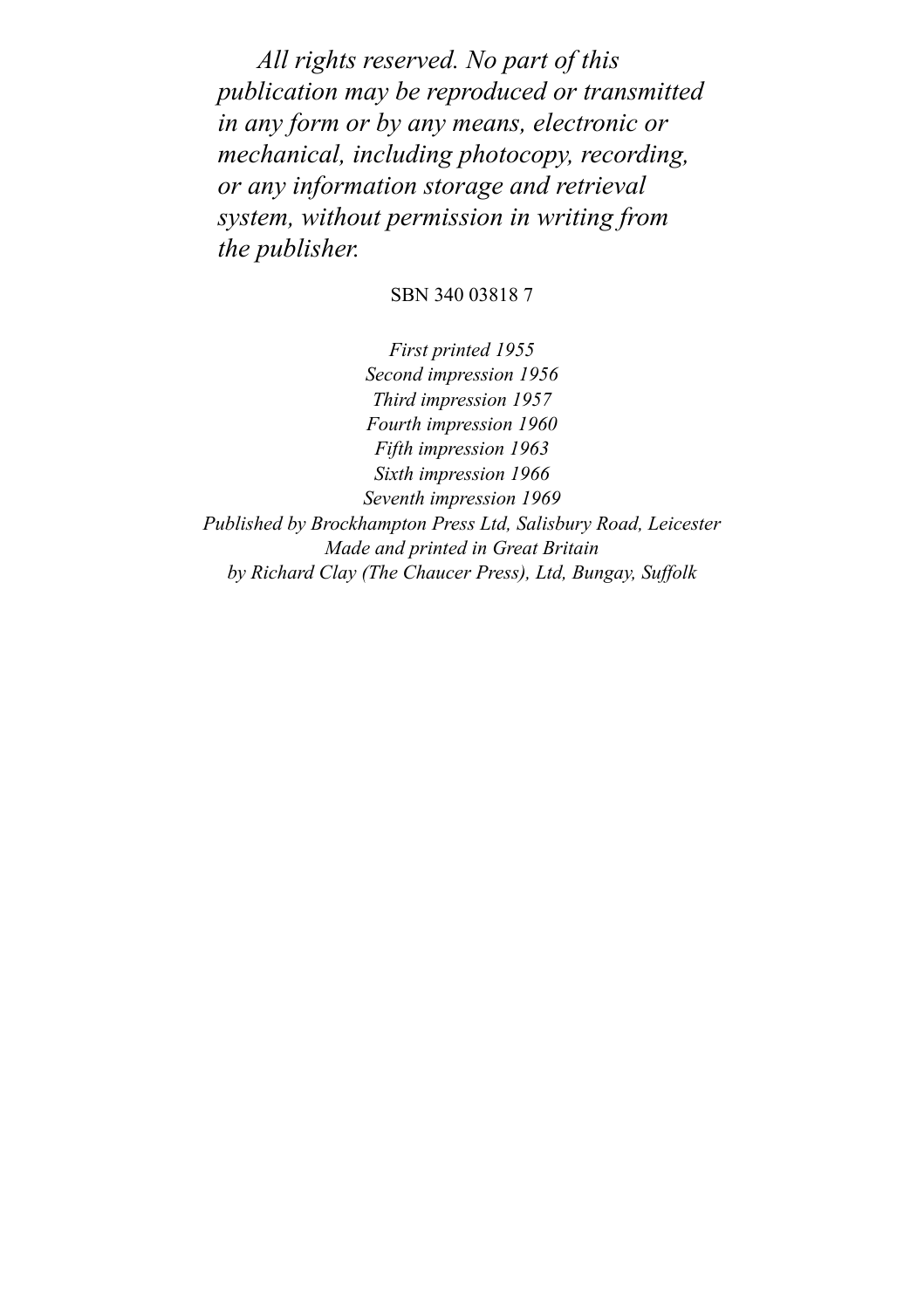*All rights reserved. No part of this publication may be reproduced or transmitted in any form or by any means, electronic or mechanical, including photocopy, recording, or any information storage and retrieval system, without permission in writing from the publisher.*

SBN 340 03818 7

*First printed 1955 Second impression 1956 Third impression 1957 Fourth impression 1960 Fifth impression 1963 Sixth impression 1966 Seventh impression 1969 Published by Brockhampton Press Ltd, Salisbury Road, Leicester Made and printed in Great Britain by Richard Clay (The Chaucer Press), Ltd, Bungay, Suffolk*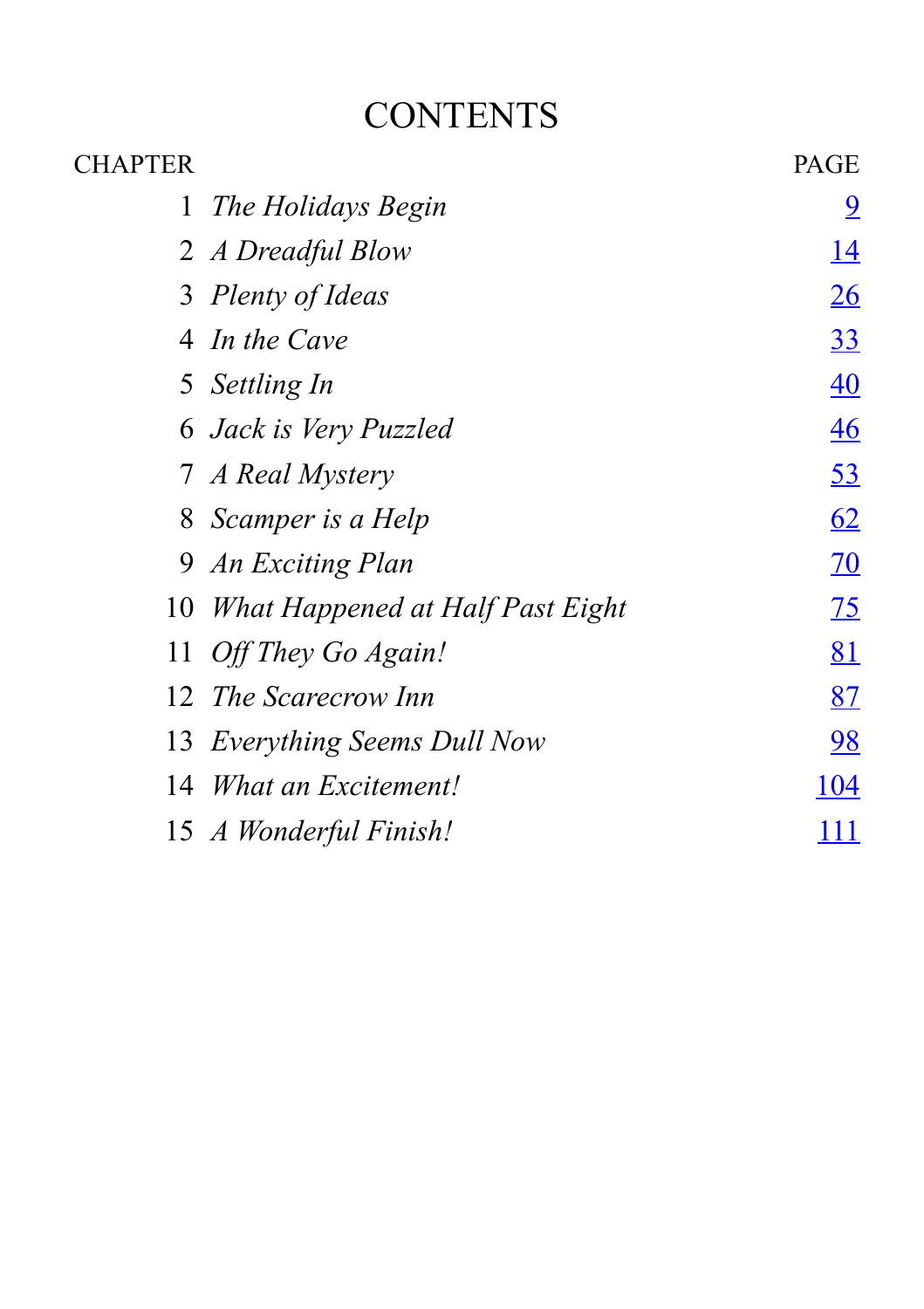## **CONTENTS**

| <b>CHAPTER</b> |                                  | <b>PAGE</b>    |
|----------------|----------------------------------|----------------|
| $\mathbf{1}$   | The Holidays Begin               | $\overline{9}$ |
|                | 2 A Dreadful Blow                | <u> 14</u>     |
|                | 3 Plenty of Ideas                | <u>26</u>      |
|                | 4 In the Cave                    | <u>33</u>      |
|                | 5 Settling In                    | <u>40</u>      |
|                | 6 Jack is Very Puzzled           | <u>46</u>      |
|                | 7 A Real Mystery                 | <u>53</u>      |
|                | 8 Scamper is a Help              | <u>62</u>      |
| 9              | An Exciting Plan                 | <u>70</u>      |
| 10             | What Happened at Half Past Eight | <u>75</u>      |
|                | 11 Off They Go Again!            | <u>81</u>      |
|                | 12 The Scarecrow Inn             | <u>87</u>      |
|                | 13 Everything Seems Dull Now     | <u>98</u>      |
| 14             | <i>What an Excitement!</i>       | <u> 104</u>    |
|                | 15 A Wonderful Finish!           | 111            |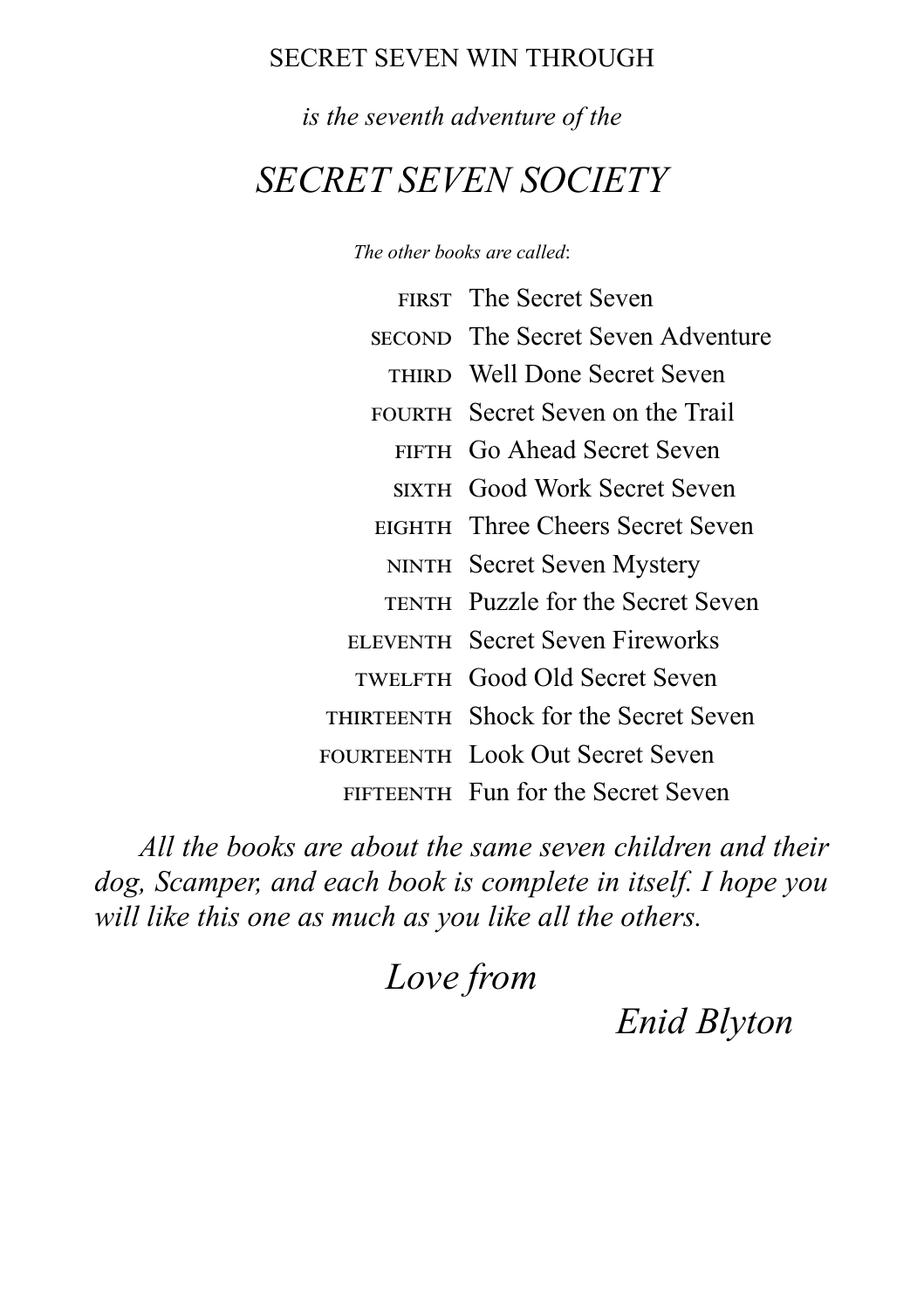#### SECRET SEVEN WIN THROUGH

*is the seventh adventure of the SECRET SEVEN SOCIETY*

*The other books are called*:

| FIRST The Secret Seven                       |
|----------------------------------------------|
| <b>SECOND</b> The Secret Seven Adventure     |
| <b>THIRD</b> Well Done Secret Seven          |
| FOURTH Secret Seven on the Trail             |
| FIFTH Go Ahead Secret Seven                  |
| SIXTH Good Work Secret Seven                 |
| EIGHTH Three Cheers Secret Seven             |
| <b>NINTH</b> Secret Seven Mystery            |
| <b>TENTH</b> Puzzle for the Secret Seven     |
| ELEVENTH Secret Seven Fireworks              |
| <b>TWELFTH Good Old Secret Seven</b>         |
| <b>THIRTEENTH</b> Shock for the Secret Seven |
| FOURTEENTH Look Out Secret Seven             |
| FIFTEENTH Fun for the Secret Seven           |

*All the books are about the same seven children and their dog, Scamper, and each book is complete in itself. I hope you will like this one as much as you like all the others.*

*Love from*

*Enid Blyton*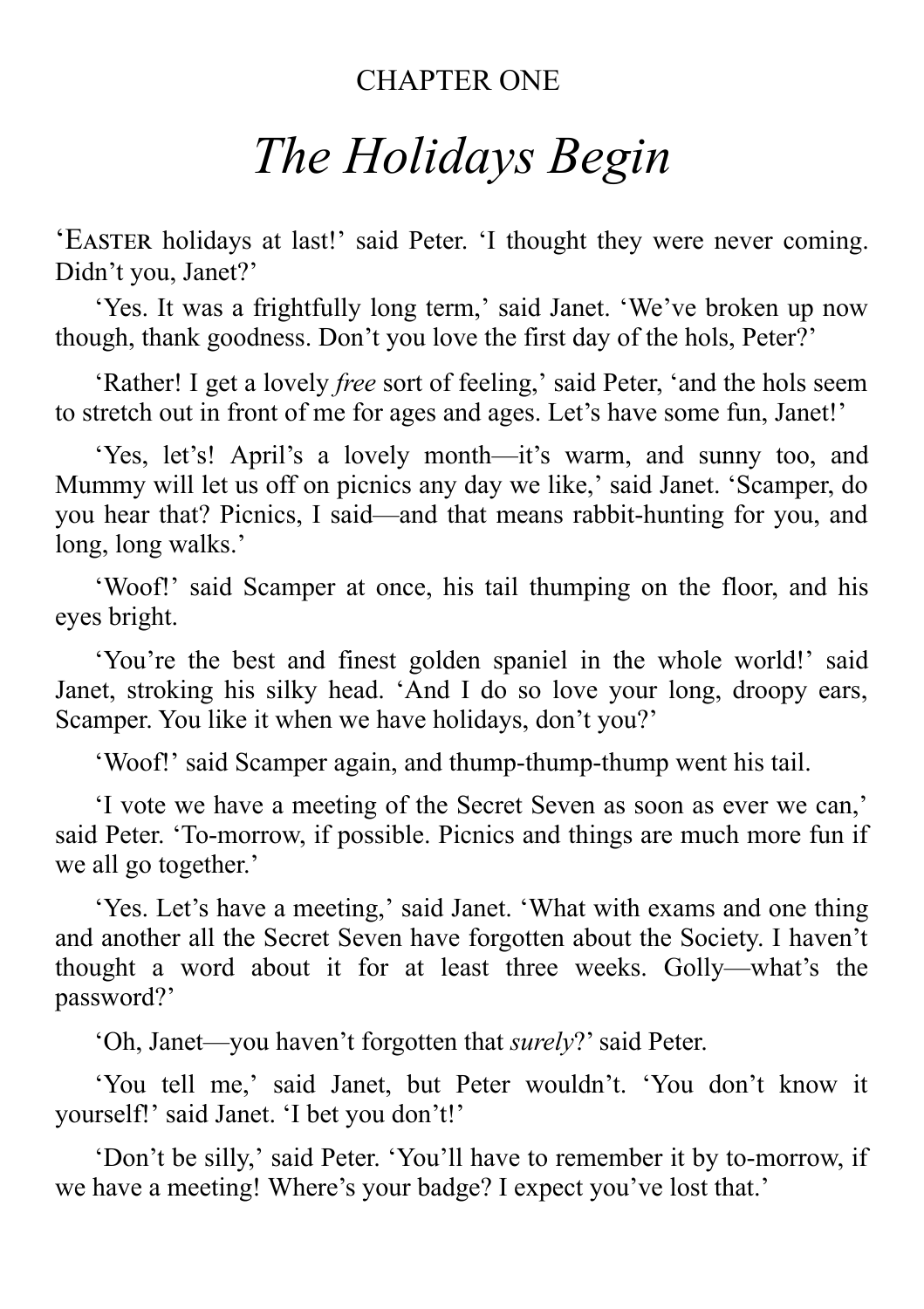#### CHAPTER ONE

## *The Holidays Begin*

<span id="page-6-0"></span>'EASTER holidays at last!' said Peter. 'I thought they were never coming. Didn't you, Janet?'

'Yes. It was a frightfully long term,' said Janet. 'We've broken up now though, thank goodness. Don't you love the first day of the hols, Peter?'

'Rather! I get a lovely *free* sort of feeling,' said Peter, 'and the hols seem to stretch out in front of me for ages and ages. Let's have some fun, Janet!'

'Yes, let's! April's a lovely month—it's warm, and sunny too, and Mummy will let us off on picnics any day we like,' said Janet. 'Scamper, do you hear that? Picnics, I said—and that means rabbit-hunting for you, and long, long walks.'

'Woof!' said Scamper at once, his tail thumping on the floor, and his eyes bright.

'You're the best and finest golden spaniel in the whole world!' said Janet, stroking his silky head. 'And I do so love your long, droopy ears, Scamper. You like it when we have holidays, don't you?'

'Woof!' said Scamper again, and thump-thump-thump went his tail.

'I vote we have a meeting of the Secret Seven as soon as ever we can,' said Peter. 'To-morrow, if possible. Picnics and things are much more fun if we all go together.'

'Yes. Let's have a meeting,' said Janet. 'What with exams and one thing and another all the Secret Seven have forgotten about the Society. I haven't thought a word about it for at least three weeks. Golly—what's the password?'

'Oh, Janet—you haven't forgotten that *surely*?'said Peter.

'You tell me,' said Janet, but Peter wouldn't. 'You don't know it yourself!' said Janet. 'I bet you don't!'

'Don't be silly,' said Peter. 'You'll have to remember it by to-morrow, if we have a meeting! Where's your badge? I expect you've lost that.'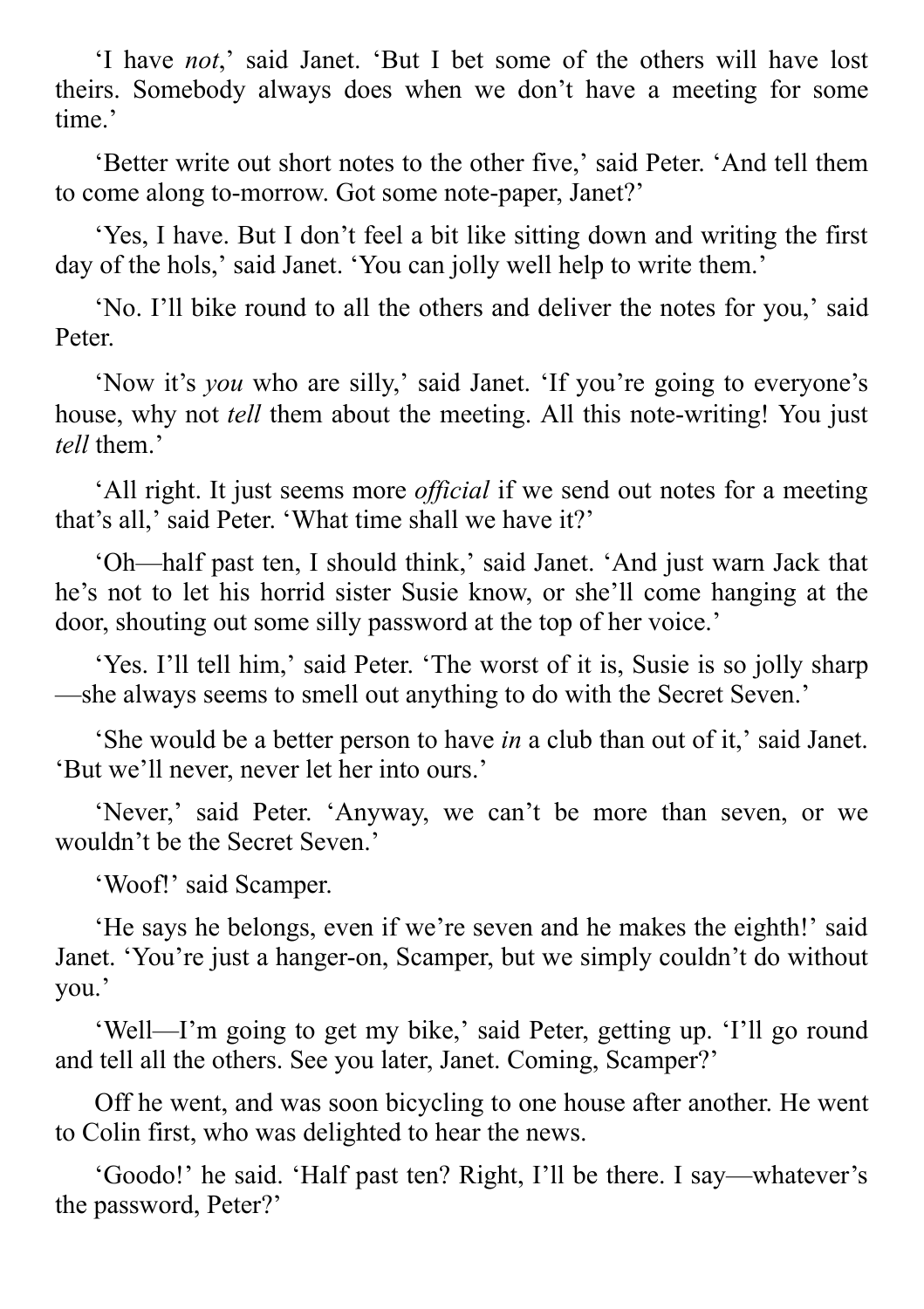'I have *not*,' said Janet. 'But I bet some of the others will have lost theirs. Somebody always does when we don't have a meeting for some time.'

'Better write out short notes to the other five,' said Peter. 'And tell them to come along to-morrow. Got some note-paper, Janet?'

'Yes, I have. But I don't feel a bit like sitting down and writing the first day of the hols,' said Janet. 'You can jolly well help to write them.'

'No. I'll bike round to all the others and deliver the notes for you,' said Peter.

'Now it's *you* who are silly,' said Janet. 'If you're going to everyone's house, why not *tell* them about the meeting. All this note-writing! You just *tell* them.'

'All right. It just seems more *official* if we send out notes for a meeting that's all,' said Peter. 'What time shall we have it?'

'Oh—half past ten, I should think,' said Janet. 'And just warn Jack that he's not to let his horrid sister Susie know, or she'll come hanging at the door, shouting out some silly password at the top of her voice.'

'Yes. I'll tell him,' said Peter. 'The worst of it is, Susie is so jolly sharp —she always seems to smell out anything to do with the Secret Seven.'

'She would be a better person to have *in* a club than out of it,' said Janet. 'But we'll never, never let her into ours.'

'Never,' said Peter. 'Anyway, we can't be more than seven, or we wouldn't be the Secret Seven.'

'Woof!' said Scamper.

'He says he belongs, even if we're seven and he makes the eighth!' said Janet. 'You're just a hanger-on, Scamper, but we simply couldn't do without you.'

'Well—I'm going to get my bike,' said Peter, getting up. 'I'll go round and tell all the others. See you later, Janet. Coming, Scamper?'

Off he went, and was soon bicycling to one house after another. He went to Colin first, who was delighted to hear the news.

'Goodo!' he said. 'Half past ten? Right, I'll be there. I say—whatever's the password, Peter?'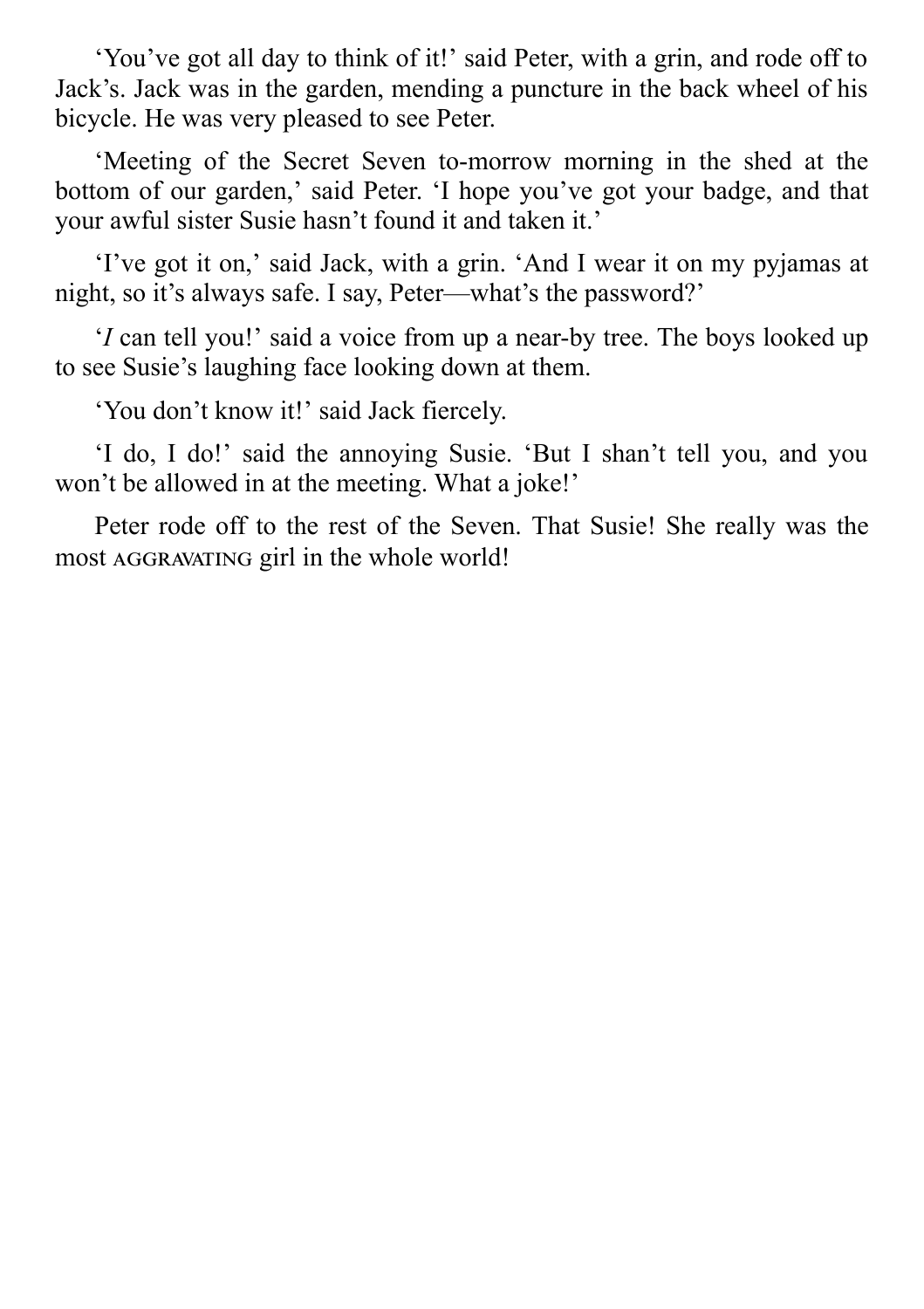'You've got all day to think of it!' said Peter, with a grin, and rode off to Jack's. Jack was in the garden, mending a puncture in the back wheel of his bicycle. He was very pleased to see Peter.

'Meeting of the Secret Seven to-morrow morning in the shed at the bottom of our garden,' said Peter. 'I hope you've got your badge, and that your awful sister Susie hasn't found it and taken it.'

'I've got it on,' said Jack, with a grin. 'And I wear it on my pyjamas at night, so it's always safe. I say, Peter—what's the password?'

'*I* can tell you!' said a voice from up a near-by tree. The boys looked up to see Susie's laughing face looking down at them.

'You don't know it!' said Jack fiercely.

'I do, I do!' said the annoying Susie. 'But I shan't tell you, and you won't be allowed in at the meeting. What a joke!'

Peter rode off to the rest of the Seven. That Susie! She really was the most AGGRAVATING girl in the whole world!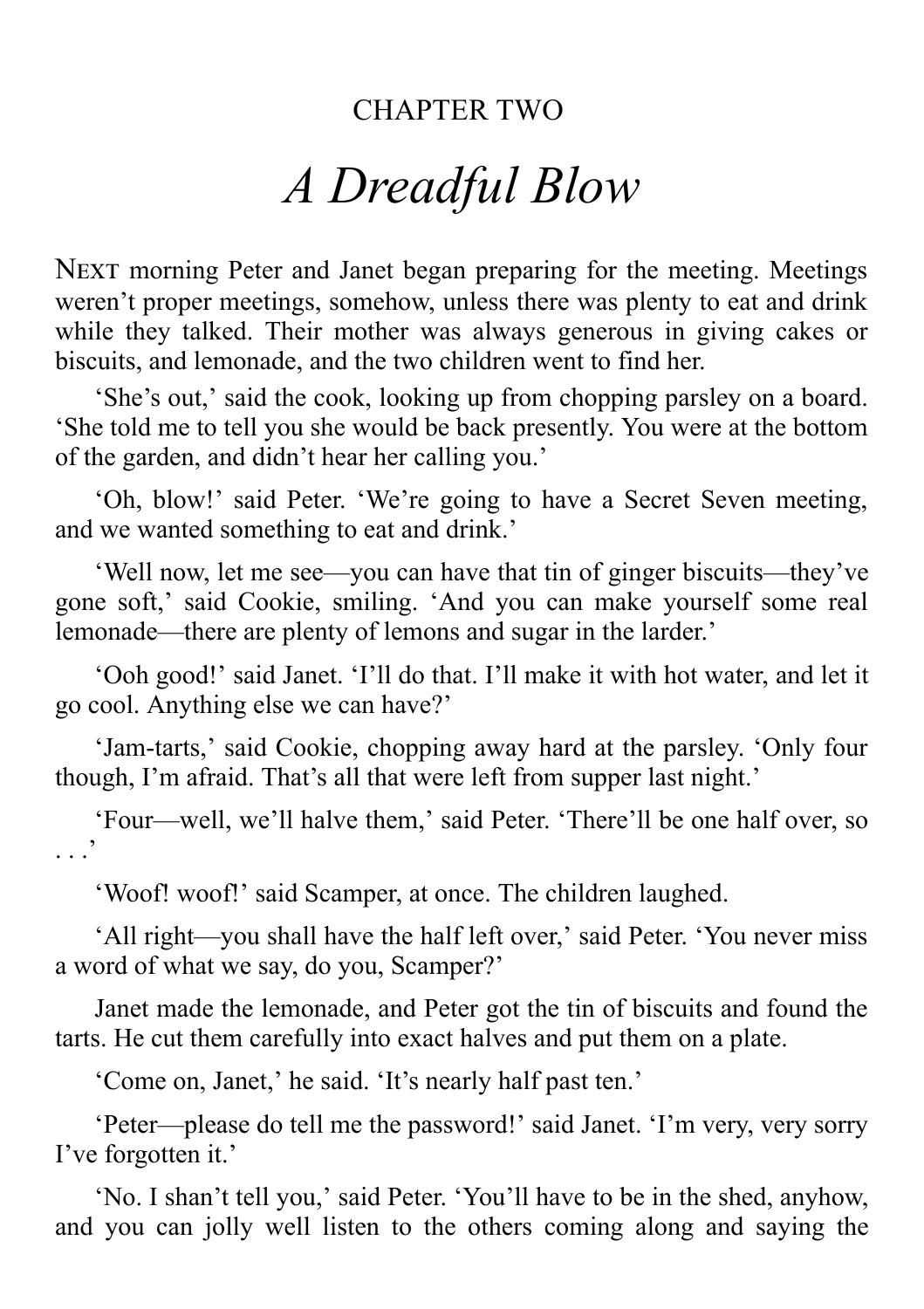#### CHAPTER TWO

## *A Dreadful Blow*

<span id="page-9-0"></span>NEXT morning Peter and Janet began preparing for the meeting. Meetings weren't proper meetings, somehow, unless there was plenty to eat and drink while they talked. Their mother was always generous in giving cakes or biscuits, and lemonade, and the two children went to find her.

'She's out,' said the cook, looking up from chopping parsley on a board. 'She told me to tell you she would be back presently. You were at the bottom of the garden, and didn't hear her calling you.'

'Oh, blow!' said Peter. 'We're going to have a Secret Seven meeting, and we wanted something to eat and drink.'

'Well now, let me see—you can have that tin of ginger biscuits—they've gone soft,' said Cookie, smiling. 'And you can make yourself some real lemonade—there are plenty of lemons and sugar in the larder.'

'Ooh good!' said Janet. 'I'll do that. I'll make it with hot water, and let it go cool. Anything else we can have?'

'Jam-tarts,' said Cookie, chopping away hard at the parsley. 'Only four though, I'm afraid. That's all that were left from supper last night.'

'Four—well, we'll halve them,' said Peter. 'There'll be one half over, so . . . <sup>.</sup>

'Woof! woof!' said Scamper, at once. The children laughed.

'All right—you shall have the half left over,' said Peter. 'You never miss a word of what we say, do you, Scamper?'

Janet made the lemonade, and Peter got the tin of biscuits and found the tarts. He cut them carefully into exact halves and put them on a plate.

'Come on, Janet,' he said. 'It's nearly half past ten.'

'Peter—please do tell me the password!' said Janet. 'I'm very, very sorry I've forgotten it.'

'No. I shan't tell you,' said Peter. 'You'll have to be in the shed, anyhow, and you can jolly well listen to the others coming along and saying the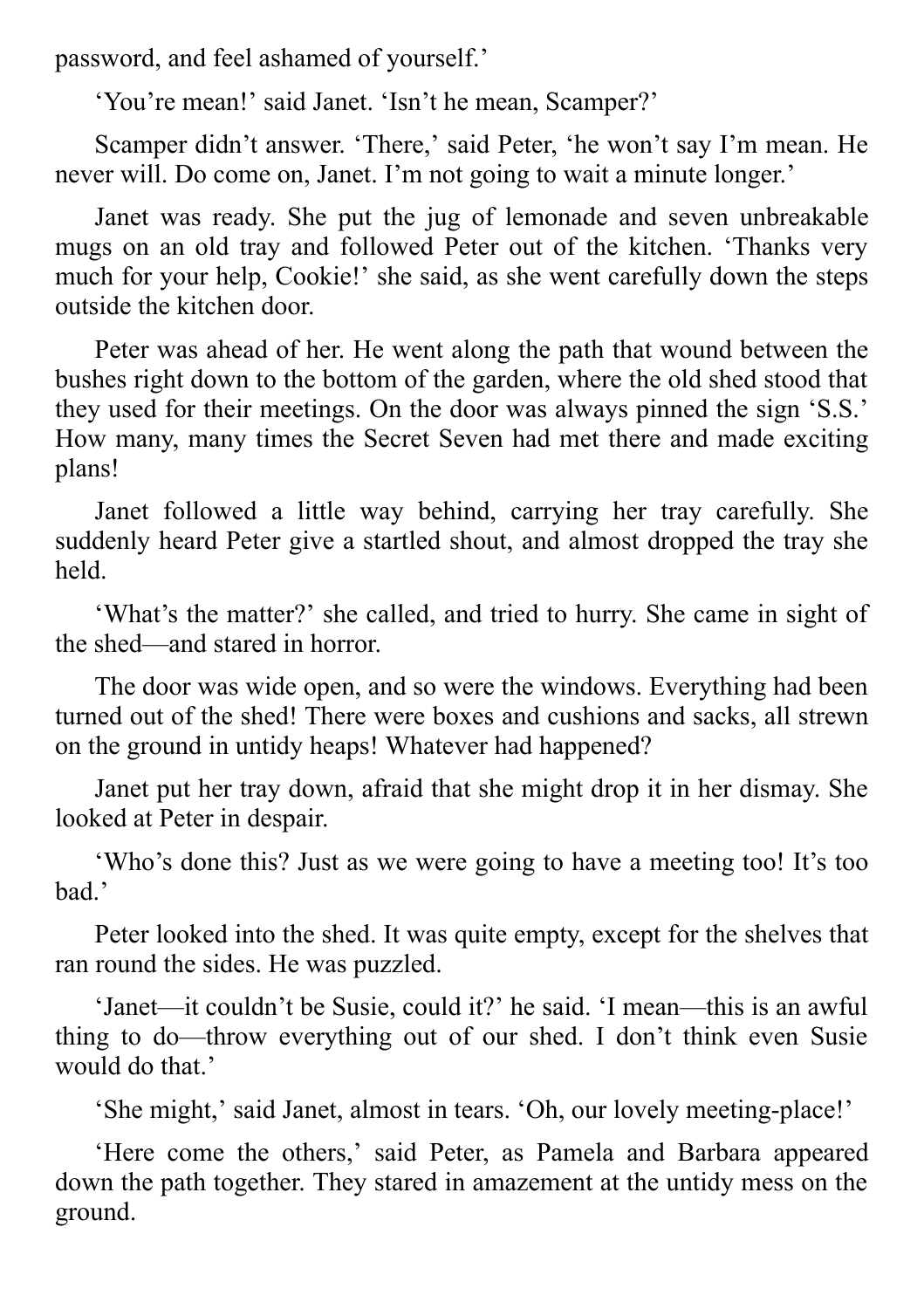password, and feel ashamed of yourself.'

'You're mean!' said Janet. 'Isn't he mean, Scamper?'

Scamper didn't answer. 'There,' said Peter, 'he won't say I'm mean. He never will. Do come on, Janet. I'm not going to wait a minute longer.'

Janet was ready. She put the jug of lemonade and seven unbreakable mugs on an old tray and followed Peter out of the kitchen. 'Thanks very much for your help, Cookie!' she said, as she went carefully down the steps outside the kitchen door.

Peter was ahead of her. He went along the path that wound between the bushes right down to the bottom of the garden, where the old shed stood that they used for their meetings. On the door was always pinned the sign 'S.S.' How many, many times the Secret Seven had met there and made exciting plans!

Janet followed a little way behind, carrying her tray carefully. She suddenly heard Peter give a startled shout, and almost dropped the tray she held.

'What's the matter?' she called, and tried to hurry. She came in sight of the shed—and stared in horror.

The door was wide open, and so were the windows. Everything had been turned out of the shed! There were boxes and cushions and sacks, all strewn on the ground in untidy heaps! Whatever had happened?

Janet put her tray down, afraid that she might drop it in her dismay. She looked at Peter in despair.

'Who's done this? Just as we were going to have a meeting too! It's too bad.'

Peter looked into the shed. It was quite empty, except for the shelves that ran round the sides. He was puzzled.

'Janet—it couldn't be Susie, could it?' he said. 'I mean—this is an awful thing to do—throw everything out of our shed. I don't think even Susie would do that.'

'She might,' said Janet, almost in tears. 'Oh, our lovely meeting-place!'

'Here come the others,' said Peter, as Pamela and Barbara appeared down the path together. They stared in amazement at the untidy mess on the ground.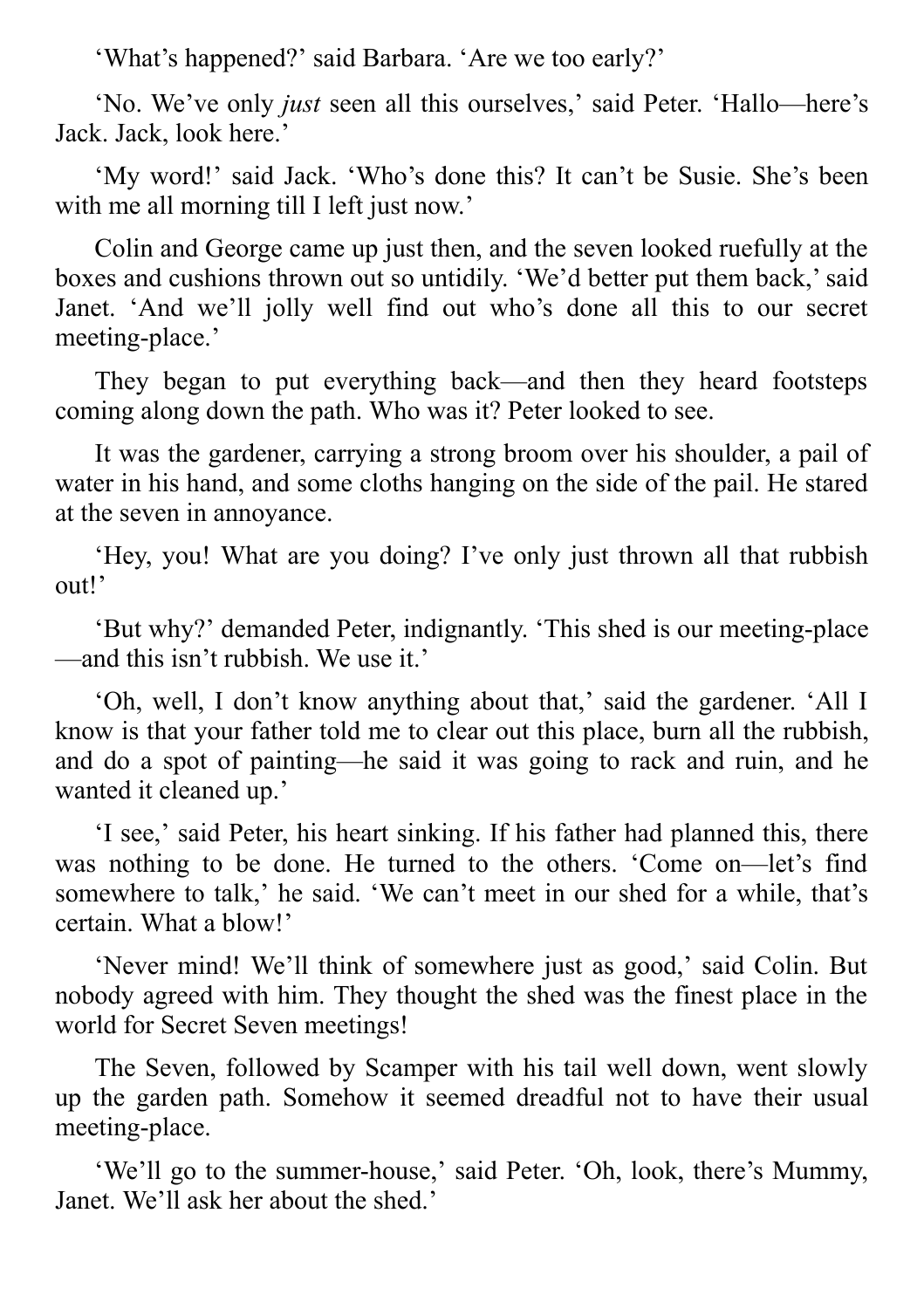'What's happened?' said Barbara. 'Are we too early?'

'No. We've only *just* seen all this ourselves,' said Peter. 'Hallo—here's Jack. Jack, look here.'

'My word!' said Jack. 'Who's done this? It can't be Susie. She's been with me all morning till I left just now.'

Colin and George came up just then, and the seven looked ruefully at the boxes and cushions thrown out so untidily. 'We'd better put them back,'said Janet. 'And we'll jolly well find out who's done all this to our secret meeting-place.'

They began to put everything back—and then they heard footsteps coming along down the path. Who was it? Peter looked to see.

It was the gardener, carrying a strong broom over his shoulder, a pail of water in his hand, and some cloths hanging on the side of the pail. He stared at the seven in annoyance.

'Hey, you! What are you doing? I've only just thrown all that rubbish out!'

'But why?' demanded Peter, indignantly. 'This shed is our meeting-place —and this isn't rubbish. We use it.'

'Oh, well, I don't know anything about that,' said the gardener. 'All I know is that your father told me to clear out this place, burn all the rubbish, and do a spot of painting—he said it was going to rack and ruin, and he wanted it cleaned up.'

'I see,' said Peter, his heart sinking. If his father had planned this, there was nothing to be done. He turned to the others. 'Come on—let's find somewhere to talk,' he said. 'We can't meet in our shed for a while, that's certain. What a blow!'

'Never mind! We'll think of somewhere just as good,' said Colin. But nobody agreed with him. They thought the shed was the finest place in the world for Secret Seven meetings!

The Seven, followed by Scamper with his tail well down, went slowly up the garden path. Somehow it seemed dreadful not to have their usual meeting-place.

'We'll go to the summer-house,' said Peter. 'Oh, look, there's Mummy, Janet. We'll ask her about the shed.'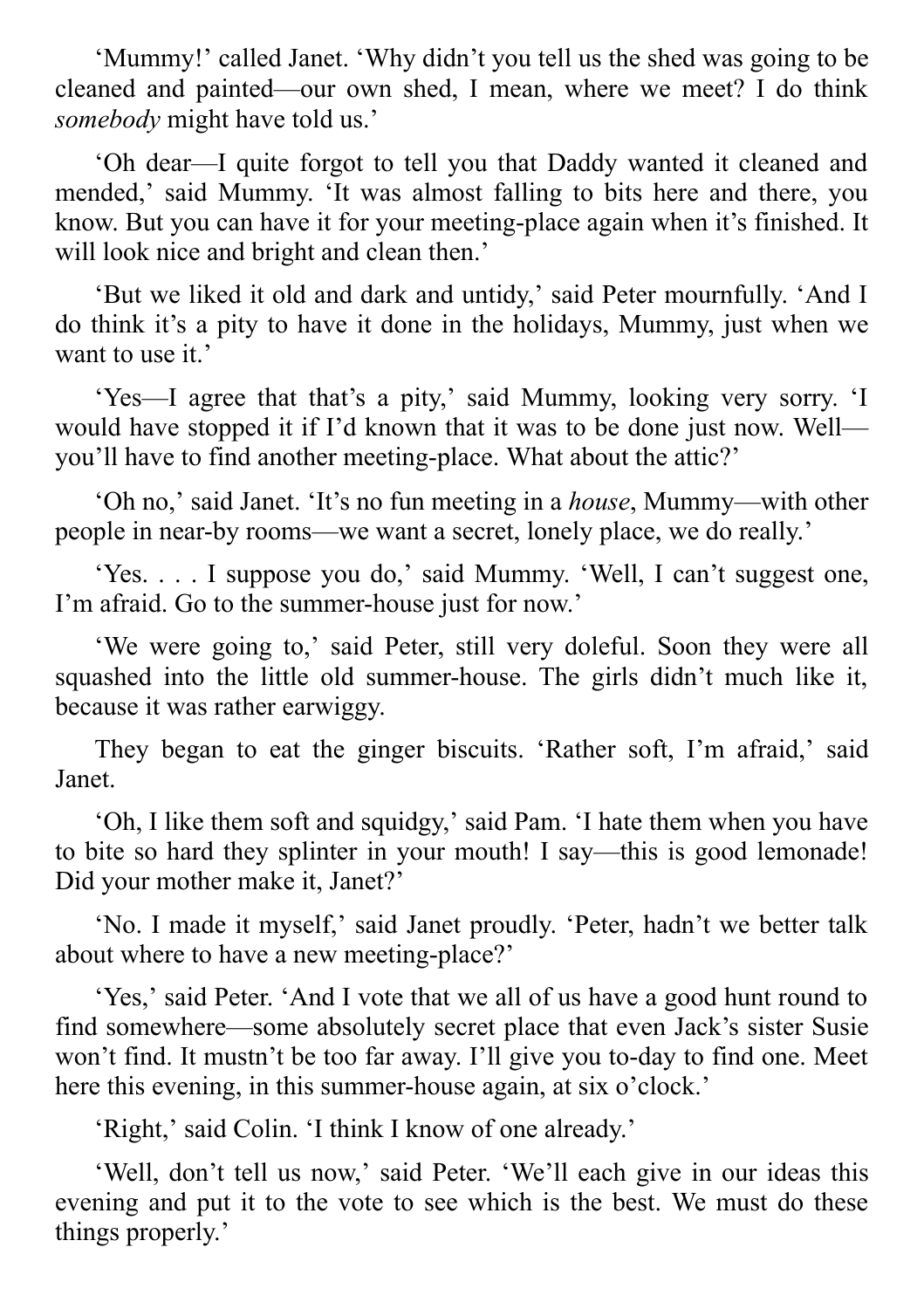'Mummy!' called Janet. 'Why didn't you tell us the shed was going to be cleaned and painted—our own shed, I mean, where we meet? I do think *somebody* might have told us.'

'Oh dear—I quite forgot to tell you that Daddy wanted it cleaned and mended,' said Mummy. 'It was almost falling to bits here and there, you know. But you can have it for your meeting-place again when it's finished. It will look nice and bright and clean then.'

'But we liked it old and dark and untidy,' said Peter mournfully. 'And I do think it's a pity to have it done in the holidays, Mummy, just when we want to use it.'

'Yes—I agree that that's a pity,' said Mummy, looking very sorry. 'I would have stopped it if I'd known that it was to be done just now. Well you'll have to find another meeting-place. What about the attic?'

'Oh no,' said Janet. 'It's no fun meeting in a *house*, Mummy—with other people in near-by rooms—we want a secret, lonely place, we do really.'

'Yes. . . . I suppose you do,' said Mummy. 'Well, I can't suggest one, I'm afraid. Go to the summer-house just for now.'

'We were going to,' said Peter, still very doleful. Soon they were all squashed into the little old summer-house. The girls didn't much like it, because it was rather earwiggy.

They began to eat the ginger biscuits. 'Rather soft, I'm afraid,' said Janet.

'Oh, I like them soft and squidgy,' said Pam. 'I hate them when you have to bite so hard they splinter in your mouth! I say—this is good lemonade! Did your mother make it, Janet?'

'No. I made it myself,' said Janet proudly. 'Peter, hadn't we better talk about where to have a new meeting-place?'

'Yes,' said Peter. 'And I vote that we all of us have a good hunt round to find somewhere—some absolutely secret place that even Jack's sister Susie won't find. It mustn't be too far away. I'll give you to-day to find one. Meet here this evening, in this summer-house again, at six o'clock.'

'Right,' said Colin. 'I think I know of one already.'

'Well, don't tell us now,' said Peter. 'We'll each give in our ideas this evening and put it to the vote to see which is the best. We must do these things properly.'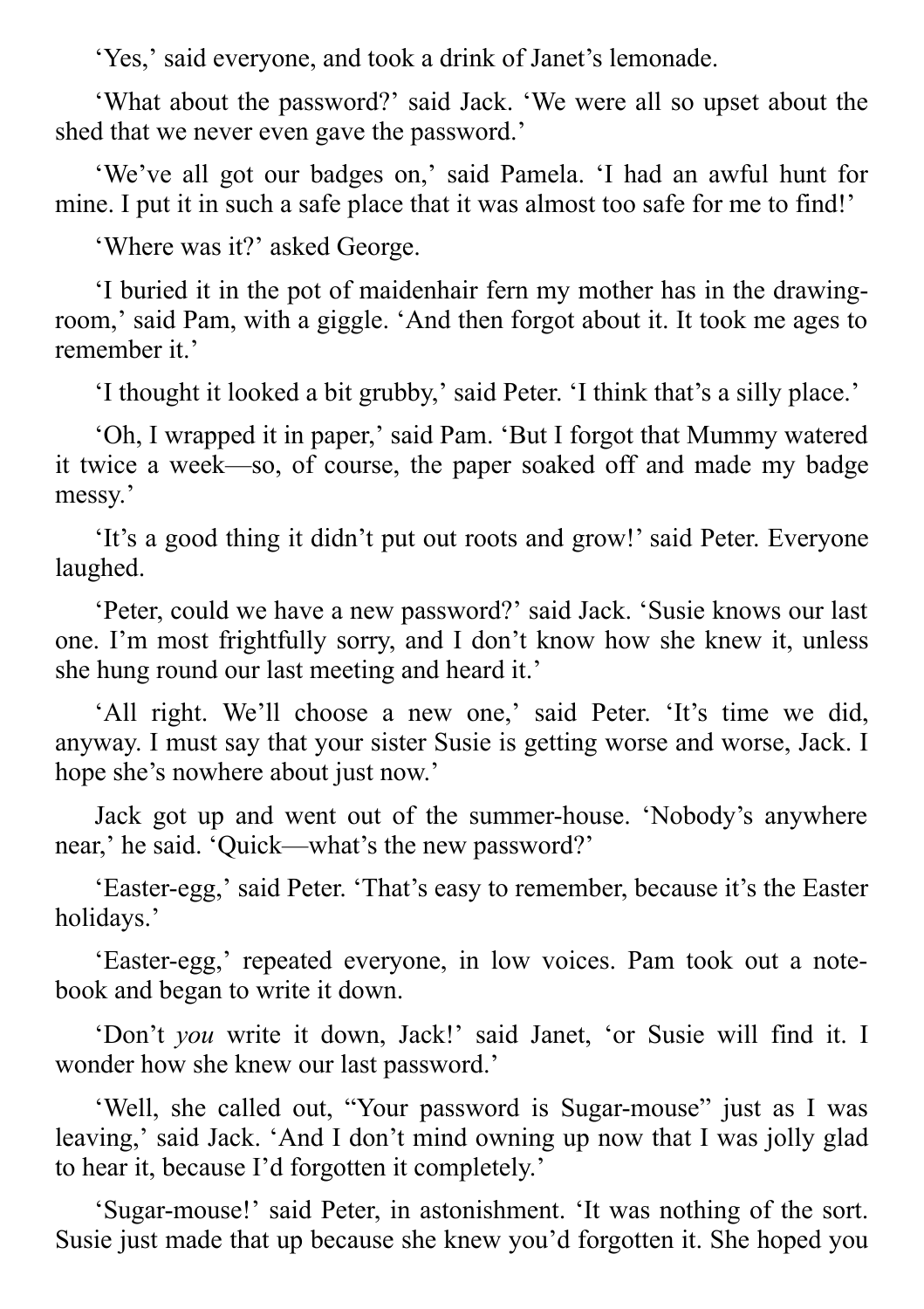'Yes,' said everyone, and took a drink of Janet's lemonade.

'What about the password?' said Jack. 'We were all so upset about the shed that we never even gave the password.'

'We've all got our badges on,' said Pamela. 'I had an awful hunt for mine. I put it in such a safe place that it was almost too safe for me to find!'

'Where was it?' asked George.

'I buried it in the pot of maidenhair fern my mother has in the drawingroom,' said Pam, with a giggle. 'And then forgot about it. It took me ages to remember it.'

'I thought it looked a bit grubby,' said Peter. 'I think that's a silly place.'

'Oh, I wrapped it in paper,' said Pam. 'But I forgot that Mummy watered it twice a week—so, of course, the paper soaked off and made my badge messy.'

'It's a good thing it didn't put out roots and grow!' said Peter. Everyone laughed.

'Peter, could we have a new password?' said Jack. 'Susie knows our last one. I'm most frightfully sorry, and I don't know how she knew it, unless she hung round our last meeting and heard it.'

'All right. We'll choose a new one,' said Peter. 'It's time we did, anyway. I must say that your sister Susie is getting worse and worse, Jack. I hope she's nowhere about just now.'

Jack got up and went out of the summer-house. 'Nobody's anywhere near,' he said. 'Quick—what's the new password?'

'Easter-egg,' said Peter. 'That's easy to remember, because it's the Easter holidays.'

'Easter-egg,' repeated everyone, in low voices. Pam took out a notebook and began to write it down.

'Don't *you* write it down, Jack!' said Janet, 'or Susie will find it. I wonder how she knew our last password.'

'Well, she called out, "Your password is Sugar-mouse" just as I was leaving,' said Jack. 'And I don't mind owning up now that I was jolly glad to hear it, because I'd forgotten it completely.'

'Sugar-mouse!' said Peter, in astonishment. 'It was nothing of the sort. Susie just made that up because she knew you'd forgotten it. She hoped you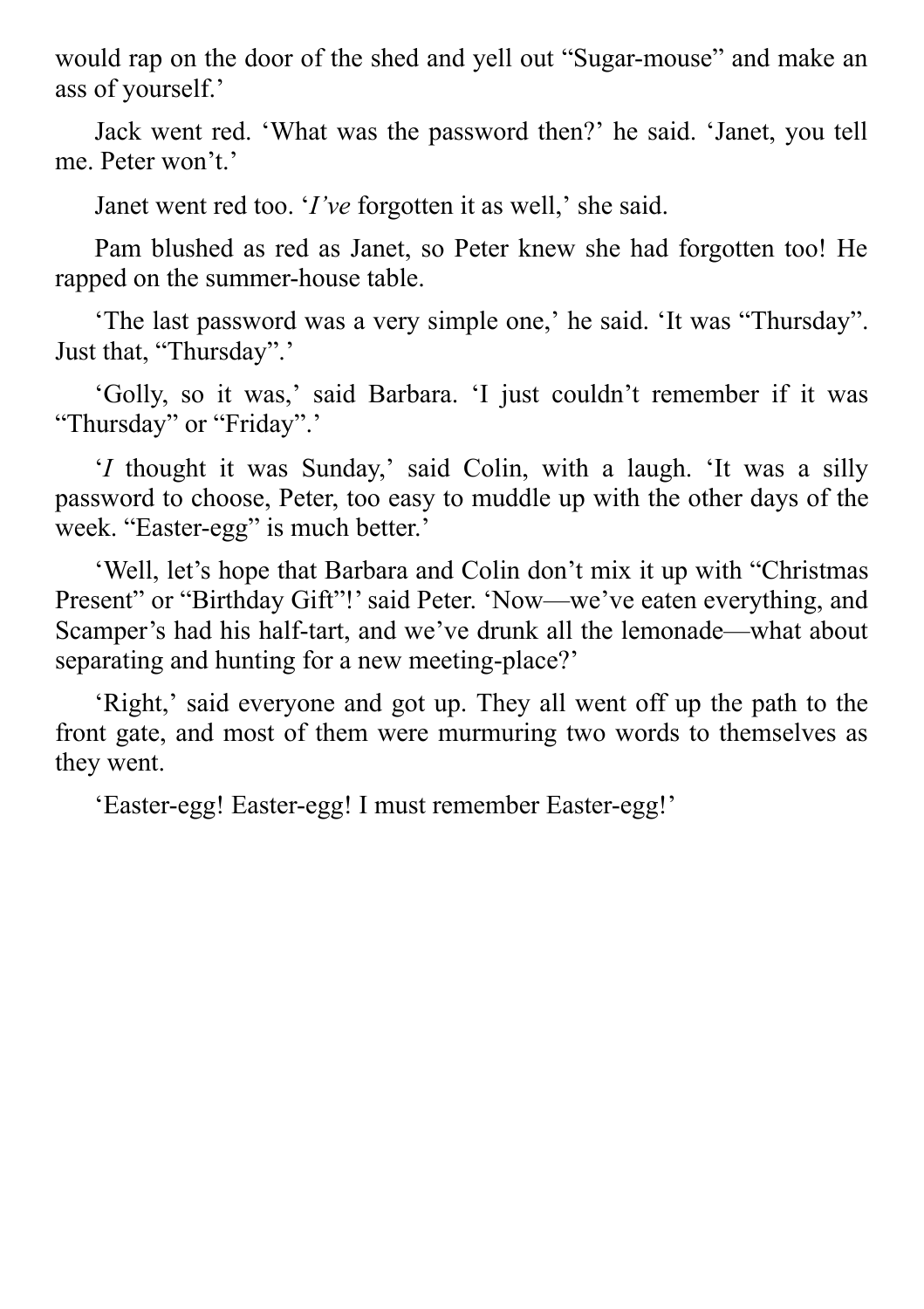would rap on the door of the shed and yell out "Sugar-mouse" and make an ass of yourself.'

Jack went red. 'What was the password then?' he said. 'Janet, you tell me. Peter won't.'

Janet went red too. '*I've* forgotten it as well,' she said.

Pam blushed as red as Janet, so Peter knew she had forgotten too! He rapped on the summer-house table.

'The last password was a very simple one,' he said. 'It was "Thursday". Just that, "Thursday".'

'Golly, so it was,' said Barbara. 'I just couldn't remember if it was "Thursday" or "Friday".'

'*I* thought it was Sunday,' said Colin, with a laugh. 'It was a silly password to choose, Peter, too easy to muddle up with the other days of the week. "Easter-egg" is much better.'

'Well, let's hope that Barbara and Colin don't mix it up with "Christmas Present" or "Birthday Gift"!' said Peter. 'Now—we've eaten everything, and Scamper's had his half-tart, and we've drunk all the lemonade—what about separating and hunting for a new meeting-place?'

'Right,' said everyone and got up. They all went off up the path to the front gate, and most of them were murmuring two words to themselves as they went.

'Easter-egg! Easter-egg! I must remember Easter-egg!'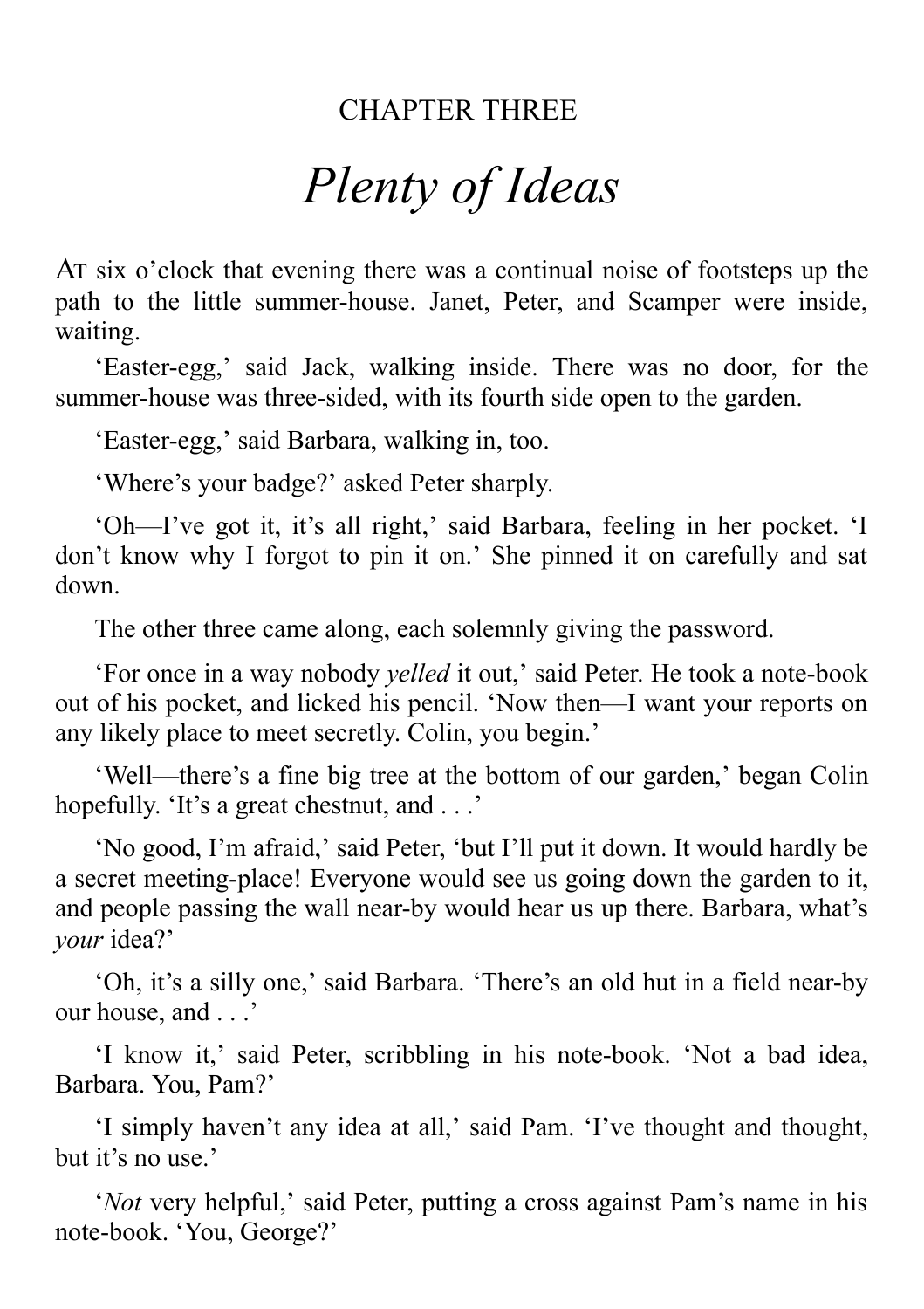#### CHAPTER THREE

## *Plenty of Ideas*

<span id="page-15-0"></span>AT six o'clock that evening there was a continual noise of footsteps up the path to the little summer-house. Janet, Peter, and Scamper were inside, waiting.

'Easter-egg,' said Jack, walking inside. There was no door, for the summer-house was three-sided, with its fourth side open to the garden.

'Easter-egg,' said Barbara, walking in, too.

'Where's your badge?' asked Peter sharply.

'Oh—I've got it, it's all right,' said Barbara, feeling in her pocket. 'I don't know why I forgot to pin it on.' She pinned it on carefully and sat down.

The other three came along, each solemnly giving the password.

'For once in a way nobody *yelled* it out,' said Peter. He took a note-book out of his pocket, and licked his pencil. 'Now then—I want your reports on any likely place to meet secretly. Colin, you begin.'

'Well—there's a fine big tree at the bottom of our garden,' began Colin hopefully. 'It's a great chestnut, and . . .'

'No good, I'm afraid,' said Peter, 'but I'll put it down. It would hardly be a secret meeting-place! Everyone would see us going down the garden to it, and people passing the wall near-by would hear us up there. Barbara, what's *your* idea?'

'Oh, it's a silly one,' said Barbara. 'There's an old hut in a field near-by our house, and . . .'

'I know it,' said Peter, scribbling in his note-book. 'Not a bad idea, Barbara. You, Pam?'

'I simply haven't any idea at all,' said Pam. 'I've thought and thought, but it's no use.'

'*Not* very helpful,' said Peter, putting a cross against Pam's name in his note-book. 'You, George?'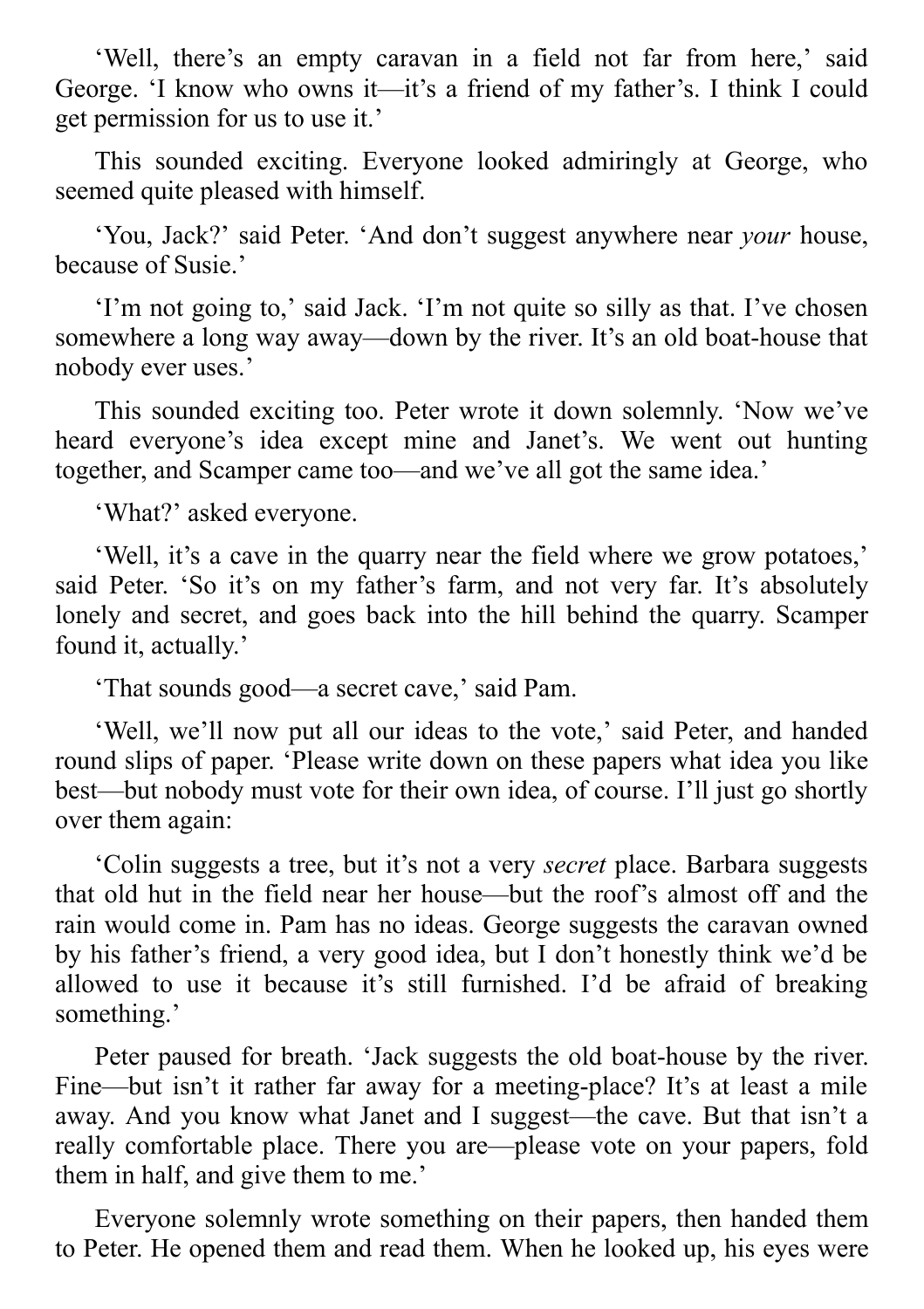'Well, there's an empty caravan in a field not far from here,' said George. 'I know who owns it—it's a friend of my father's. I think I could get permission for us to use it.'

This sounded exciting. Everyone looked admiringly at George, who seemed quite pleased with himself.

'You, Jack?' said Peter. 'And don't suggest anywhere near *your* house, because of Susie.'

'I'm not going to,' said Jack. 'I'm not quite so silly as that. I've chosen somewhere a long way away—down by the river. It's an old boat-house that nobody ever uses.'

This sounded exciting too. Peter wrote it down solemnly. 'Now we've heard everyone's idea except mine and Janet's. We went out hunting together, and Scamper came too—and we've all got the same idea.'

'What?' asked everyone.

'Well, it's a cave in the quarry near the field where we grow potatoes,' said Peter. 'So it's on my father's farm, and not very far. It's absolutely lonely and secret, and goes back into the hill behind the quarry. Scamper found it, actually.'

'That sounds good—a secret cave,' said Pam.

'Well, we'll now put all our ideas to the vote,' said Peter, and handed round slips of paper. 'Please write down on these papers what idea you like best—but nobody must vote for their own idea, of course. I'll just go shortly over them again:

'Colin suggests a tree, but it's not a very *secret* place. Barbara suggests that old hut in the field near her house—but the roof's almost off and the rain would come in. Pam has no ideas. George suggests the caravan owned by his father's friend, a very good idea, but I don't honestly think we'd be allowed to use it because it's still furnished. I'd be afraid of breaking something.'

Peter paused for breath. 'Jack suggests the old boat-house by the river. Fine—but isn't it rather far away for a meeting-place? It's at least a mile away. And you know what Janet and I suggest—the cave. But that isn't a really comfortable place. There you are—please vote on your papers, fold them in half, and give them to me.'

Everyone solemnly wrote something on their papers, then handed them to Peter. He opened them and read them. When he looked up, his eyes were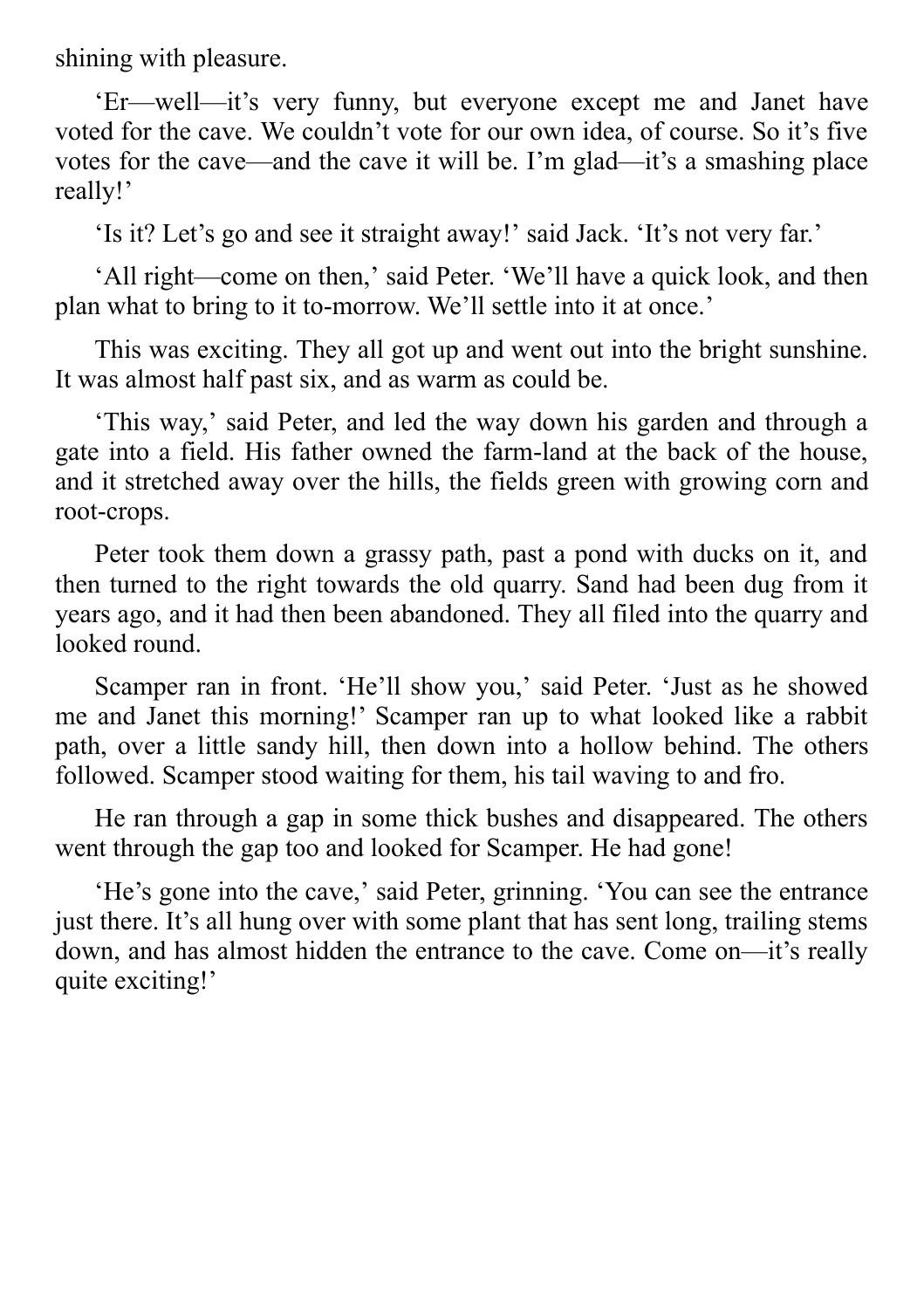shining with pleasure.

'Er—well—it's very funny, but everyone except me and Janet have voted for the cave. We couldn't vote for our own idea, of course. So it's five votes for the cave—and the cave it will be. I'm glad—it's a smashing place really!'

'Is it? Let's go and see it straight away!' said Jack. 'It's not very far.'

'All right—come on then,' said Peter. 'We'll have a quick look, and then plan what to bring to it to-morrow. We'll settle into it at once.'

This was exciting. They all got up and went out into the bright sunshine. It was almost half past six, and as warm as could be.

'This way,' said Peter, and led the way down his garden and through a gate into a field. His father owned the farm-land at the back of the house, and it stretched away over the hills, the fields green with growing corn and root-crops.

Peter took them down a grassy path, past a pond with ducks on it, and then turned to the right towards the old quarry. Sand had been dug from it years ago, and it had then been abandoned. They all filed into the quarry and looked round.

Scamper ran in front. 'He'll show you,' said Peter. 'Just as he showed me and Janet this morning!' Scamper ran up to what looked like a rabbit path, over a little sandy hill, then down into a hollow behind. The others followed. Scamper stood waiting for them, his tail waving to and fro.

He ran through a gap in some thick bushes and disappeared. The others went through the gap too and looked for Scamper. He had gone!

'He's gone into the cave,' said Peter, grinning. 'You can see the entrance just there. It's all hung over with some plant that has sent long, trailing stems down, and has almost hidden the entrance to the cave. Come on—it's really quite exciting!'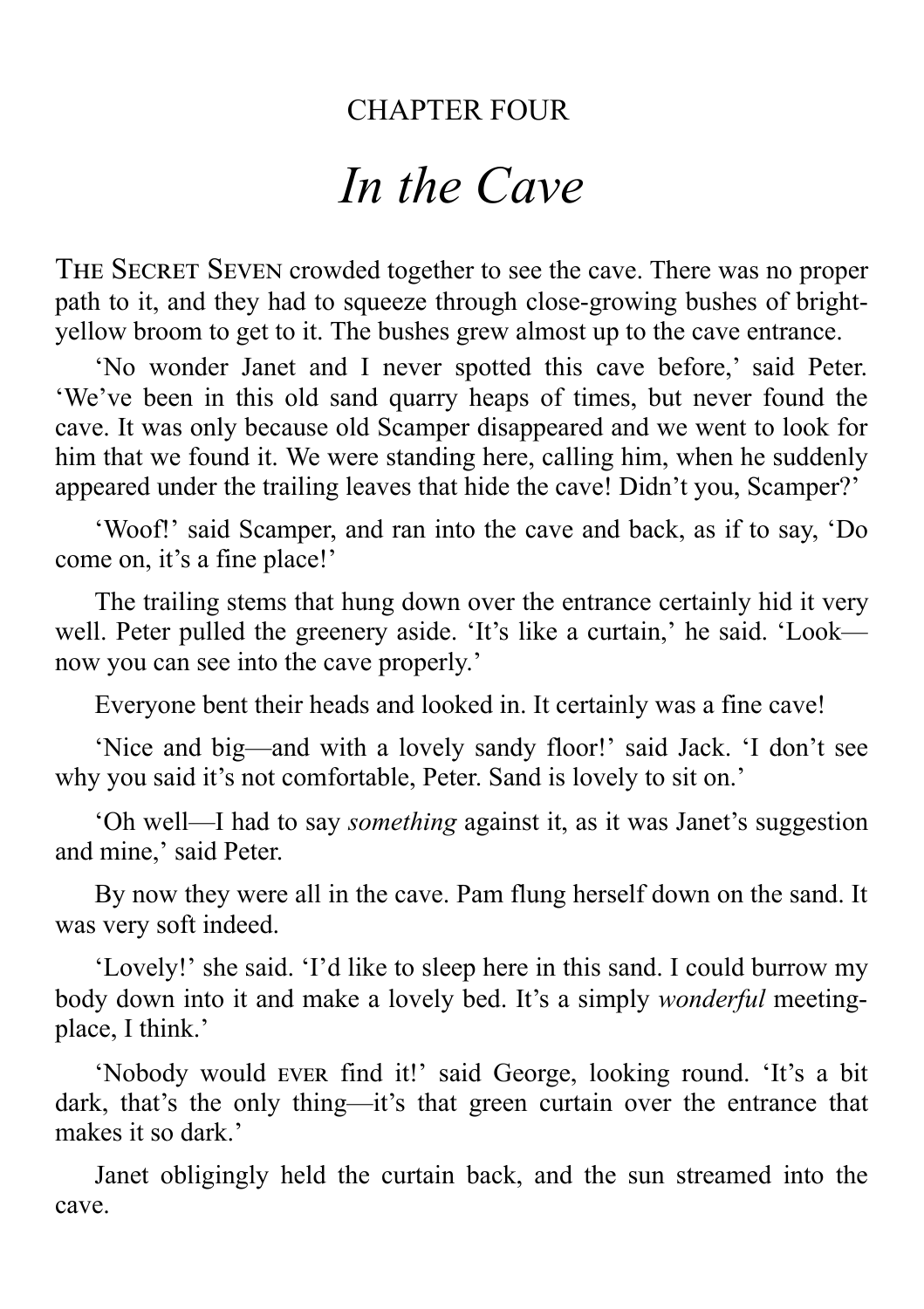#### CHAPTER FOUR

## *In the Cave*

<span id="page-18-0"></span>THE SECRET SEVEN crowded together to see the cave. There was no proper path to it, and they had to squeeze through close-growing bushes of brightyellow broom to get to it. The bushes grew almost up to the cave entrance.

'No wonder Janet and I never spotted this cave before,' said Peter. 'We've been in this old sand quarry heaps of times, but never found the cave. It was only because old Scamper disappeared and we went to look for him that we found it. We were standing here, calling him, when he suddenly appeared under the trailing leaves that hide the cave! Didn't you, Scamper?'

'Woof!' said Scamper, and ran into the cave and back, as if to say, 'Do come on, it's a fine place!'

The trailing stems that hung down over the entrance certainly hid it very well. Peter pulled the greenery aside. 'It's like a curtain,' he said. 'Look now you can see into the cave properly.'

Everyone bent their heads and looked in. It certainly was a fine cave!

'Nice and big—and with a lovely sandy floor!' said Jack. 'I don't see why you said it's not comfortable, Peter. Sand is lovely to sit on.'

'Oh well—I had to say *something* against it, as it was Janet's suggestion and mine,' said Peter.

By now they were all in the cave. Pam flung herself down on the sand. It was very soft indeed.

'Lovely!' she said. 'I'd like to sleep here in this sand. I could burrow my body down into it and make a lovely bed. It's a simply *wonderful* meetingplace, I think.'

'Nobody would EVER find it!' said George, looking round. 'It's a bit dark, that's the only thing—it's that green curtain over the entrance that makes it so dark.'

Janet obligingly held the curtain back, and the sun streamed into the cave.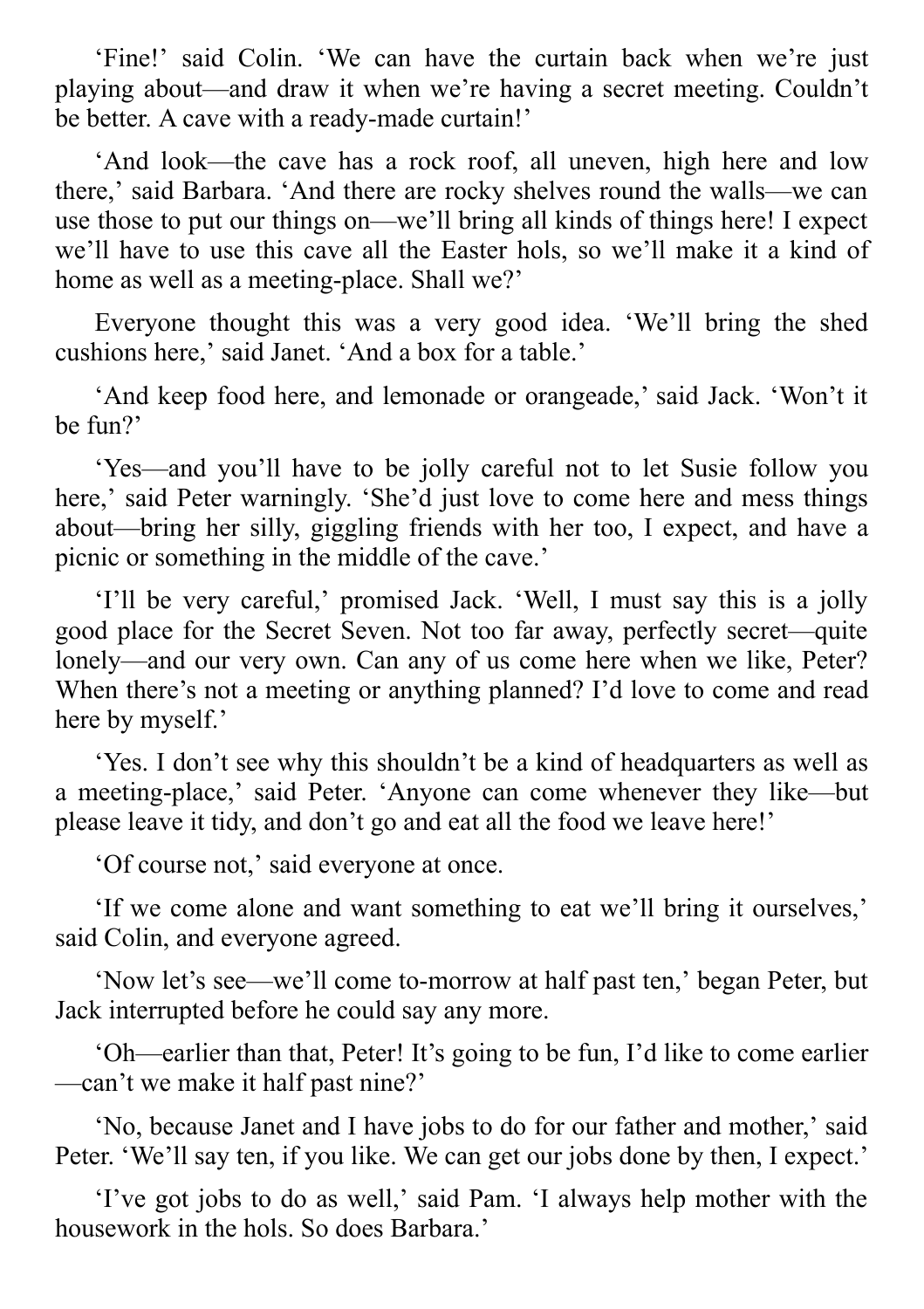'Fine!' said Colin. 'We can have the curtain back when we're just playing about—and draw it when we're having a secret meeting. Couldn't be better. A cave with a ready-made curtain!'

'And look—the cave has a rock roof, all uneven, high here and low there,' said Barbara. 'And there are rocky shelves round the walls—we can use those to put our things on—we'll bring all kinds of things here! I expect we'll have to use this cave all the Easter hols, so we'll make it a kind of home as well as a meeting-place. Shall we?'

Everyone thought this was a very good idea. 'We'll bring the shed cushions here,' said Janet. 'And a box for a table.'

'And keep food here, and lemonade or orangeade,' said Jack. 'Won't it be fun?'

'Yes—and you'll have to be jolly careful not to let Susie follow you here,' said Peter warningly. 'She'd just love to come here and mess things about—bring her silly, giggling friends with her too, I expect, and have a picnic or something in the middle of the cave.'

'I'll be very careful,' promised Jack. 'Well, I must say this is a jolly good place for the Secret Seven. Not too far away, perfectly secret—quite lonely—and our very own. Can any of us come here when we like, Peter? When there's not a meeting or anything planned? I'd love to come and read here by myself.'

'Yes. I don't see why this shouldn't be a kind of headquarters as well as a meeting-place,' said Peter. 'Anyone can come whenever they like—but please leave it tidy, and don't go and eat all the food we leave here!'

'Of course not,' said everyone at once.

'If we come alone and want something to eat we'll bring it ourselves,' said Colin, and everyone agreed.

'Now let's see—we'll come to-morrow at half past ten,' began Peter, but Jack interrupted before he could say any more.

'Oh—earlier than that, Peter! It's going to be fun, I'd like to come earlier —can't we make it half past nine?'

'No, because Janet and I have jobs to do for our father and mother,' said Peter. 'We'll say ten, if you like. We can get our jobs done by then, I expect.'

'I've got jobs to do as well,' said Pam. 'I always help mother with the housework in the hols. So does Barbara.'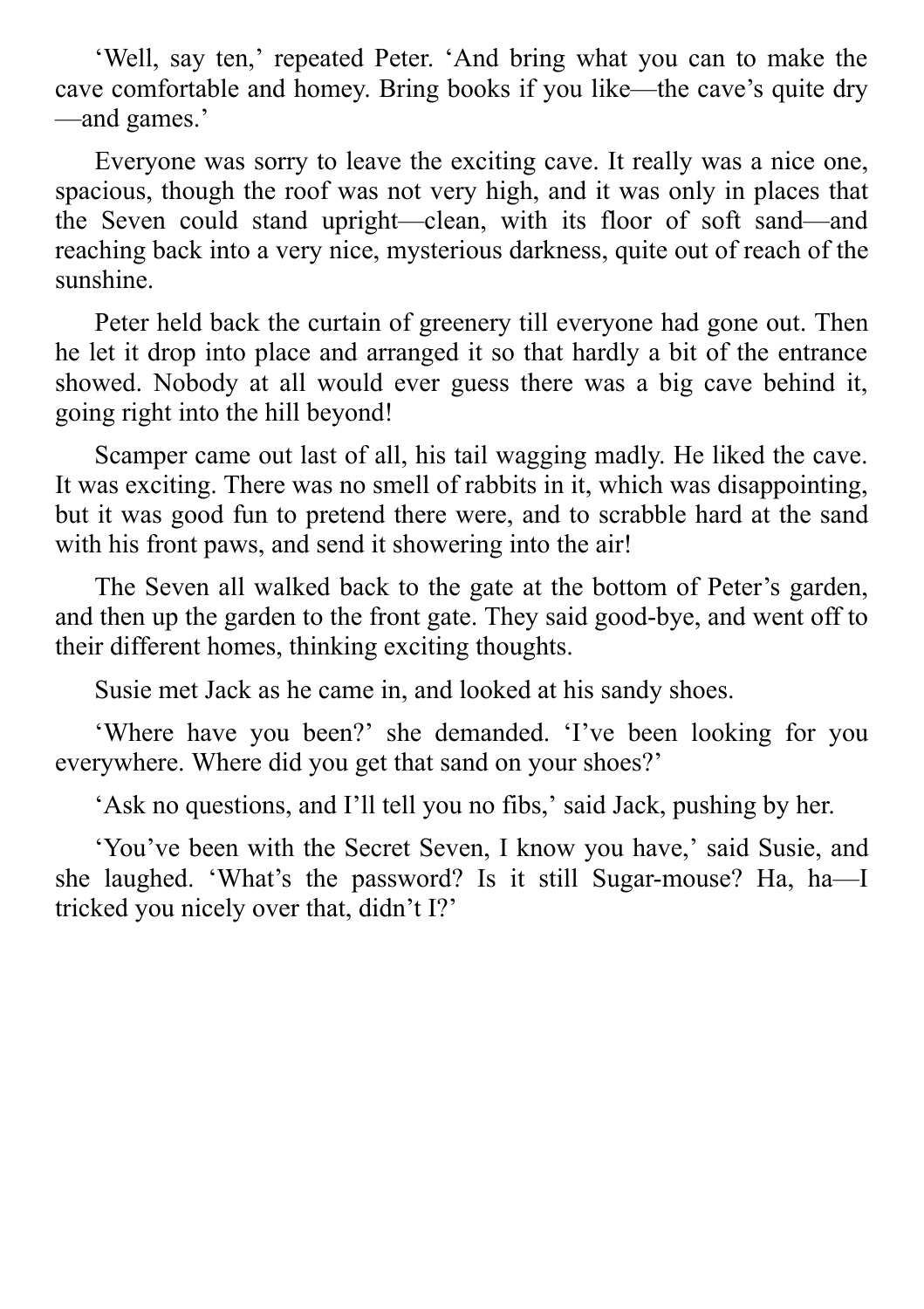'Well, say ten,' repeated Peter. 'And bring what you can to make the cave comfortable and homey. Bring books if you like—the cave's quite dry —and games.'

Everyone was sorry to leave the exciting cave. It really was a nice one, spacious, though the roof was not very high, and it was only in places that the Seven could stand upright—clean, with its floor of soft sand—and reaching back into a very nice, mysterious darkness, quite out of reach of the sunshine.

Peter held back the curtain of greenery till everyone had gone out. Then he let it drop into place and arranged it so that hardly a bit of the entrance showed. Nobody at all would ever guess there was a big cave behind it, going right into the hill beyond!

Scamper came out last of all, his tail wagging madly. He liked the cave. It was exciting. There was no smell of rabbits in it, which was disappointing, but it was good fun to pretend there were, and to scrabble hard at the sand with his front paws, and send it showering into the air!

The Seven all walked back to the gate at the bottom of Peter's garden, and then up the garden to the front gate. They said good-bye, and went off to their different homes, thinking exciting thoughts.

Susie met Jack as he came in, and looked at his sandy shoes.

'Where have you been?' she demanded. 'I've been looking for you everywhere. Where did you get that sand on your shoes?'

'Ask no questions, and I'll tell you no fibs,' said Jack, pushing by her.

'You've been with the Secret Seven, I know you have,' said Susie, and she laughed. 'What's the password? Is it still Sugar-mouse? Ha, ha—I tricked you nicely over that, didn't I?'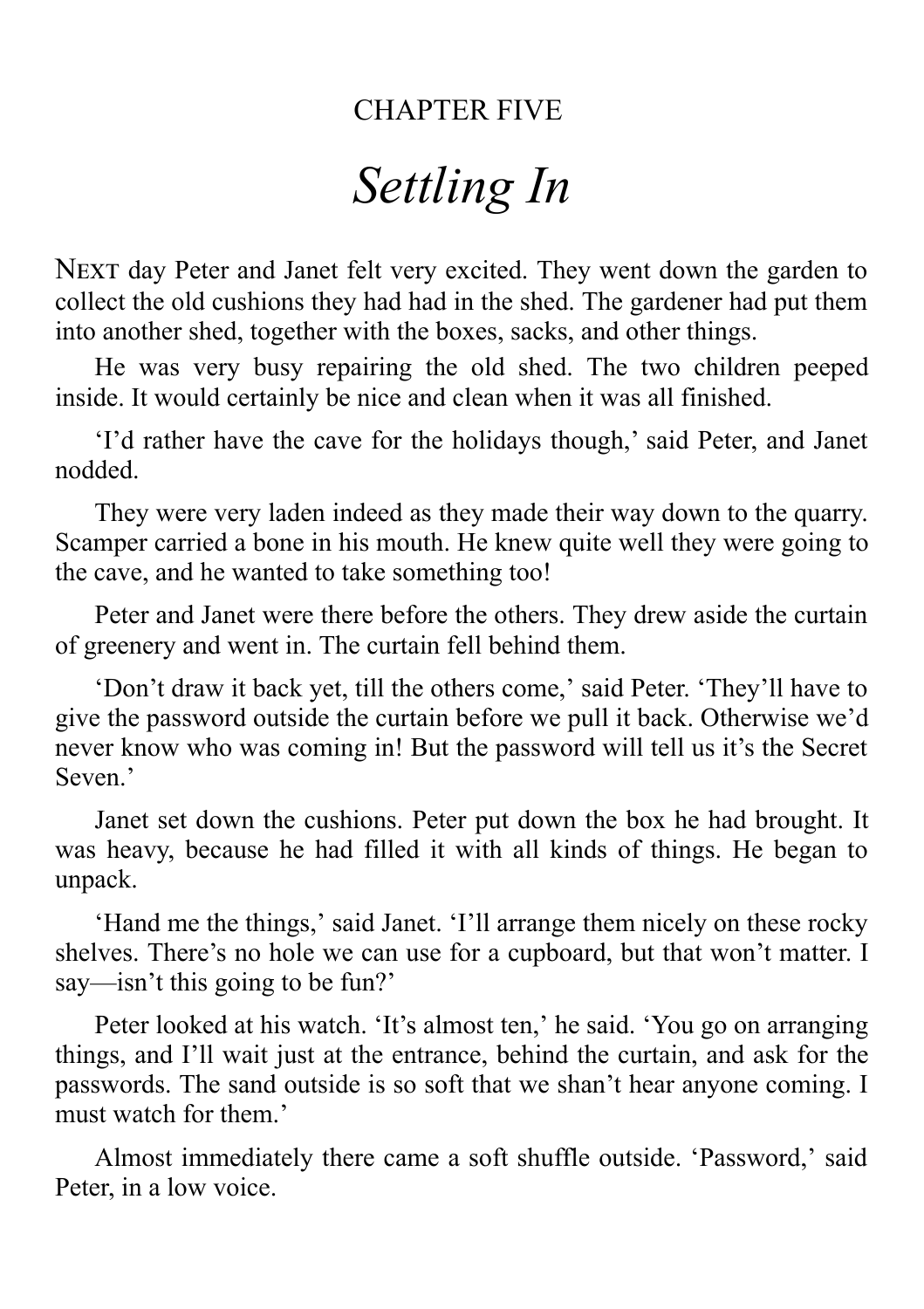#### CHAPTER FIVE

## *Settling In*

<span id="page-21-0"></span>NEXT day Peter and Janet felt very excited. They went down the garden to collect the old cushions they had had in the shed. The gardener had put them into another shed, together with the boxes, sacks, and other things.

He was very busy repairing the old shed. The two children peeped inside. It would certainly be nice and clean when it was all finished.

'I'd rather have the cave for the holidays though,' said Peter, and Janet nodded.

They were very laden indeed as they made their way down to the quarry. Scamper carried a bone in his mouth. He knew quite well they were going to the cave, and he wanted to take something too!

Peter and Janet were there before the others. They drew aside the curtain of greenery and went in. The curtain fell behind them.

'Don't draw it back yet, till the others come,' said Peter. 'They'll have to give the password outside the curtain before we pull it back. Otherwise we'd never know who was coming in! But the password will tell us it's the Secret Seven.'

Janet set down the cushions. Peter put down the box he had brought. It was heavy, because he had filled it with all kinds of things. He began to unpack.

'Hand me the things,' said Janet. 'I'll arrange them nicely on these rocky shelves. There's no hole we can use for a cupboard, but that won't matter. I say—isn't this going to be fun?'

Peter looked at his watch. 'It's almost ten,' he said. 'You go on arranging things, and I'll wait just at the entrance, behind the curtain, and ask for the passwords. The sand outside is so soft that we shan't hear anyone coming. I must watch for them.'

Almost immediately there came a soft shuffle outside. 'Password,' said Peter, in a low voice.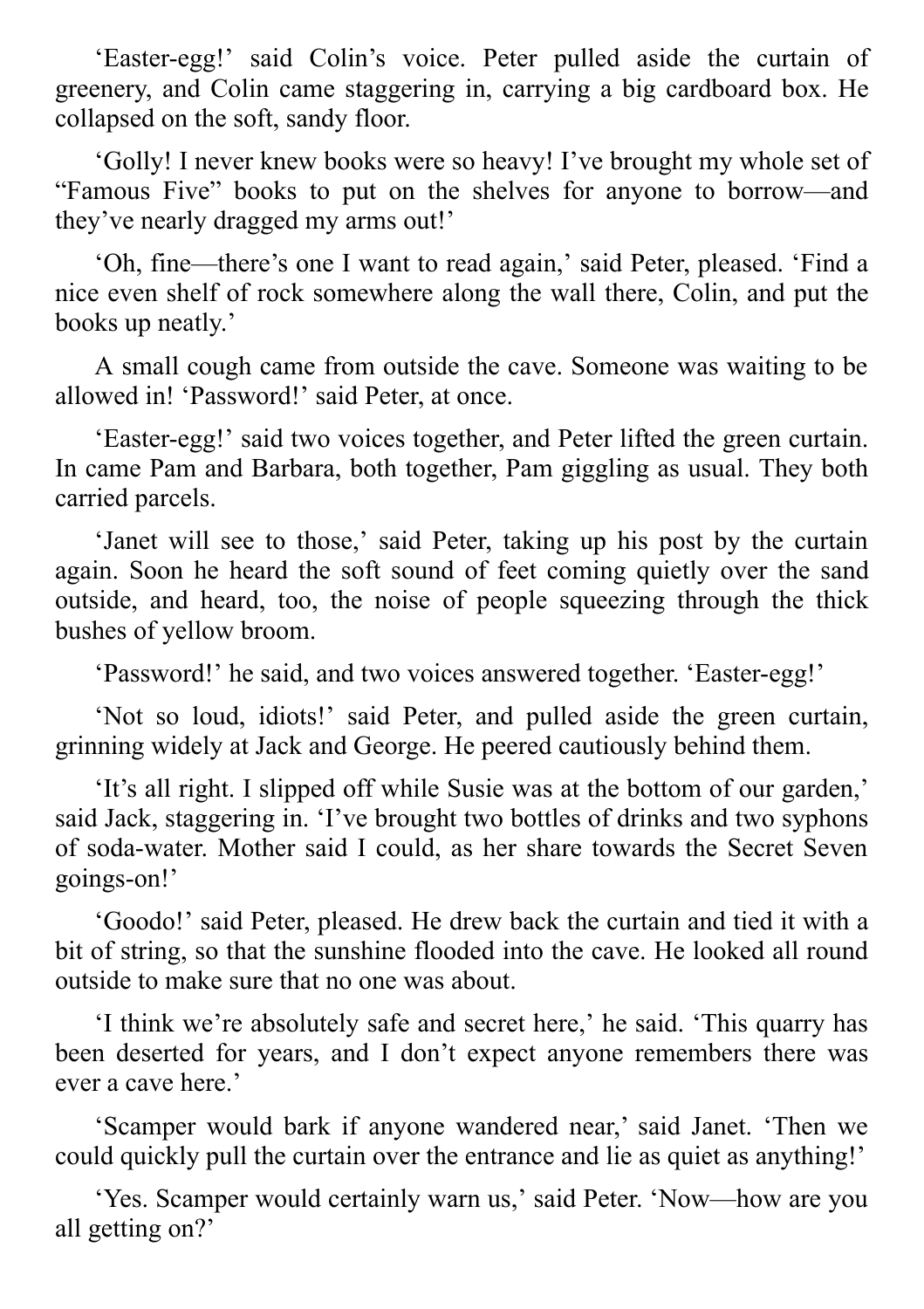'Easter-egg!' said Colin's voice. Peter pulled aside the curtain of greenery, and Colin came staggering in, carrying a big cardboard box. He collapsed on the soft, sandy floor.

'Golly! I never knew books were so heavy! I've brought my whole set of "Famous Five" books to put on the shelves for anyone to borrow—and they've nearly dragged my arms out!'

'Oh, fine—there's one I want to read again,' said Peter, pleased. 'Find a nice even shelf of rock somewhere along the wall there, Colin, and put the books up neatly.'

A small cough came from outside the cave. Someone was waiting to be allowed in! 'Password!' said Peter, at once.

'Easter-egg!' said two voices together, and Peter lifted the green curtain. In came Pam and Barbara, both together, Pam giggling as usual. They both carried parcels.

'Janet will see to those,' said Peter, taking up his post by the curtain again. Soon he heard the soft sound of feet coming quietly over the sand outside, and heard, too, the noise of people squeezing through the thick bushes of yellow broom.

'Password!' he said, and two voices answered together. 'Easter-egg!'

'Not so loud, idiots!' said Peter, and pulled aside the green curtain, grinning widely at Jack and George. He peered cautiously behind them.

'It's all right. I slipped off while Susie was at the bottom of our garden,' said Jack, staggering in. 'I've brought two bottles of drinks and two syphons of soda-water. Mother said I could, as her share towards the Secret Seven goings-on!'

'Goodo!' said Peter, pleased. He drew back the curtain and tied it with a bit of string, so that the sunshine flooded into the cave. He looked all round outside to make sure that no one was about.

'I think we're absolutely safe and secret here,' he said. 'This quarry has been deserted for years, and I don't expect anyone remembers there was ever a cave here.'

'Scamper would bark if anyone wandered near,' said Janet. 'Then we could quickly pull the curtain over the entrance and lie as quiet as anything!'

'Yes. Scamper would certainly warn us,' said Peter. 'Now—how are you all getting on?'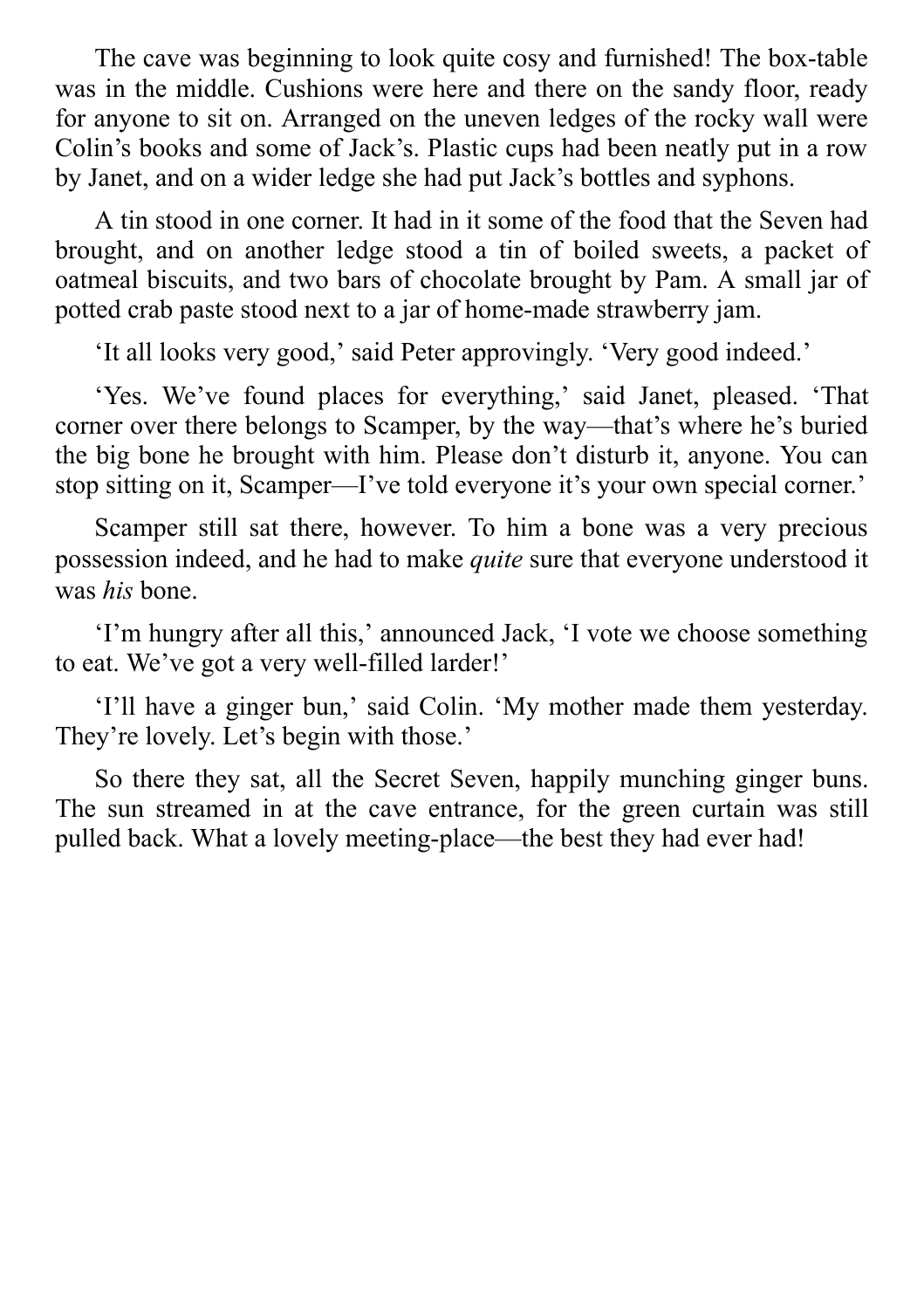The cave was beginning to look quite cosy and furnished! The box-table was in the middle. Cushions were here and there on the sandy floor, ready for anyone to sit on. Arranged on the uneven ledges of the rocky wall were Colin's books and some of Jack's. Plastic cups had been neatly put in a row by Janet, and on a wider ledge she had put Jack's bottles and syphons.

A tin stood in one corner. It had in it some of the food that the Seven had brought, and on another ledge stood a tin of boiled sweets, a packet of oatmeal biscuits, and two bars of chocolate brought by Pam. A small jar of potted crab paste stood next to a jar of home-made strawberry jam.

'It all looks very good,' said Peter approvingly. 'Very good indeed.'

'Yes. We've found places for everything,' said Janet, pleased. 'That corner over there belongs to Scamper, by the way—that's where he's buried the big bone he brought with him. Please don't disturb it, anyone. You can stop sitting on it, Scamper—I've told everyone it's your own special corner.'

Scamper still sat there, however. To him a bone was a very precious possession indeed, and he had to make *quite* sure that everyone understood it was *his* bone.

'I'm hungry after all this,' announced Jack, 'I vote we choose something to eat. We've got a very well-filled larder!'

'I'll have a ginger bun,' said Colin. 'My mother made them yesterday. They're lovely. Let's begin with those.'

So there they sat, all the Secret Seven, happily munching ginger buns. The sun streamed in at the cave entrance, for the green curtain was still pulled back. What a lovely meeting-place—the best they had ever had!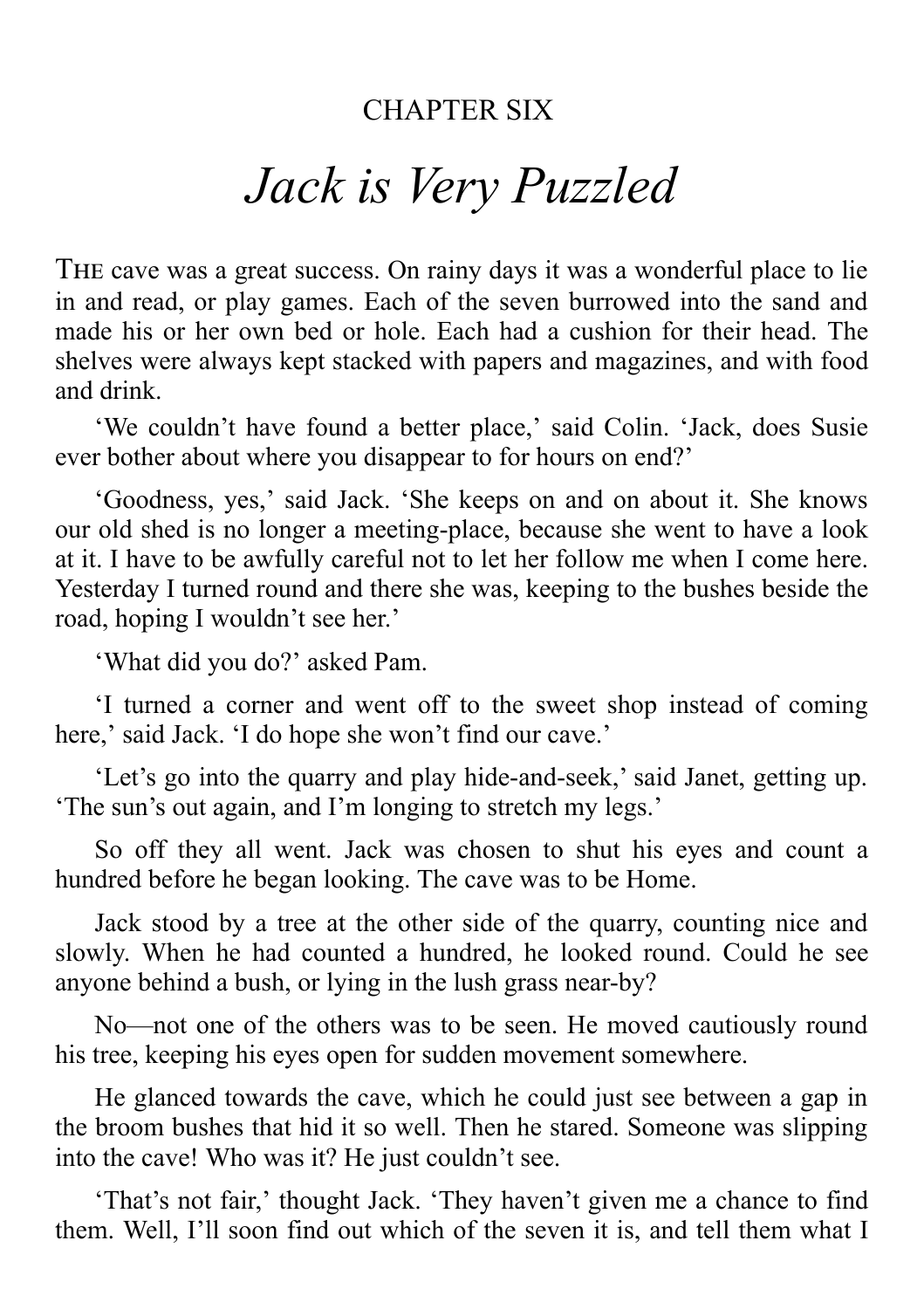#### CHAPTER SIX

## *Jack is Very Puzzled*

<span id="page-24-0"></span>THE cave was a great success. On rainy days it was a wonderful place to lie in and read, or play games. Each of the seven burrowed into the sand and made his or her own bed or hole. Each had a cushion for their head. The shelves were always kept stacked with papers and magazines, and with food and drink.

'We couldn't have found a better place,' said Colin. 'Jack, does Susie ever bother about where you disappear to for hours on end?'

'Goodness, yes,' said Jack. 'She keeps on and on about it. She knows our old shed is no longer a meeting-place, because she went to have a look at it. I have to be awfully careful not to let her follow me when I come here. Yesterday I turned round and there she was, keeping to the bushes beside the road, hoping I wouldn't see her.'

'What did you do?' asked Pam.

'I turned a corner and went off to the sweet shop instead of coming here,' said Jack. 'I do hope she won't find our cave.'

'Let's go into the quarry and play hide-and-seek,' said Janet, getting up. 'The sun's out again, and I'm longing to stretch my legs.'

So off they all went. Jack was chosen to shut his eyes and count a hundred before he began looking. The cave was to be Home.

Jack stood by a tree at the other side of the quarry, counting nice and slowly. When he had counted a hundred, he looked round. Could he see anyone behind a bush, or lying in the lush grass near-by?

No—not one of the others was to be seen. He moved cautiously round his tree, keeping his eyes open for sudden movement somewhere.

He glanced towards the cave, which he could just see between a gap in the broom bushes that hid it so well. Then he stared. Someone was slipping into the cave! Who was it? He just couldn't see.

'That's not fair,' thought Jack. 'They haven't given me a chance to find them. Well, I'll soon find out which of the seven it is, and tell them what I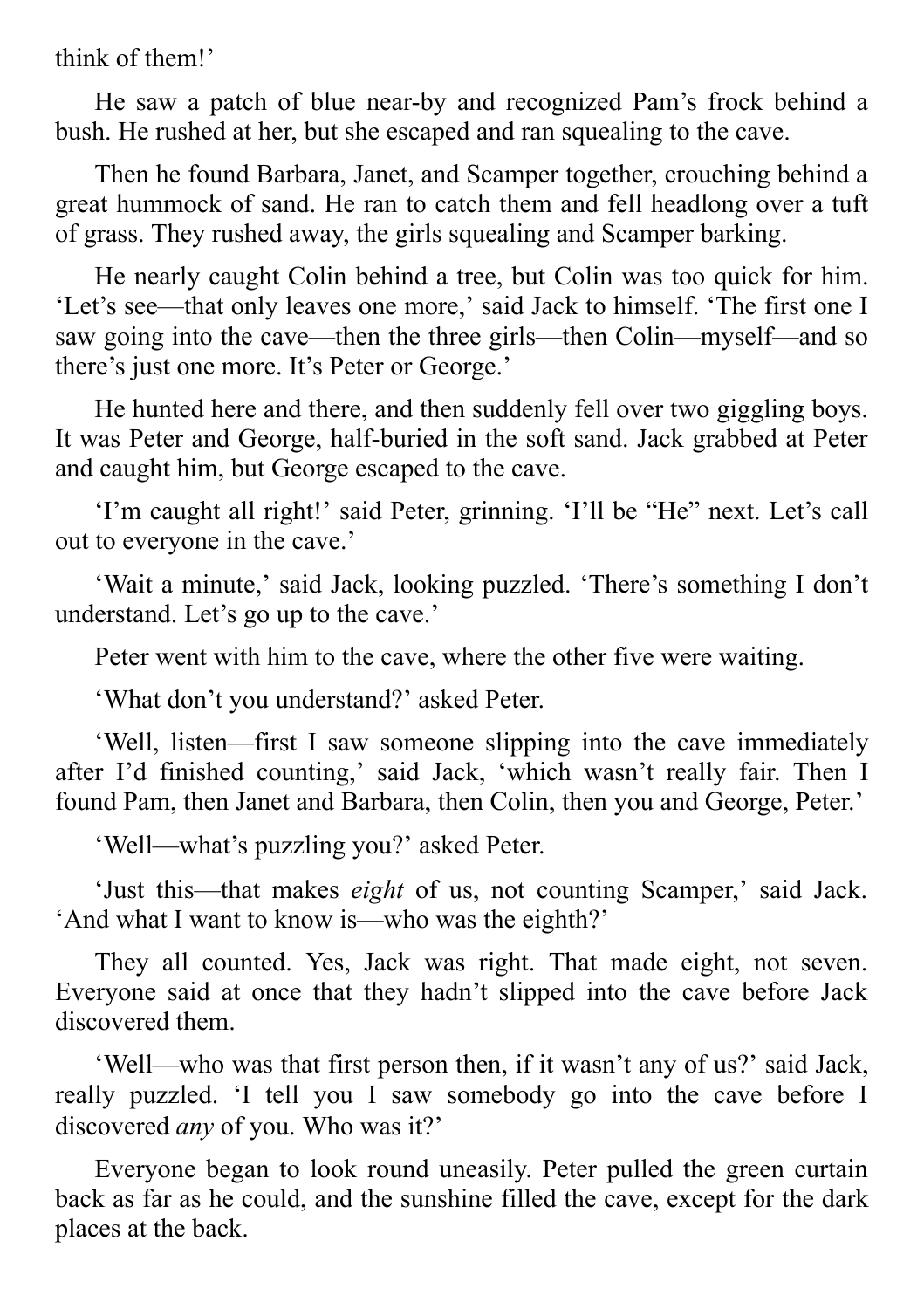think of them!'

He saw a patch of blue near-by and recognized Pam's frock behind a bush. He rushed at her, but she escaped and ran squealing to the cave.

Then he found Barbara, Janet, and Scamper together, crouching behind a great hummock of sand. He ran to catch them and fell headlong over a tuft of grass. They rushed away, the girls squealing and Scamper barking.

He nearly caught Colin behind a tree, but Colin was too quick for him. 'Let's see—that only leaves one more,' said Jack to himself. 'The first one I saw going into the cave—then the three girls—then Colin—myself—and so there's just one more. It's Peter or George.'

He hunted here and there, and then suddenly fell over two giggling boys. It was Peter and George, half-buried in the soft sand. Jack grabbed at Peter and caught him, but George escaped to the cave.

'I'm caught all right!' said Peter, grinning. 'I'll be "He" next. Let's call out to everyone in the cave.'

'Wait a minute,' said Jack, looking puzzled. 'There's something I don't understand. Let's go up to the cave.'

Peter went with him to the cave, where the other five were waiting.

'What don't you understand?' asked Peter.

'Well, listen—first I saw someone slipping into the cave immediately after I'd finished counting,' said Jack, 'which wasn't really fair. Then I found Pam, then Janet and Barbara, then Colin, then you and George, Peter.'

'Well—what's puzzling you?' asked Peter.

'Just this—that makes *eight* of us, not counting Scamper,' said Jack. 'And what I want to know is—who was the eighth?'

They all counted. Yes, Jack was right. That made eight, not seven. Everyone said at once that they hadn't slipped into the cave before Jack discovered them.

'Well—who was that first person then, if it wasn't any of us?' said Jack, really puzzled. 'I tell you I saw somebody go into the cave before I discovered *any* of you. Who was it?'

Everyone began to look round uneasily. Peter pulled the green curtain back as far as he could, and the sunshine filled the cave, except for the dark places at the back.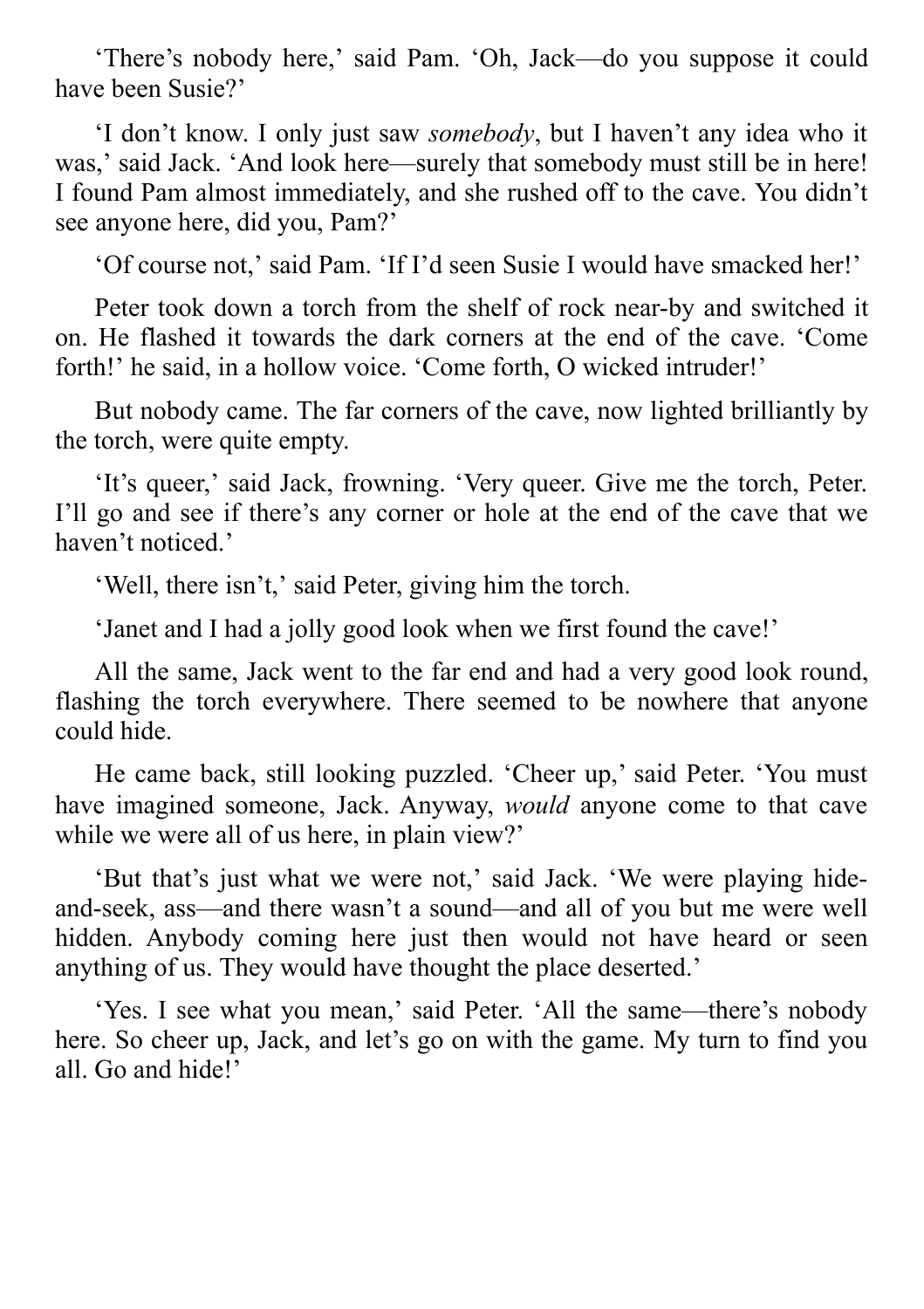'There's nobody here,' said Pam. 'Oh, Jack—do you suppose it could have been Susie?'

'I don't know. I only just saw *somebody*, but I haven't any idea who it was,' said Jack. 'And look here—surely that somebody must still be in here! I found Pam almost immediately, and she rushed off to the cave. You didn't see anyone here, did you, Pam?'

'Of course not,' said Pam. 'If I'd seen Susie I would have smacked her!'

Peter took down a torch from the shelf of rock near-by and switched it on. He flashed it towards the dark corners at the end of the cave. 'Come forth!' he said, in a hollow voice. 'Come forth, O wicked intruder!'

But nobody came. The far corners of the cave, now lighted brilliantly by the torch, were quite empty.

'It's queer,' said Jack, frowning. 'Very queer. Give me the torch, Peter. I'll go and see if there's any corner or hole at the end of the cave that we haven't noticed.'

'Well, there isn't,' said Peter, giving him the torch.

'Janet and I had a jolly good look when we first found the cave!'

All the same, Jack went to the far end and had a very good look round, flashing the torch everywhere. There seemed to be nowhere that anyone could hide.

He came back, still looking puzzled. 'Cheer up,' said Peter. 'You must have imagined someone, Jack. Anyway, *would* anyone come to that cave while we were all of us here, in plain view?'

'But that's just what we were not,' said Jack. 'We were playing hideand-seek, ass—and there wasn't a sound—and all of you but me were well hidden. Anybody coming here just then would not have heard or seen anything of us. They would have thought the place deserted.'

'Yes. I see what you mean,' said Peter. 'All the same—there's nobody here. So cheer up, Jack, and let's go on with the game. My turn to find you all. Go and hide!'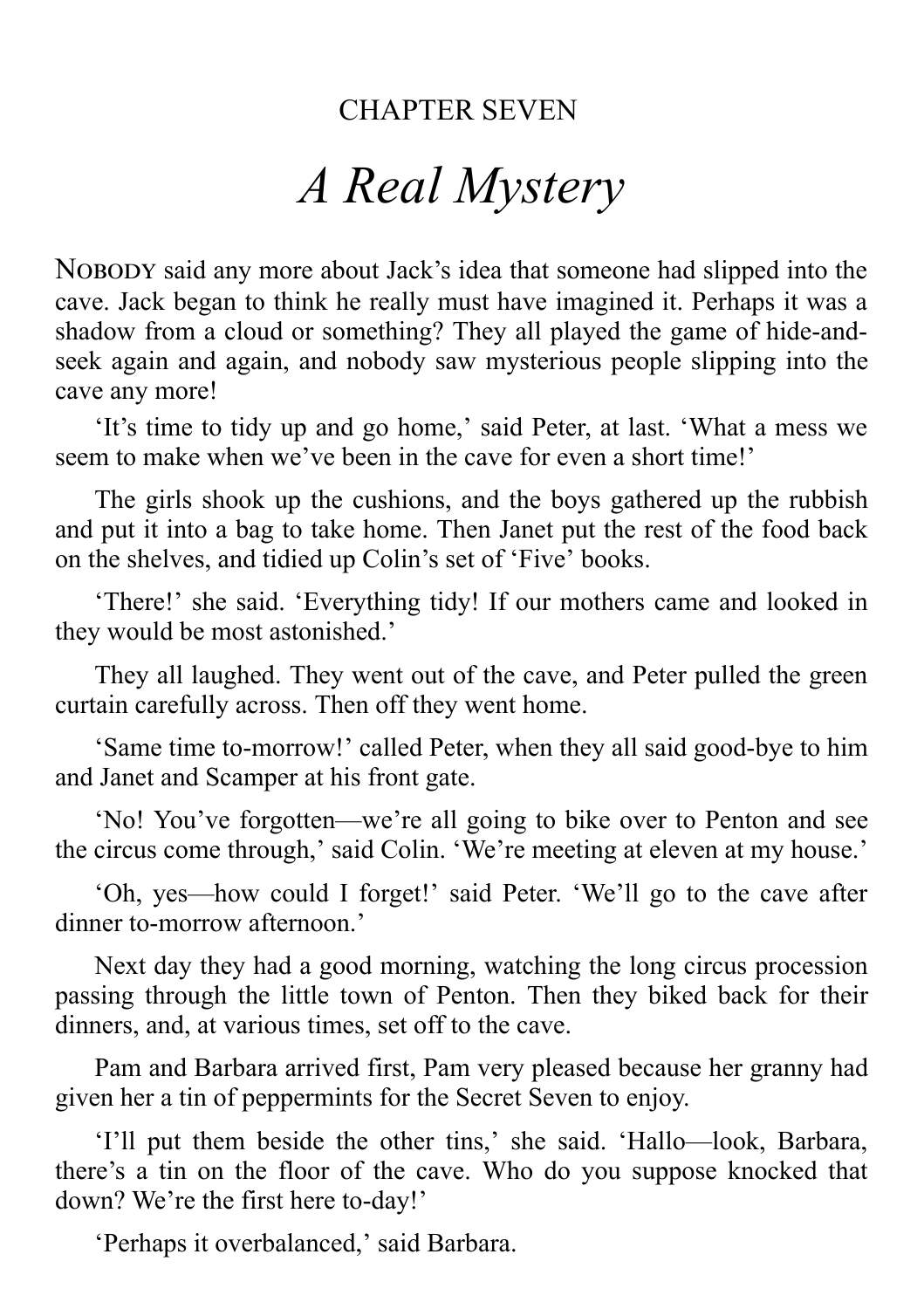#### CHAPTER SEVEN

## *A Real Mystery*

<span id="page-27-0"></span>NOBODY said any more about Jack's idea that someone had slipped into the cave. Jack began to think he really must have imagined it. Perhaps it was a shadow from a cloud or something? They all played the game of hide-andseek again and again, and nobody saw mysterious people slipping into the cave any more!

'It's time to tidy up and go home,' said Peter, at last. 'What a mess we seem to make when we've been in the cave for even a short time!'

The girls shook up the cushions, and the boys gathered up the rubbish and put it into a bag to take home. Then Janet put the rest of the food back on the shelves, and tidied up Colin's set of 'Five' books.

'There!' she said. 'Everything tidy! If our mothers came and looked in they would be most astonished.'

They all laughed. They went out of the cave, and Peter pulled the green curtain carefully across. Then off they went home.

'Same time to-morrow!' called Peter, when they all said good-bye to him and Janet and Scamper at his front gate.

'No! You've forgotten—we're all going to bike over to Penton and see the circus come through,' said Colin. 'We're meeting at eleven at my house.'

'Oh, yes—how could I forget!' said Peter. 'We'll go to the cave after dinner to-morrow afternoon.'

Next day they had a good morning, watching the long circus procession passing through the little town of Penton. Then they biked back for their dinners, and, at various times, set off to the cave.

Pam and Barbara arrived first, Pam very pleased because her granny had given her a tin of peppermints for the Secret Seven to enjoy.

'I'll put them beside the other tins,' she said. 'Hallo—look, Barbara, there's a tin on the floor of the cave. Who do you suppose knocked that down? We're the first here to-day!'

'Perhaps it overbalanced,' said Barbara.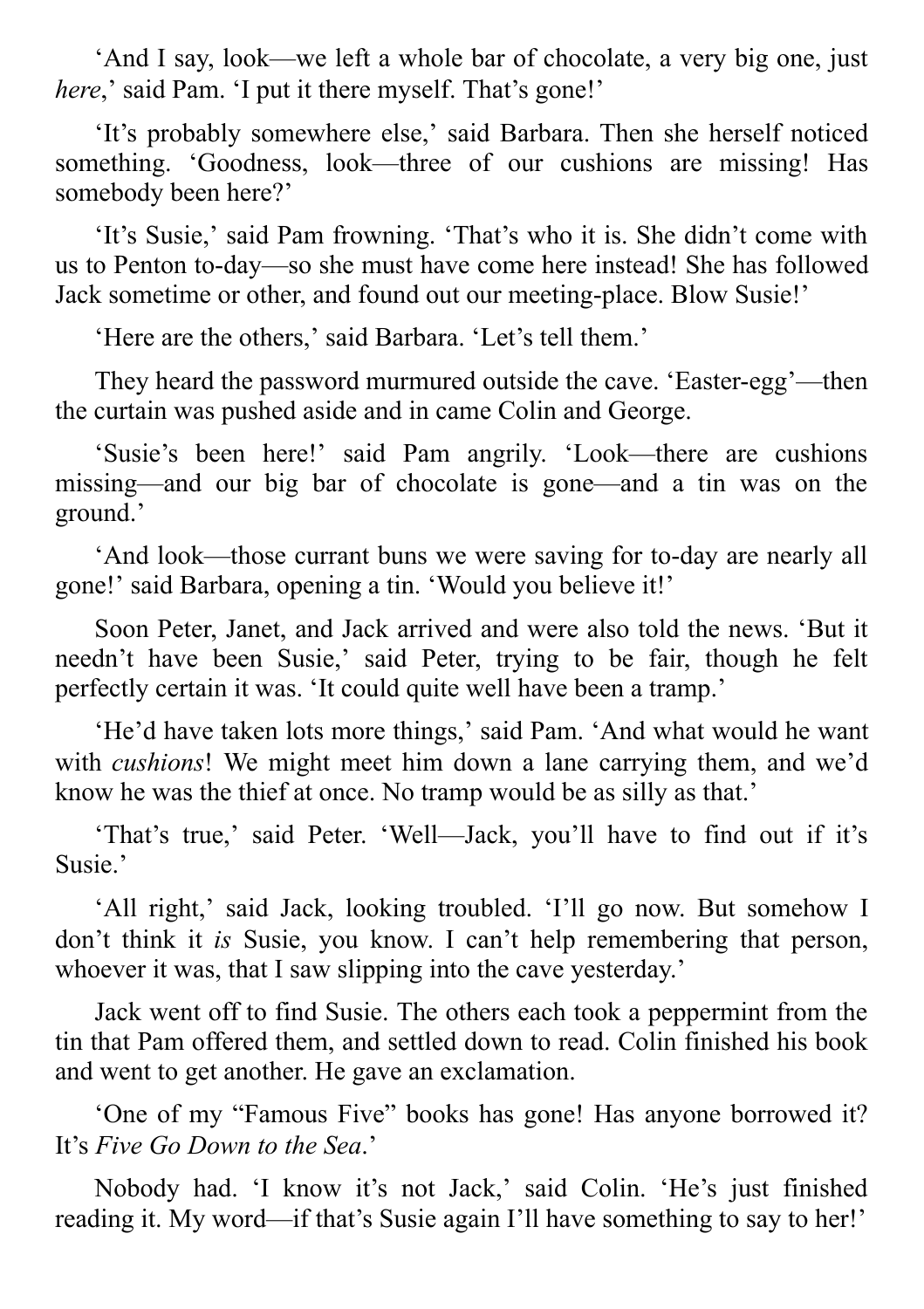'And I say, look—we left a whole bar of chocolate, a very big one, just *here*,' said Pam. 'I put it there myself. That's gone!'

'It's probably somewhere else,' said Barbara. Then she herself noticed something. 'Goodness, look—three of our cushions are missing! Has somebody been here?'

'It's Susie,' said Pam frowning. 'That's who it is. She didn't come with us to Penton to-day—so she must have come here instead! She has followed Jack sometime or other, and found out our meeting-place. Blow Susie!'

'Here are the others,' said Barbara. 'Let's tell them.'

They heard the password murmured outside the cave. 'Easter-egg'—then the curtain was pushed aside and in came Colin and George.

'Susie's been here!' said Pam angrily. 'Look—there are cushions missing—and our big bar of chocolate is gone—and a tin was on the ground.'

'And look—those currant buns we were saving for to-day are nearly all gone!' said Barbara, opening a tin. 'Would you believe it!'

Soon Peter, Janet, and Jack arrived and were also told the news. 'But it needn't have been Susie,' said Peter, trying to be fair, though he felt perfectly certain it was. 'It could quite well have been a tramp.'

'He'd have taken lots more things,' said Pam. 'And what would he want with *cushions*! We might meet him down a lane carrying them, and we'd know he was the thief at once. No tramp would be as silly as that.'

'That's true,' said Peter. 'Well—Jack, you'll have to find out if it's Susie.'

'All right,' said Jack, looking troubled. 'I'll go now. But somehow I don't think it *is* Susie, you know. I can't help remembering that person, whoever it was, that I saw slipping into the cave yesterday.'

Jack went off to find Susie. The others each took a peppermint from the tin that Pam offered them, and settled down to read. Colin finished his book and went to get another. He gave an exclamation.

'One of my "Famous Five" books has gone! Has anyone borrowed it? It's *Five Go Down to the Sea*.'

Nobody had. 'I know it's not Jack,' said Colin. 'He's just finished reading it. My word—if that's Susie again I'll have something to say to her!'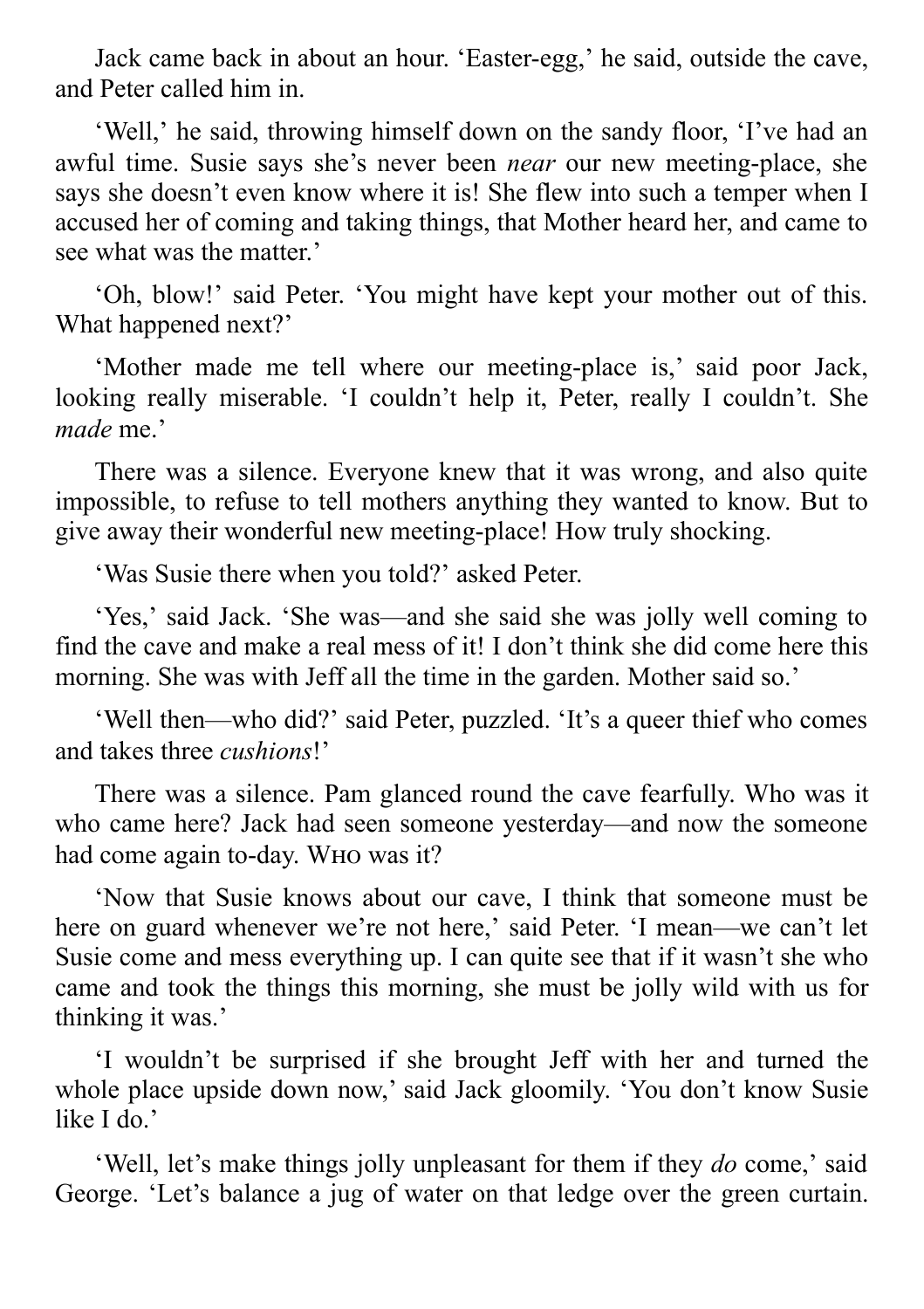Jack came back in about an hour. 'Easter-egg,' he said, outside the cave, and Peter called him in.

'Well,' he said, throwing himself down on the sandy floor, 'I've had an awful time. Susie says she's never been *near* our new meeting-place, she says she doesn't even know where it is! She flew into such a temper when I accused her of coming and taking things, that Mother heard her, and came to see what was the matter.'

'Oh, blow!' said Peter. 'You might have kept your mother out of this. What happened next?'

'Mother made me tell where our meeting-place is,' said poor Jack, looking really miserable. 'I couldn't help it, Peter, really I couldn't. She *made* me.'

There was a silence. Everyone knew that it was wrong, and also quite impossible, to refuse to tell mothers anything they wanted to know. But to give away their wonderful new meeting-place! How truly shocking.

'Was Susie there when you told?' asked Peter.

'Yes,' said Jack. 'She was—and she said she was jolly well coming to find the cave and make a real mess of it! I don't think she did come here this morning. She was with Jeff all the time in the garden. Mother said so.'

'Well then—who did?' said Peter, puzzled. 'It's a queer thief who comes and takes three *cushions*!'

There was a silence. Pam glanced round the cave fearfully. Who was it who came here? Jack had seen someone yesterday—and now the someone had come again to-day. Who was it?

'Now that Susie knows about our cave, I think that someone must be here on guard whenever we're not here,' said Peter. 'I mean—we can't let Susie come and mess everything up. I can quite see that if it wasn't she who came and took the things this morning, she must be jolly wild with us for thinking it was.'

'I wouldn't be surprised if she brought Jeff with her and turned the whole place upside down now,' said Jack gloomily. 'You don't know Susie like I do.'

'Well, let's make things jolly unpleasant for them if they *do* come,' said George. 'Let's balance a jug of water on that ledge over the green curtain.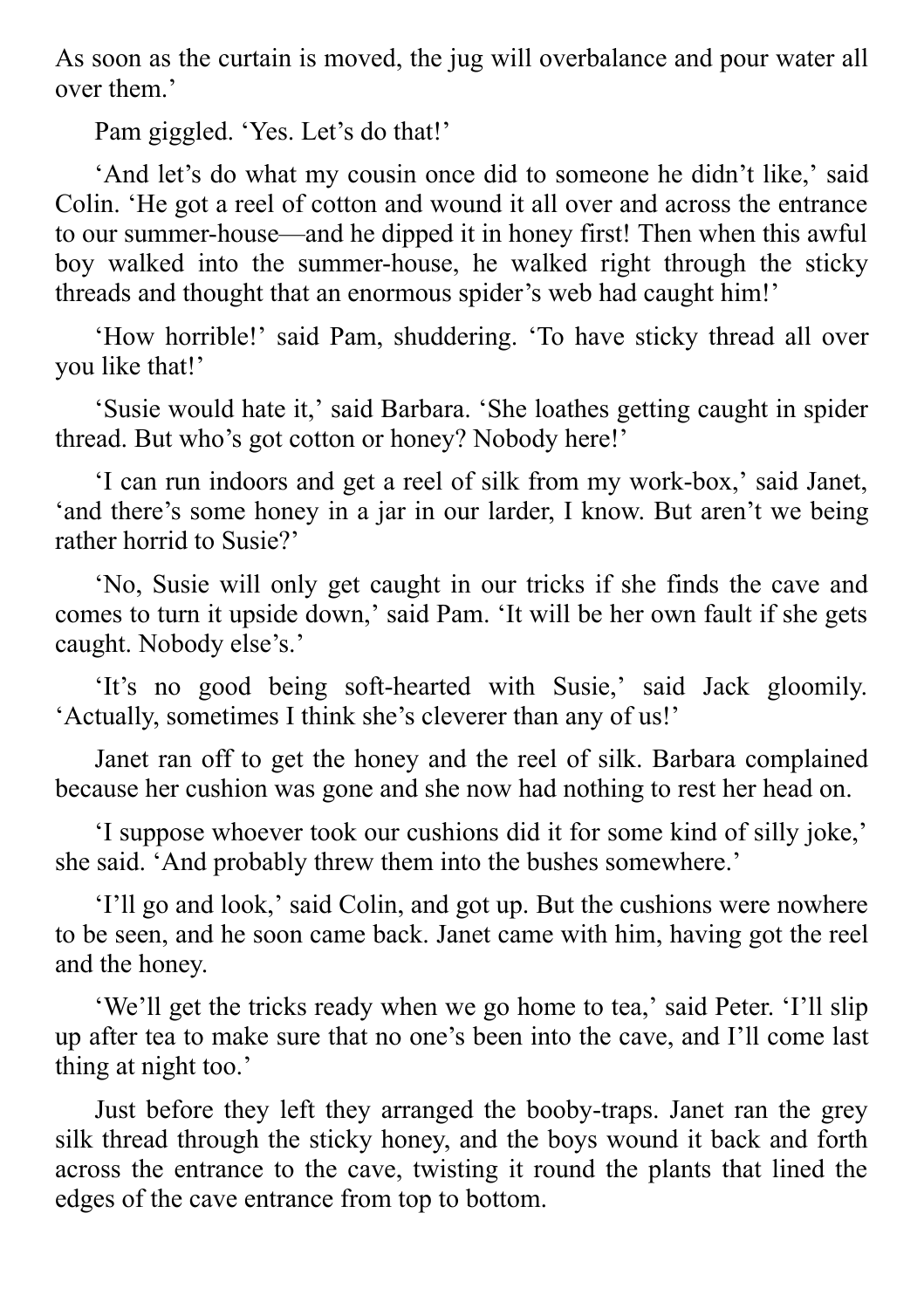As soon as the curtain is moved, the jug will overbalance and pour water all over them.'

Pam giggled. 'Yes. Let's do that!'

'And let's do what my cousin once did to someone he didn't like,' said Colin. 'He got a reel of cotton and wound it all over and across the entrance to our summer-house—and he dipped it in honey first! Then when this awful boy walked into the summer-house, he walked right through the sticky threads and thought that an enormous spider's web had caught him!'

'How horrible!' said Pam, shuddering. 'To have sticky thread all over you like that!'

'Susie would hate it,' said Barbara. 'She loathes getting caught in spider thread. But who's got cotton or honey? Nobody here!'

'I can run indoors and get a reel of silk from my work-box,' said Janet, 'and there's some honey in a jar in our larder, I know. But aren't we being rather horrid to Susie?'

'No, Susie will only get caught in our tricks if she finds the cave and comes to turn it upside down,' said Pam. 'It will be her own fault if she gets caught. Nobody else's.'

'It's no good being soft-hearted with Susie,' said Jack gloomily. 'Actually, sometimes I think she's cleverer than any of us!'

Janet ran off to get the honey and the reel of silk. Barbara complained because her cushion was gone and she now had nothing to rest her head on.

'I suppose whoever took our cushions did it for some kind of silly joke,' she said. 'And probably threw them into the bushes somewhere.'

'I'll go and look,' said Colin, and got up. But the cushions were nowhere to be seen, and he soon came back. Janet came with him, having got the reel and the honey.

'We'll get the tricks ready when we go home to tea,' said Peter. 'I'll slip up after tea to make sure that no one's been into the cave, and I'll come last thing at night too.'

Just before they left they arranged the booby-traps. Janet ran the grey silk thread through the sticky honey, and the boys wound it back and forth across the entrance to the cave, twisting it round the plants that lined the edges of the cave entrance from top to bottom.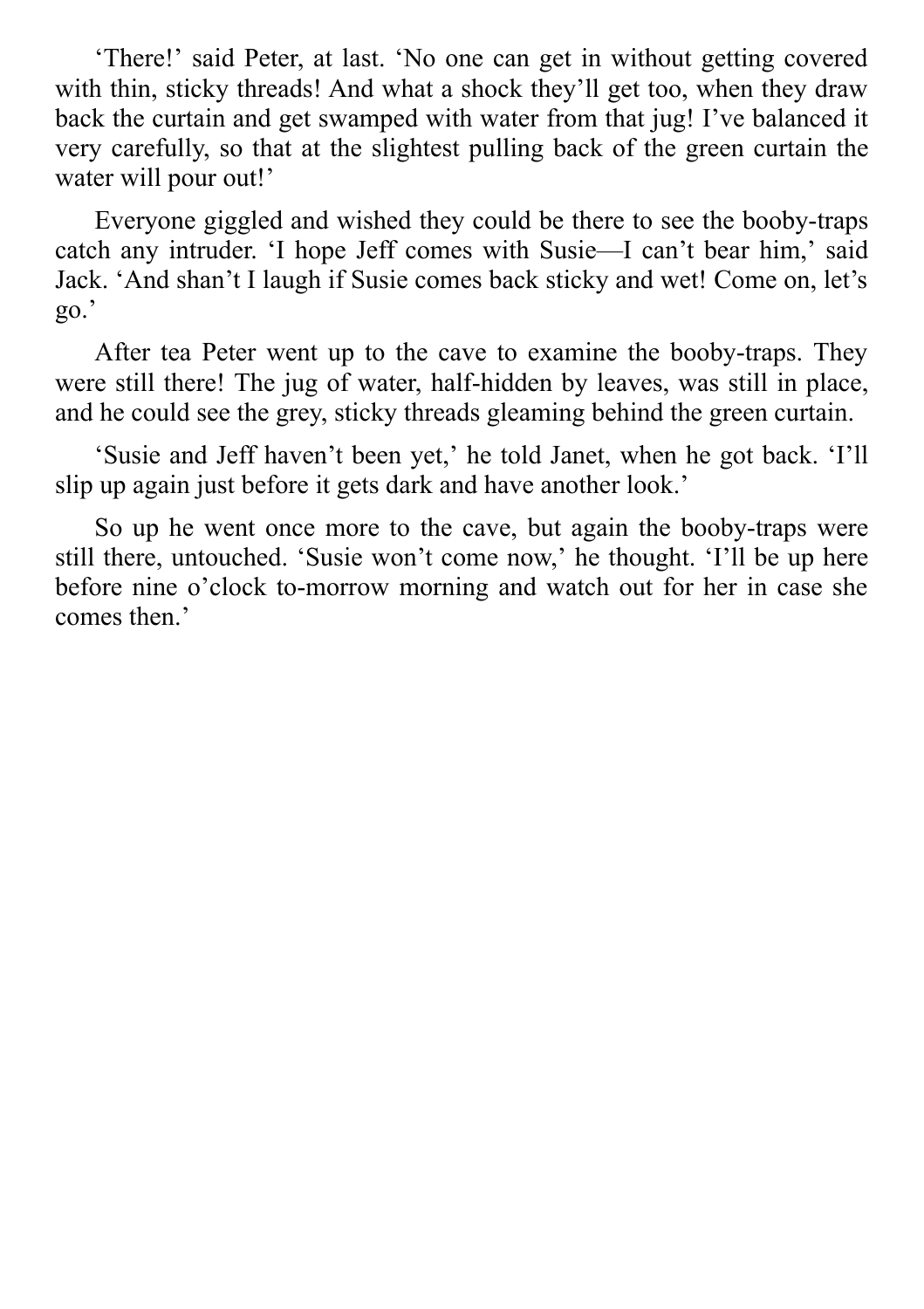'There!' said Peter, at last. 'No one can get in without getting covered with thin, sticky threads! And what a shock they'll get too, when they draw back the curtain and get swamped with water from that jug! I've balanced it very carefully, so that at the slightest pulling back of the green curtain the water will pour out!'

Everyone giggled and wished they could be there to see the booby-traps catch any intruder. 'I hope Jeff comes with Susie—I can't bear him,' said Jack. 'And shan't I laugh if Susie comes back sticky and wet! Come on, let's  $g_0$ .

After tea Peter went up to the cave to examine the booby-traps. They were still there! The jug of water, half-hidden by leaves, was still in place, and he could see the grey, sticky threads gleaming behind the green curtain.

'Susie and Jeff haven't been yet,' he told Janet, when he got back. 'I'll slip up again just before it gets dark and have another look.'

So up he went once more to the cave, but again the booby-traps were still there, untouched. 'Susie won't come now,' he thought. 'I'll be up here before nine o'clock to-morrow morning and watch out for her in case she comes then.'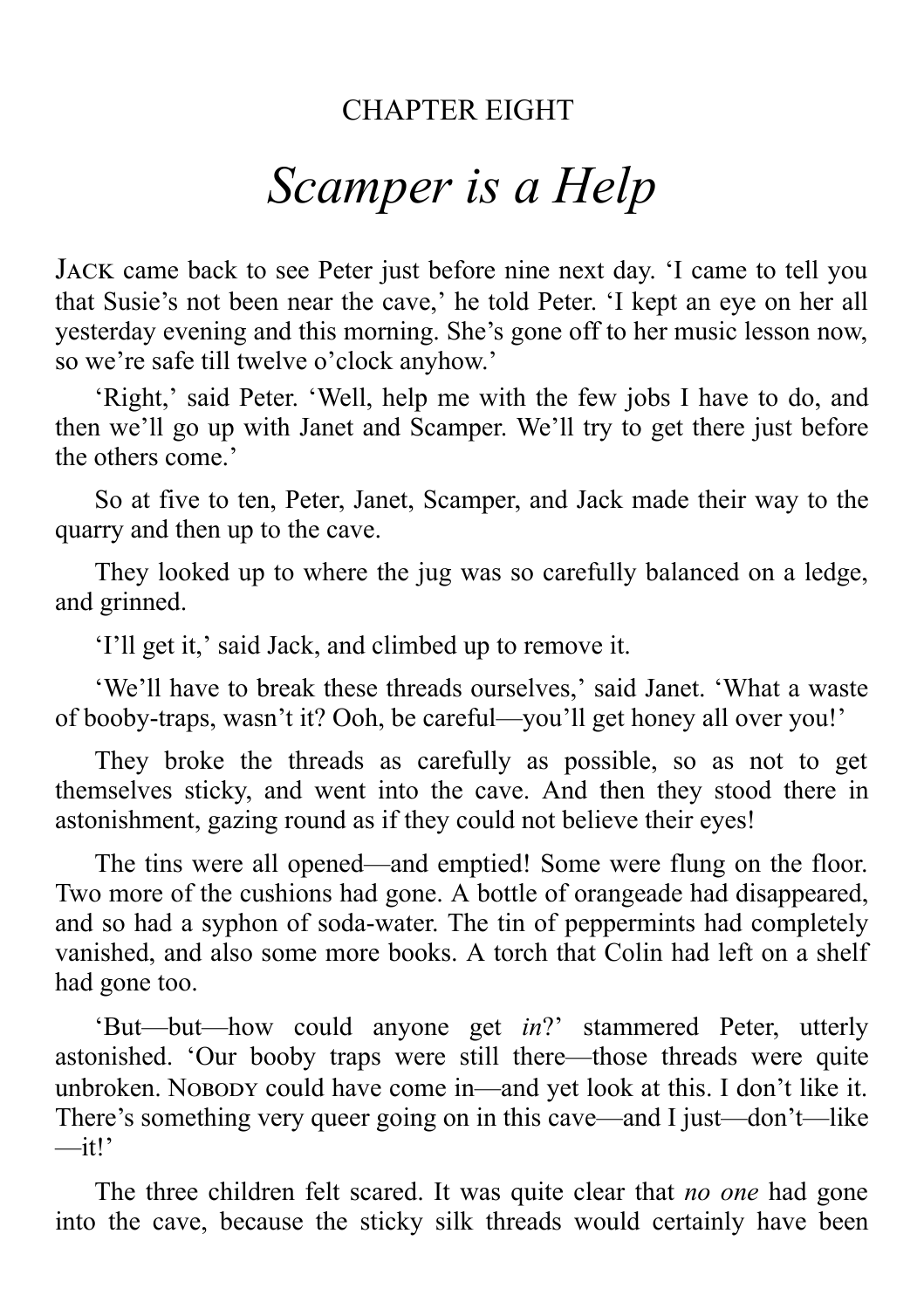#### CHAPTER EIGHT

## *Scamper is a Help*

<span id="page-32-0"></span>JACK came back to see Peter just before nine next day. 'I came to tell you that Susie's not been near the cave,' he told Peter. 'I kept an eye on her all yesterday evening and this morning. She's gone off to her music lesson now, so we're safe till twelve o'clock anyhow.'

'Right,' said Peter. 'Well, help me with the few jobs I have to do, and then we'll go up with Janet and Scamper. We'll try to get there just before the others come.'

So at five to ten, Peter, Janet, Scamper, and Jack made their way to the quarry and then up to the cave.

They looked up to where the jug was so carefully balanced on a ledge, and grinned.

'I'll get it,' said Jack, and climbed up to remove it.

'We'll have to break these threads ourselves,' said Janet. 'What a waste of booby-traps, wasn't it? Ooh, be careful—you'll get honey all over you!'

They broke the threads as carefully as possible, so as not to get themselves sticky, and went into the cave. And then they stood there in astonishment, gazing round as if they could not believe their eyes!

The tins were all opened—and emptied! Some were flung on the floor. Two more of the cushions had gone. A bottle of orangeade had disappeared, and so had a syphon of soda-water. The tin of peppermints had completely vanished, and also some more books. A torch that Colin had left on a shelf had gone too.

'But—but—how could anyone get *in*?' stammered Peter, utterly astonished. 'Our booby traps were still there—those threads were quite unbroken. NOBODY could have come in—and yet look at this. I don't like it. There's something very queer going on in this cave—and I just—don't—like  $\frac{1}{\sqrt{1}}$ 

The three children felt scared. It was quite clear that *no one* had gone into the cave, because the sticky silk threads would certainly have been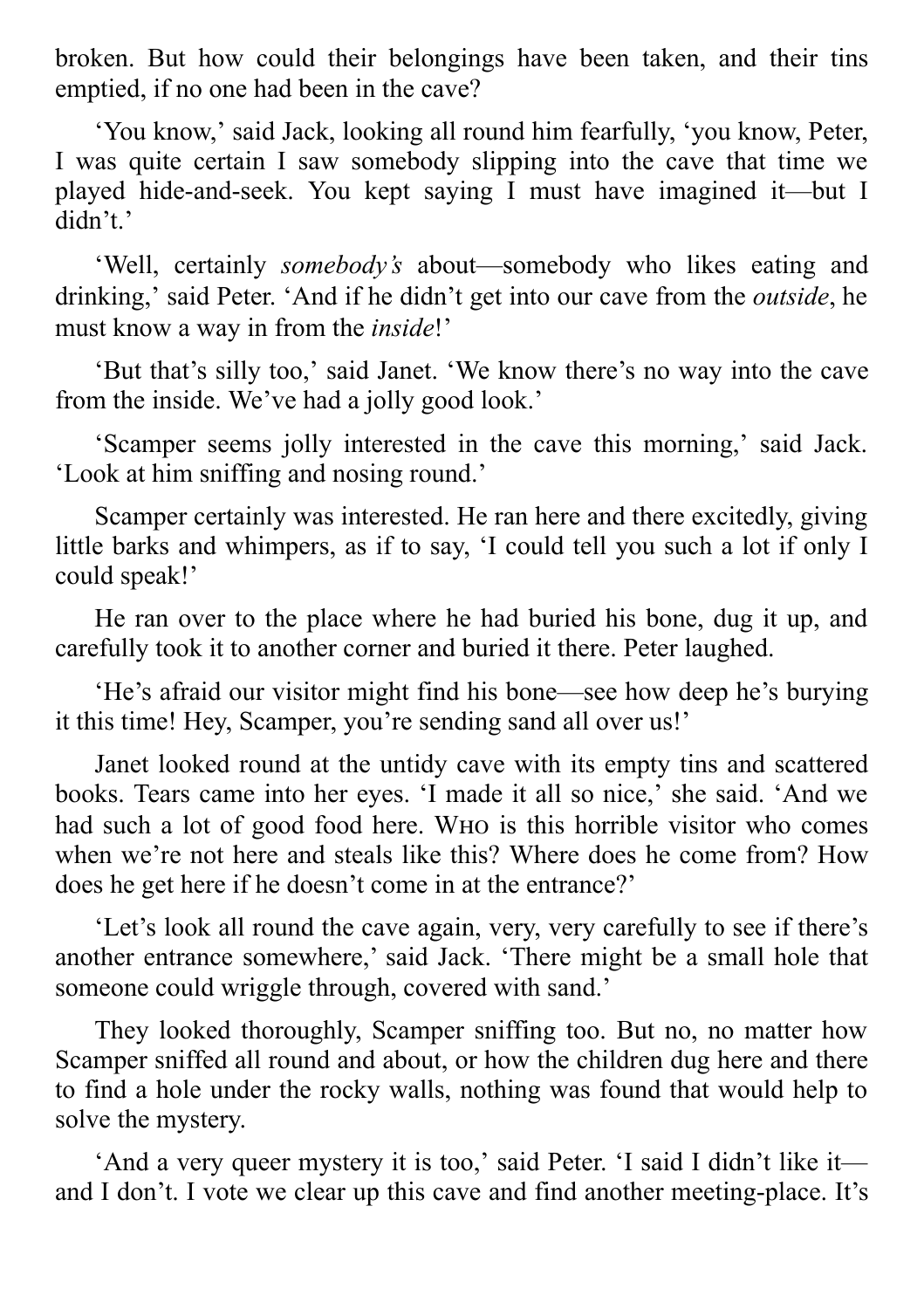broken. But how could their belongings have been taken, and their tins emptied, if no one had been in the cave?

'You know,' said Jack, looking all round him fearfully, 'you know, Peter, I was quite certain I saw somebody slipping into the cave that time we played hide-and-seek. You kept saying I must have imagined it—but I didn't.'

'Well, certainly *somebody's* about—somebody who likes eating and drinking,' said Peter. 'And if he didn't get into our cave from the *outside*, he must know a way in from the *inside*!'

'But that's silly too,' said Janet. 'We know there's no way into the cave from the inside. We've had a jolly good look.'

'Scamper seems jolly interested in the cave this morning,' said Jack. 'Look at him sniffing and nosing round.'

Scamper certainly was interested. He ran here and there excitedly, giving little barks and whimpers, as if to say, 'I could tell you such a lot if only I could speak!'

He ran over to the place where he had buried his bone, dug it up, and carefully took it to another corner and buried it there. Peter laughed.

'He's afraid our visitor might find his bone—see how deep he's burying it this time! Hey, Scamper, you're sending sand all over us!'

Janet looked round at the untidy cave with its empty tins and scattered books. Tears came into her eyes. 'I made it all so nice,' she said. 'And we had such a lot of good food here. Who is this horrible visitor who comes when we're not here and steals like this? Where does he come from? How does he get here if he doesn't come in at the entrance?'

'Let's look all round the cave again, very, very carefully to see if there's another entrance somewhere,' said Jack. 'There might be a small hole that someone could wriggle through, covered with sand.'

They looked thoroughly, Scamper sniffing too. But no, no matter how Scamper sniffed all round and about, or how the children dug here and there to find a hole under the rocky walls, nothing was found that would help to solve the mystery.

'And a very queer mystery it is too,' said Peter. 'I said I didn't like it and I don't. I vote we clear up this cave and find another meeting-place. It's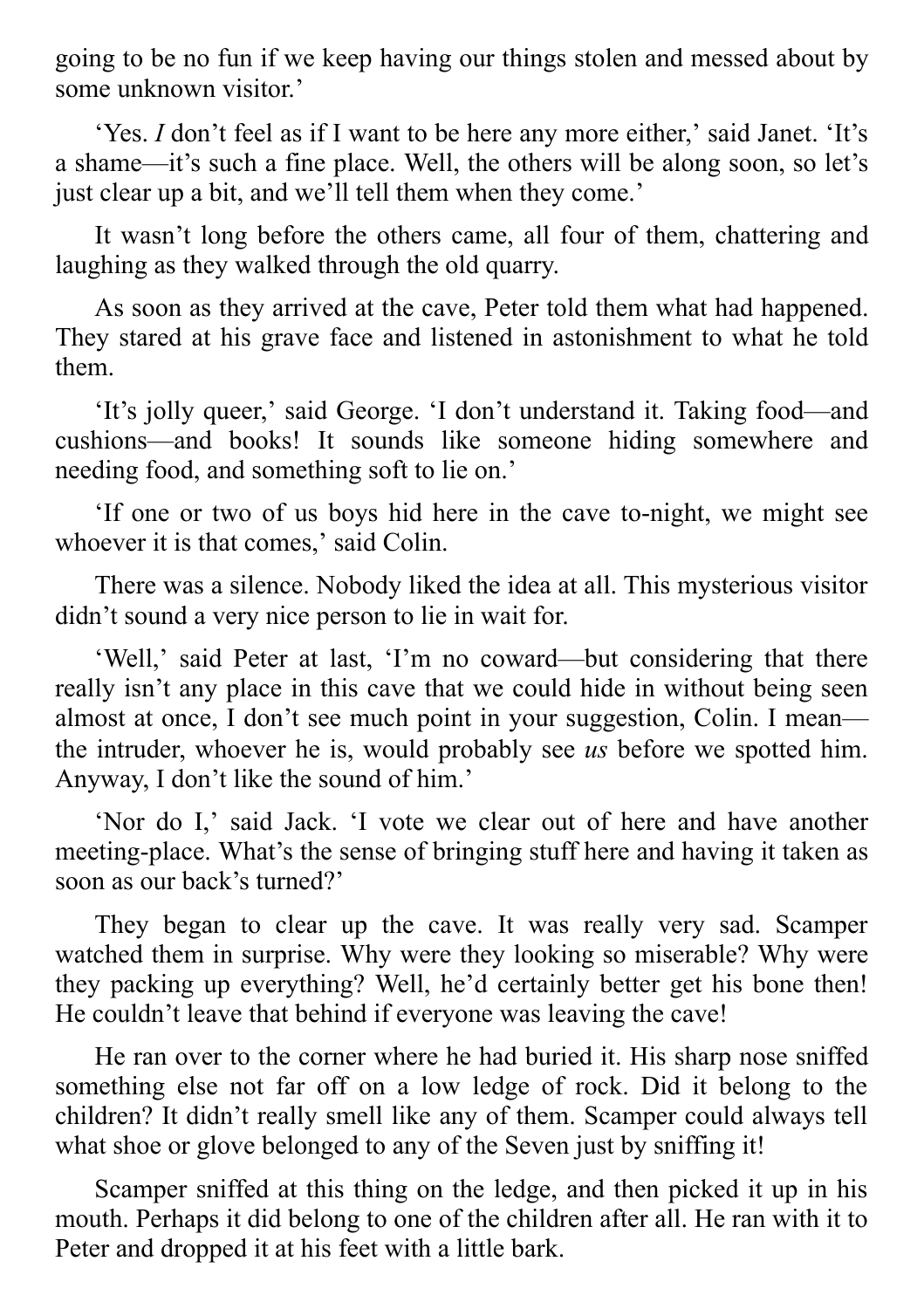going to be no fun if we keep having our things stolen and messed about by some unknown visitor.'

'Yes. *I* don't feel as if I want to be here any more either,' said Janet. 'It's a shame—it's such a fine place. Well, the others will be along soon, so let's just clear up a bit, and we'll tell them when they come.'

It wasn't long before the others came, all four of them, chattering and laughing as they walked through the old quarry.

As soon as they arrived at the cave, Peter told them what had happened. They stared at his grave face and listened in astonishment to what he told them.

'It's jolly queer,' said George. 'I don't understand it. Taking food—and cushions—and books! It sounds like someone hiding somewhere and needing food, and something soft to lie on.'

'If one or two of us boys hid here in the cave to-night, we might see whoever it is that comes,' said Colin.

There was a silence. Nobody liked the idea at all. This mysterious visitor didn't sound a very nice person to lie in wait for.

'Well,' said Peter at last, 'I'm no coward—but considering that there really isn't any place in this cave that we could hide in without being seen almost at once, I don't see much point in your suggestion, Colin. I mean the intruder, whoever he is, would probably see *us* before we spotted him. Anyway, I don't like the sound of him.'

'Nor do I,' said Jack. 'I vote we clear out of here and have another meeting-place. What's the sense of bringing stuff here and having it taken as soon as our back's turned?'

They began to clear up the cave. It was really very sad. Scamper watched them in surprise. Why were they looking so miserable? Why were they packing up everything? Well, he'd certainly better get his bone then! He couldn't leave that behind if everyone was leaving the cave!

He ran over to the corner where he had buried it. His sharp nose sniffed something else not far off on a low ledge of rock. Did it belong to the children? It didn't really smell like any of them. Scamper could always tell what shoe or glove belonged to any of the Seven just by sniffing it!

Scamper sniffed at this thing on the ledge, and then picked it up in his mouth. Perhaps it did belong to one of the children after all. He ran with it to Peter and dropped it at his feet with a little bark.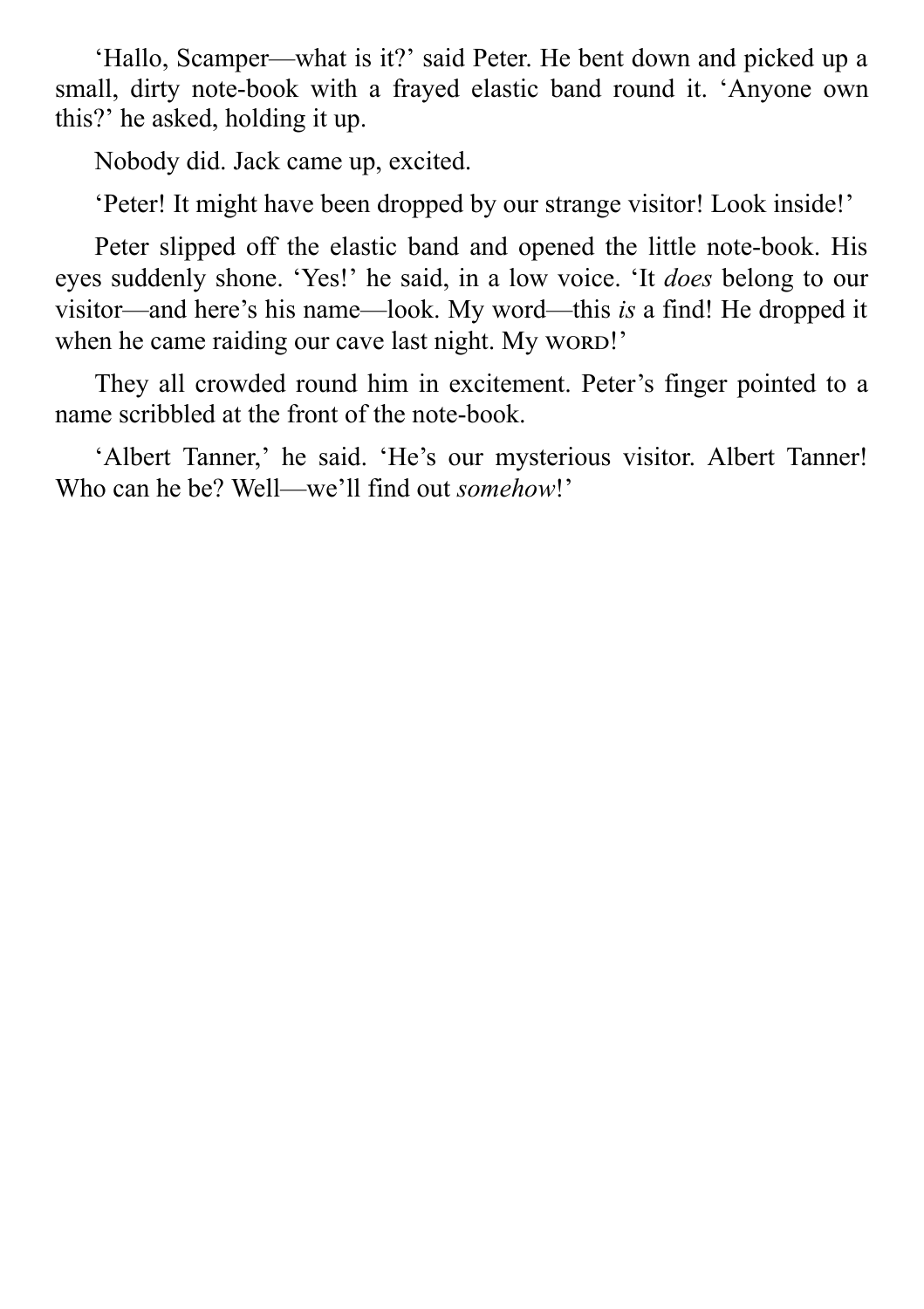'Hallo, Scamper—what is it?' said Peter. He bent down and picked up a small, dirty note-book with a frayed elastic band round it. 'Anyone own this?' he asked, holding it up.

Nobody did. Jack came up, excited.

'Peter! It might have been dropped by our strange visitor! Look inside!'

Peter slipped off the elastic band and opened the little note-book. His eyes suddenly shone. 'Yes!' he said, in a low voice. 'It *does* belong to our visitor—and here's his name—look. My word—this *is* a find! He dropped it when he came raiding our cave last night. My word!'

They all crowded round him in excitement. Peter's finger pointed to a name scribbled at the front of the note-book.

'Albert Tanner,' he said. 'He's our mysterious visitor. Albert Tanner! Who can he be? Well—we'll find out *somehow*!'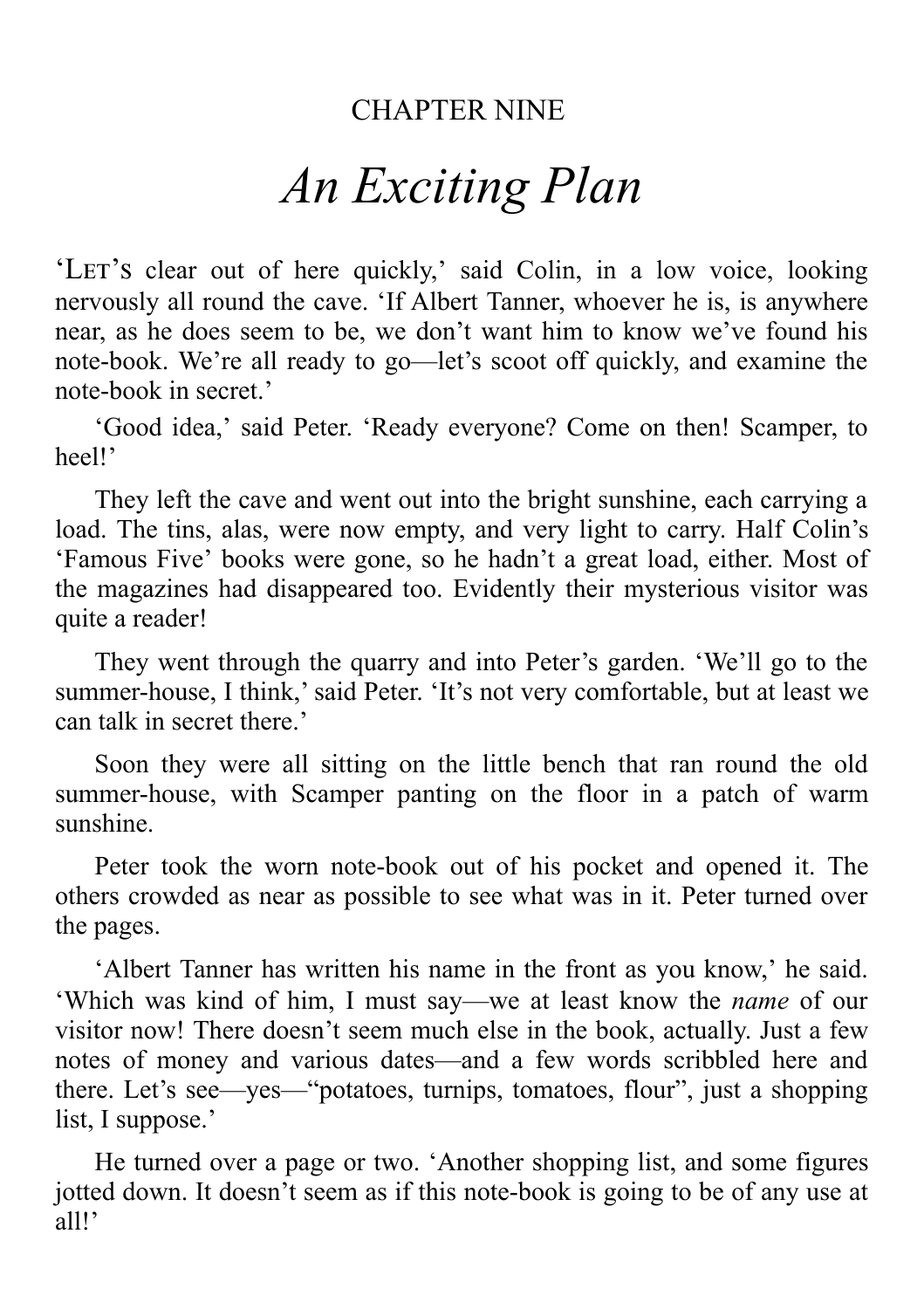#### CHAPTER NINE

## *An Exciting Plan*

<span id="page-36-0"></span>'LET'S clear out of here quickly,' said Colin, in a low voice, looking nervously all round the cave. 'If Albert Tanner, whoever he is, is anywhere near, as he does seem to be, we don't want him to know we've found his note-book. We're all ready to go—let's scoot off quickly, and examine the note-book in secret.'

'Good idea,' said Peter. 'Ready everyone? Come on then! Scamper, to heel!'

They left the cave and went out into the bright sunshine, each carrying a load. The tins, alas, were now empty, and very light to carry. Half Colin's 'Famous Five' books were gone, so he hadn't a great load, either. Most of the magazines had disappeared too. Evidently their mysterious visitor was quite a reader!

They went through the quarry and into Peter's garden. 'We'll go to the summer-house, I think,' said Peter. 'It's not very comfortable, but at least we can talk in secret there.'

Soon they were all sitting on the little bench that ran round the old summer-house, with Scamper panting on the floor in a patch of warm sunshine.

Peter took the worn note-book out of his pocket and opened it. The others crowded as near as possible to see what was in it. Peter turned over the pages.

'Albert Tanner has written his name in the front as you know,' he said. 'Which was kind of him, I must say—we at least know the *name* of our visitor now! There doesn't seem much else in the book, actually. Just a few notes of money and various dates—and a few words scribbled here and there. Let's see—yes—"potatoes, turnips, tomatoes, flour", just a shopping list, I suppose.'

He turned over a page or two. 'Another shopping list, and some figures jotted down. It doesn't seem as if this note-book is going to be of any use at all!'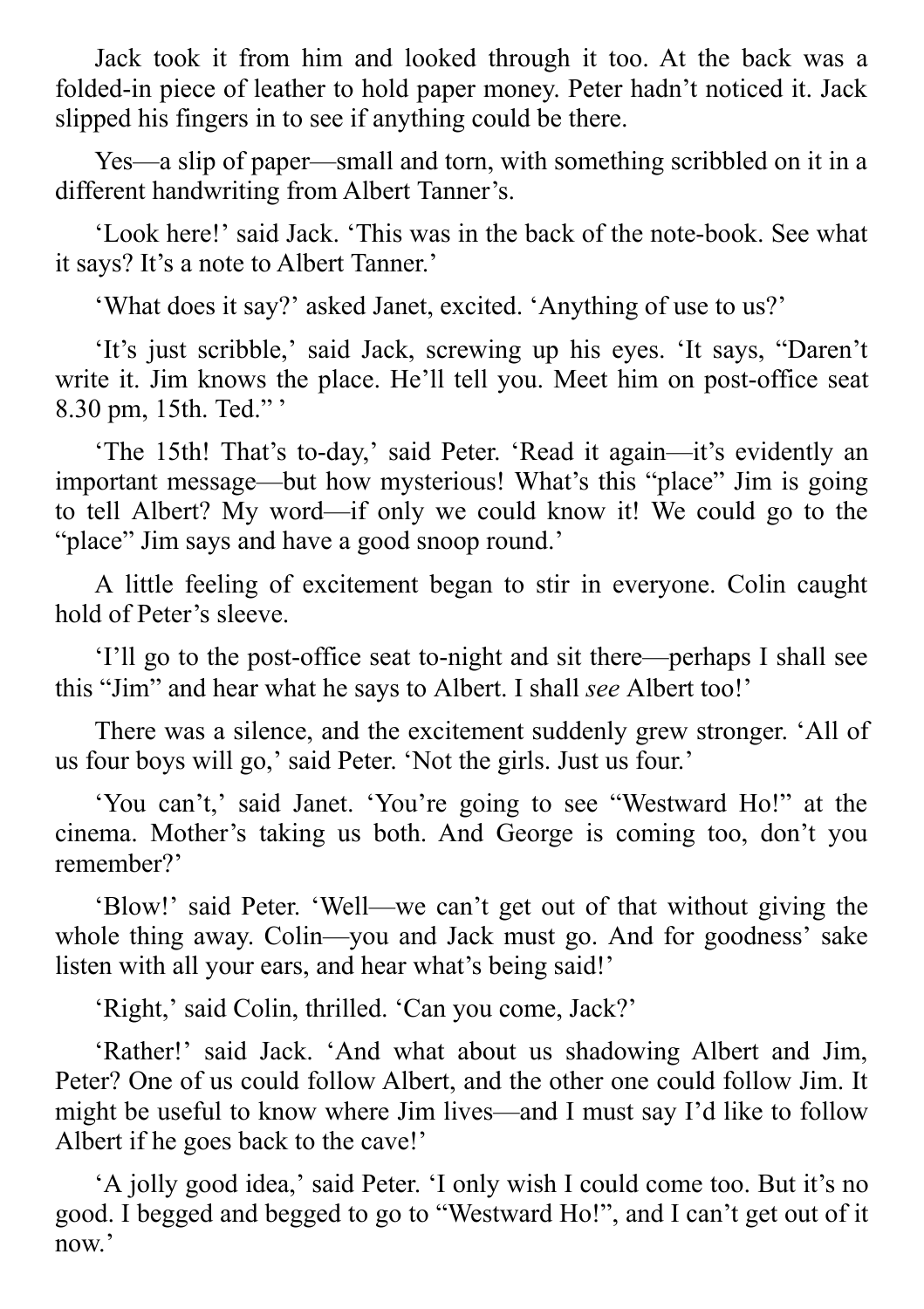Jack took it from him and looked through it too. At the back was a folded-in piece of leather to hold paper money. Peter hadn't noticed it. Jack slipped his fingers in to see if anything could be there.

Yes—a slip of paper—small and torn, with something scribbled on it in a different handwriting from Albert Tanner's.

'Look here!' said Jack. 'This was in the back of the note-book. See what it says? It's a note to Albert Tanner.'

'What does it say?' asked Janet, excited. 'Anything of use to us?'

'It's just scribble,' said Jack, screwing up his eyes. 'It says, "Daren't write it. Jim knows the place. He'll tell you. Meet him on post-office seat 8.30 pm, 15th. Ted." '

'The 15th! That's to-day,' said Peter. 'Read it again—it's evidently an important message—but how mysterious! What's this "place" Jim is going to tell Albert? My word—if only we could know it! We could go to the "place" Jim says and have a good snoop round.'

A little feeling of excitement began to stir in everyone. Colin caught hold of Peter's sleeve.

'I'll go to the post-office seat to-night and sit there—perhaps I shall see this "Jim" and hear what he says to Albert. I shall *see* Albert too!'

There was a silence, and the excitement suddenly grew stronger. 'All of us four boys will go,' said Peter. 'Not the girls. Just us four.'

'You can't,' said Janet. 'You're going to see "Westward Ho!" at the cinema. Mother's taking us both. And George is coming too, don't you remember?'

'Blow!' said Peter. 'Well—we can't get out of that without giving the whole thing away. Colin—you and Jack must go. And for goodness' sake listen with all your ears, and hear what's being said!'

'Right,' said Colin, thrilled. 'Can you come, Jack?'

'Rather!' said Jack. 'And what about us shadowing Albert and Jim, Peter? One of us could follow Albert, and the other one could follow Jim. It might be useful to know where Jim lives—and I must say I'd like to follow Albert if he goes back to the cave!'

'A jolly good idea,' said Peter. 'I only wish I could come too. But it's no good. I begged and begged to go to "Westward Ho!", and I can't get out of it now.'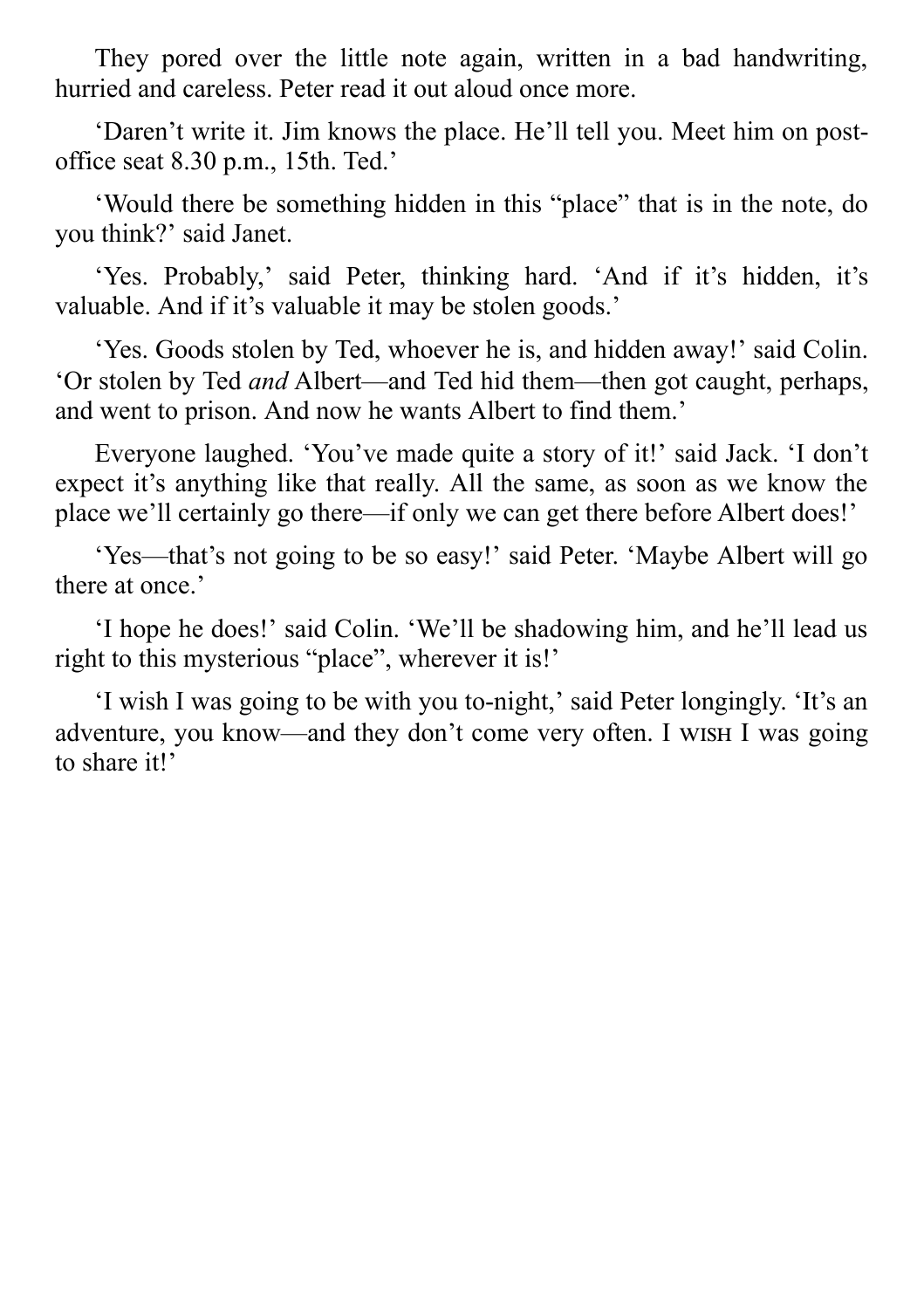They pored over the little note again, written in a bad handwriting, hurried and careless. Peter read it out aloud once more.

'Daren't write it. Jim knows the place. He'll tell you. Meet him on postoffice seat 8.30 p.m., 15th. Ted.'

'Would there be something hidden in this "place" that is in the note, do you think?' said Janet.

'Yes. Probably,' said Peter, thinking hard. 'And if it's hidden, it's valuable. And if it's valuable it may be stolen goods.'

'Yes. Goods stolen by Ted, whoever he is, and hidden away!' said Colin. 'Or stolen by Ted *and* Albert—and Ted hid them—then got caught, perhaps, and went to prison. And now he wants Albert to find them.'

Everyone laughed. 'You've made quite a story of it!' said Jack. 'I don't expect it's anything like that really. All the same, as soon as we know the place we'll certainly go there—if only we can get there before Albert does!'

'Yes—that's not going to be so easy!' said Peter. 'Maybe Albert will go there at once.'

'I hope he does!' said Colin. 'We'll be shadowing him, and he'll lead us right to this mysterious "place", wherever it is!'

'I wish I was going to be with you to-night,' said Peter longingly. 'It's an adventure, you know—and they don't come very often. I wish I was going to share it!'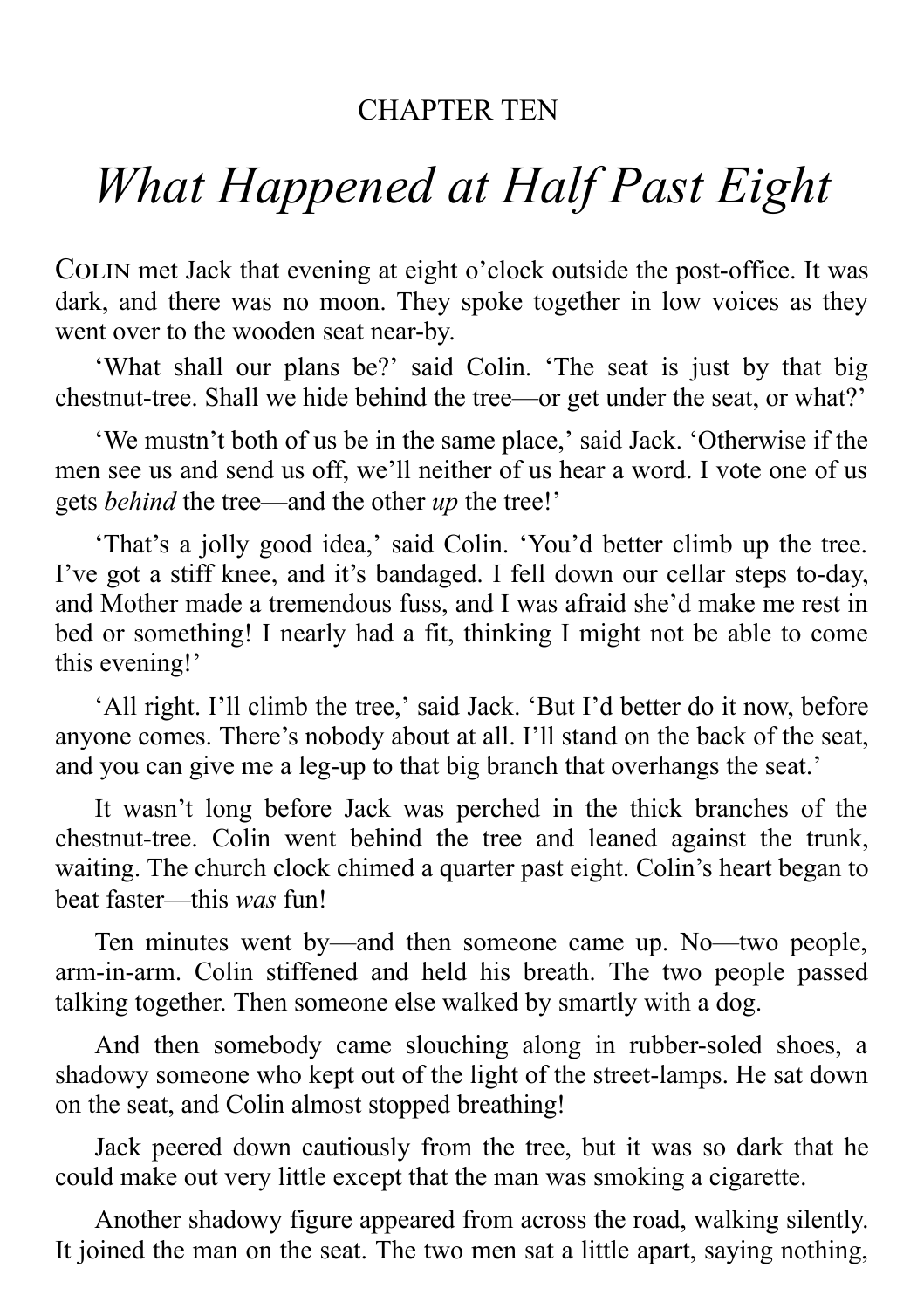#### CHAPTER TEN

## <span id="page-39-0"></span>*What Happened at Half Past Eight*

COLIN met Jack that evening at eight o'clock outside the post-office. It was dark, and there was no moon. They spoke together in low voices as they went over to the wooden seat near-by.

'What shall our plans be?' said Colin. 'The seat is just by that big chestnut-tree. Shall we hide behind the tree—or get under the seat, or what?'

'We mustn't both of us be in the same place,' said Jack. 'Otherwise if the men see us and send us off, we'll neither of us hear a word. I vote one of us gets *behind* the tree—and the other *up* the tree!'

'That's a jolly good idea,' said Colin. 'You'd better climb up the tree. I've got a stiff knee, and it's bandaged. I fell down our cellar steps to-day, and Mother made a tremendous fuss, and I was afraid she'd make me rest in bed or something! I nearly had a fit, thinking I might not be able to come this evening!'

'All right. I'll climb the tree,' said Jack. 'But I'd better do it now, before anyone comes. There's nobody about at all. I'll stand on the back of the seat, and you can give me a leg-up to that big branch that overhangs the seat.'

It wasn't long before Jack was perched in the thick branches of the chestnut-tree. Colin went behind the tree and leaned against the trunk, waiting. The church clock chimed a quarter past eight. Colin's heart began to beat faster—this *was* fun!

Ten minutes went by—and then someone came up. No—two people, arm-in-arm. Colin stiffened and held his breath. The two people passed talking together. Then someone else walked by smartly with a dog.

And then somebody came slouching along in rubber-soled shoes, a shadowy someone who kept out of the light of the street-lamps. He sat down on the seat, and Colin almost stopped breathing!

Jack peered down cautiously from the tree, but it was so dark that he could make out very little except that the man was smoking a cigarette.

Another shadowy figure appeared from across the road, walking silently. It joined the man on the seat. The two men sat a little apart, saying nothing,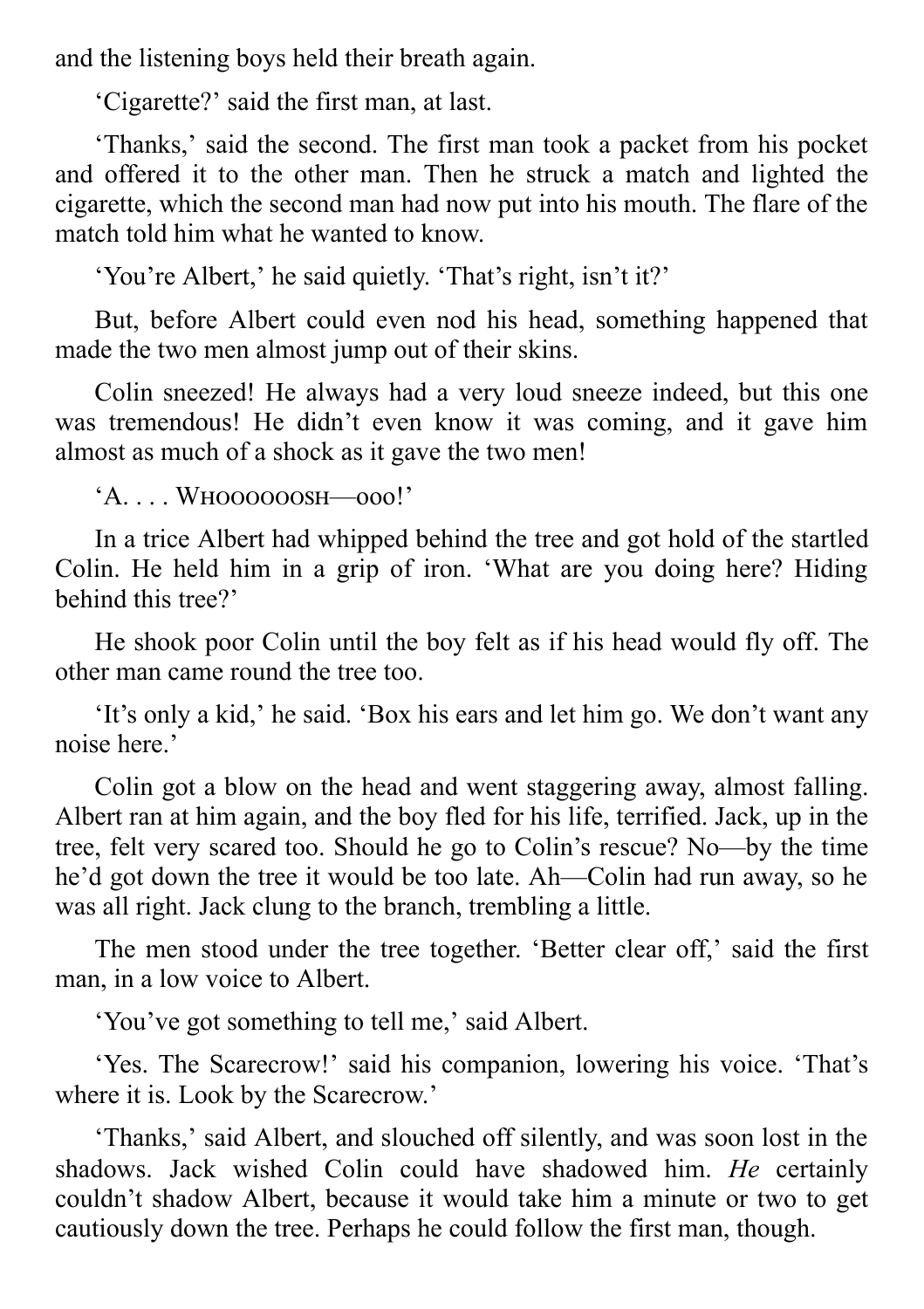and the listening boys held their breath again.

'Cigarette?' said the first man, at last.

'Thanks,' said the second. The first man took a packet from his pocket and offered it to the other man. Then he struck a match and lighted the cigarette, which the second man had now put into his mouth. The flare of the match told him what he wanted to know.

'You're Albert,' he said quietly. 'That's right, isn't it?'

But, before Albert could even nod his head, something happened that made the two men almost jump out of their skins.

Colin sneezed! He always had a very loud sneeze indeed, but this one was tremendous! He didn't even know it was coming, and it gave him almost as much of a shock as it gave the two men!

 $'A$ . . . . WHOOOOOOSH—ooo!'

In a trice Albert had whipped behind the tree and got hold of the startled Colin. He held him in a grip of iron. 'What are you doing here? Hiding behind this tree?'

He shook poor Colin until the boy felt as if his head would fly off. The other man came round the tree too.

'It's only a kid,' he said. 'Box his ears and let him go. We don't want any noise here.'

Colin got a blow on the head and went staggering away, almost falling. Albert ran at him again, and the boy fled for his life, terrified. Jack, up in the tree, felt very scared too. Should he go to Colin's rescue? No—by the time he'd got down the tree it would be too late. Ah—Colin had run away, so he was all right. Jack clung to the branch, trembling a little.

The men stood under the tree together. 'Better clear off,' said the first man, in a low voice to Albert.

'You've got something to tell me,' said Albert.

'Yes. The Scarecrow!' said his companion, lowering his voice. 'That's where it is. Look by the Scarecrow.'

'Thanks,' said Albert, and slouched off silently, and was soon lost in the shadows. Jack wished Colin could have shadowed him. *He* certainly couldn't shadow Albert, because it would take him a minute or two to get cautiously down the tree. Perhaps he could follow the first man, though.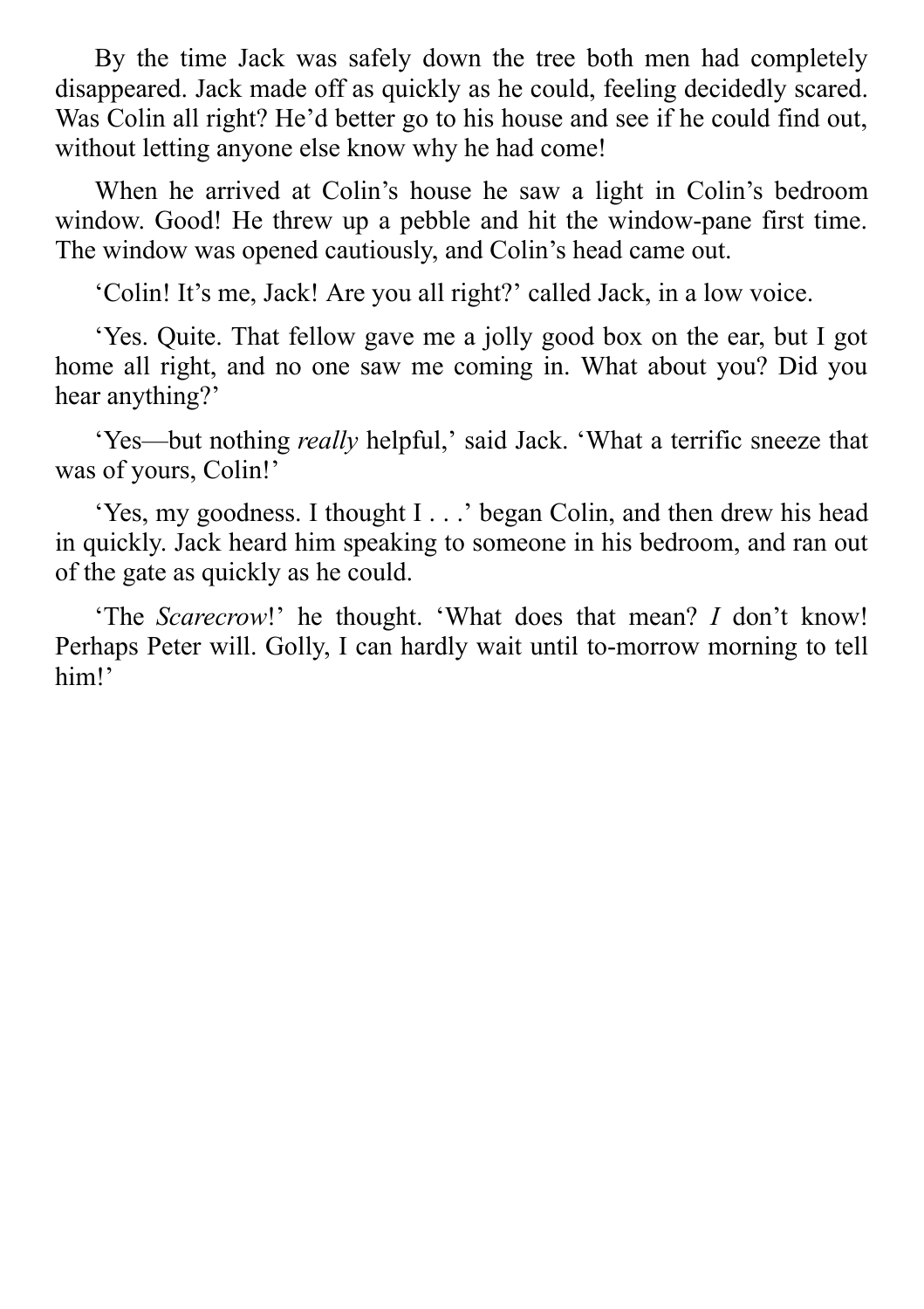By the time Jack was safely down the tree both men had completely disappeared. Jack made off as quickly as he could, feeling decidedly scared. Was Colin all right? He'd better go to his house and see if he could find out, without letting anyone else know why he had come!

When he arrived at Colin's house he saw a light in Colin's bedroom window. Good! He threw up a pebble and hit the window-pane first time. The window was opened cautiously, and Colin's head came out.

'Colin! It's me, Jack! Are you all right?' called Jack, in a low voice.

'Yes. Quite. That fellow gave me a jolly good box on the ear, but I got home all right, and no one saw me coming in. What about you? Did you hear anything?'

'Yes—but nothing *really* helpful,' said Jack. 'What a terrific sneeze that was of yours, Colin!'

'Yes, my goodness. I thought I . . .' began Colin, and then drew his head in quickly. Jack heard him speaking to someone in his bedroom, and ran out of the gate as quickly as he could.

'The *Scarecrow*!' he thought. 'What does that mean? *I* don't know! Perhaps Peter will. Golly, I can hardly wait until to-morrow morning to tell him!'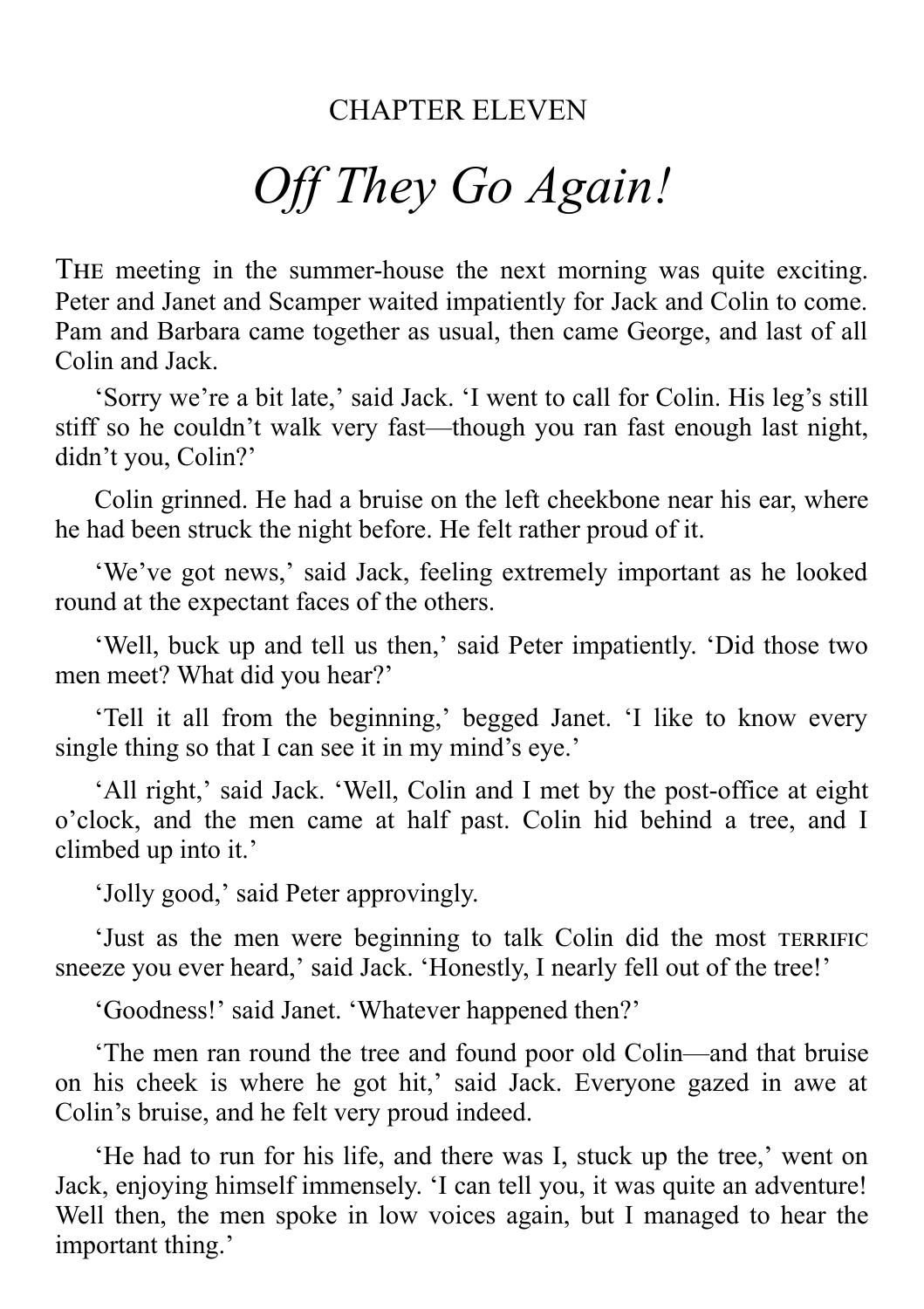#### CHAPTER ELEVEN

## *Off They Go Again!*

<span id="page-42-0"></span>THE meeting in the summer-house the next morning was quite exciting. Peter and Janet and Scamper waited impatiently for Jack and Colin to come. Pam and Barbara came together as usual, then came George, and last of all Colin and Jack.

'Sorry we're a bit late,' said Jack. 'I went to call for Colin. His leg's still stiff so he couldn't walk very fast—though you ran fast enough last night, didn't you, Colin?'

Colin grinned. He had a bruise on the left cheekbone near his ear, where he had been struck the night before. He felt rather proud of it.

'We've got news,' said Jack, feeling extremely important as he looked round at the expectant faces of the others.

'Well, buck up and tell us then,' said Peter impatiently. 'Did those two men meet? What did you hear?'

'Tell it all from the beginning,' begged Janet. 'I like to know every single thing so that I can see it in my mind's eye.'

'All right,' said Jack. 'Well, Colin and I met by the post-office at eight o'clock, and the men came at half past. Colin hid behind a tree, and I climbed up into it.'

'Jolly good,' said Peter approvingly.

'Just as the men were beginning to talk Colin did the most sneeze you ever heard,' said Jack. 'Honestly, I nearly fell out of the tree!'

'Goodness!' said Janet. 'Whatever happened then?'

'The men ran round the tree and found poor old Colin—and that bruise on his cheek is where he got hit,' said Jack. Everyone gazed in awe at Colin's bruise, and he felt very proud indeed.

'He had to run for his life, and there was I, stuck up the tree,' went on Jack, enjoying himself immensely. 'I can tell you, it was quite an adventure! Well then, the men spoke in low voices again, but I managed to hear the important thing.'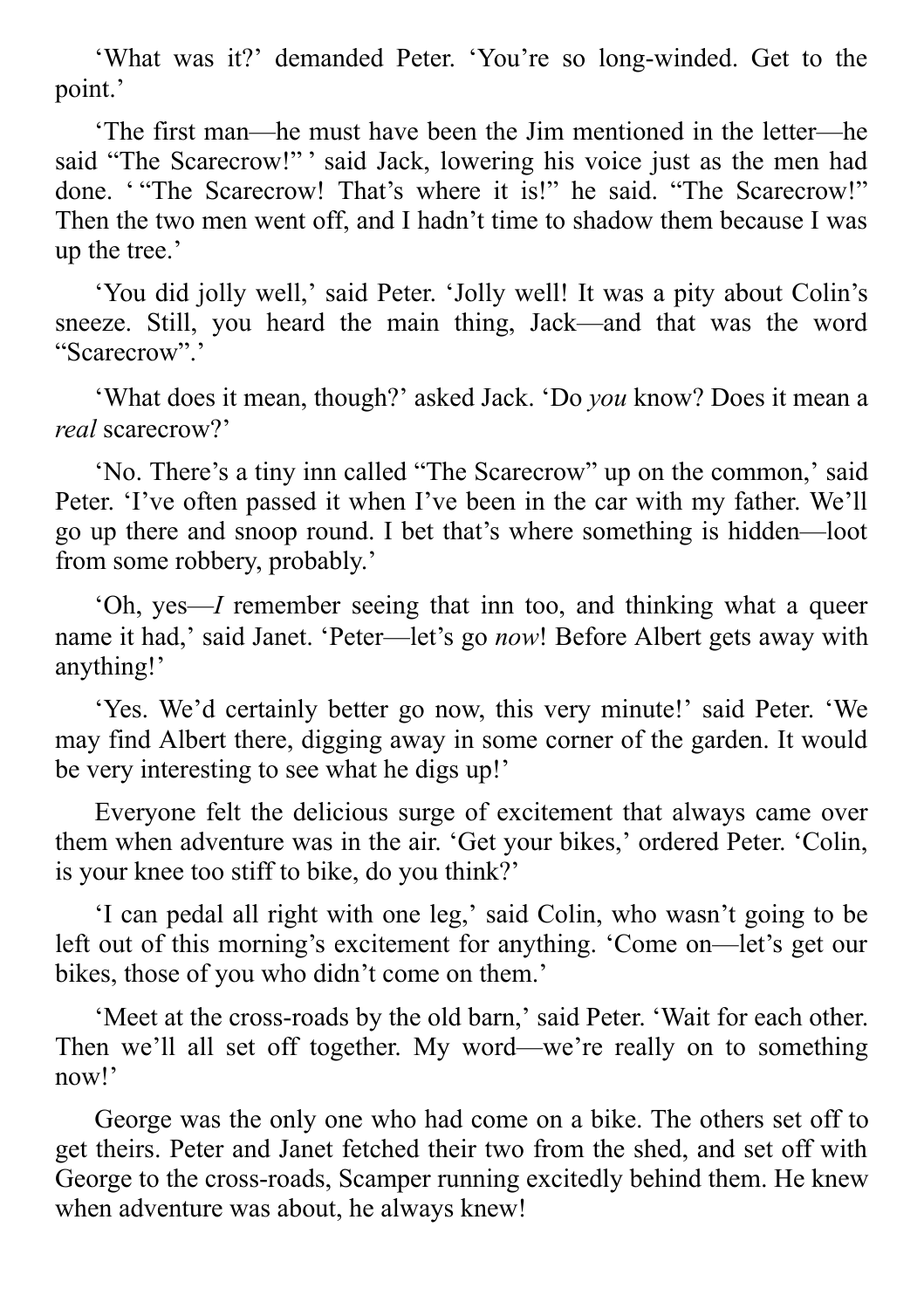'What was it?' demanded Peter. 'You're so long-winded. Get to the point.'

'The first man—he must have been the Jim mentioned in the letter—he said "The Scarecrow!" ' said Jack, lowering his voice just as the men had done. ' "The Scarecrow! That's where it is!" he said. "The Scarecrow!" Then the two men went off, and I hadn't time to shadow them because I was up the tree.'

'You did jolly well,' said Peter. 'Jolly well! It was a pity about Colin's sneeze. Still, you heard the main thing, Jack—and that was the word "Scarecrow".'

'What does it mean, though?' asked Jack. 'Do *you* know? Does it mean a *real* scarecrow?'

'No. There's a tiny inn called "The Scarecrow" up on the common,' said Peter. 'I've often passed it when I've been in the car with my father. We'll go up there and snoop round. I bet that's where something is hidden—loot from some robbery, probably.'

'Oh, yes—*I* remember seeing that inn too, and thinking what a queer name it had,' said Janet. 'Peter—let's go *now*! Before Albert gets away with anything!'

'Yes. We'd certainly better go now, this very minute!' said Peter. 'We may find Albert there, digging away in some corner of the garden. It would be very interesting to see what he digs up!'

Everyone felt the delicious surge of excitement that always came over them when adventure was in the air. 'Get your bikes,' ordered Peter. 'Colin, is your knee too stiff to bike, do you think?'

'I can pedal all right with one leg,' said Colin, who wasn't going to be left out of this morning's excitement for anything. 'Come on—let's get our bikes, those of you who didn't come on them.'

'Meet at the cross-roads by the old barn,' said Peter. 'Wait for each other. Then we'll all set off together. My word—we're really on to something now!'

George was the only one who had come on a bike. The others set off to get theirs. Peter and Janet fetched their two from the shed, and set off with George to the cross-roads, Scamper running excitedly behind them. He knew when adventure was about, he always knew!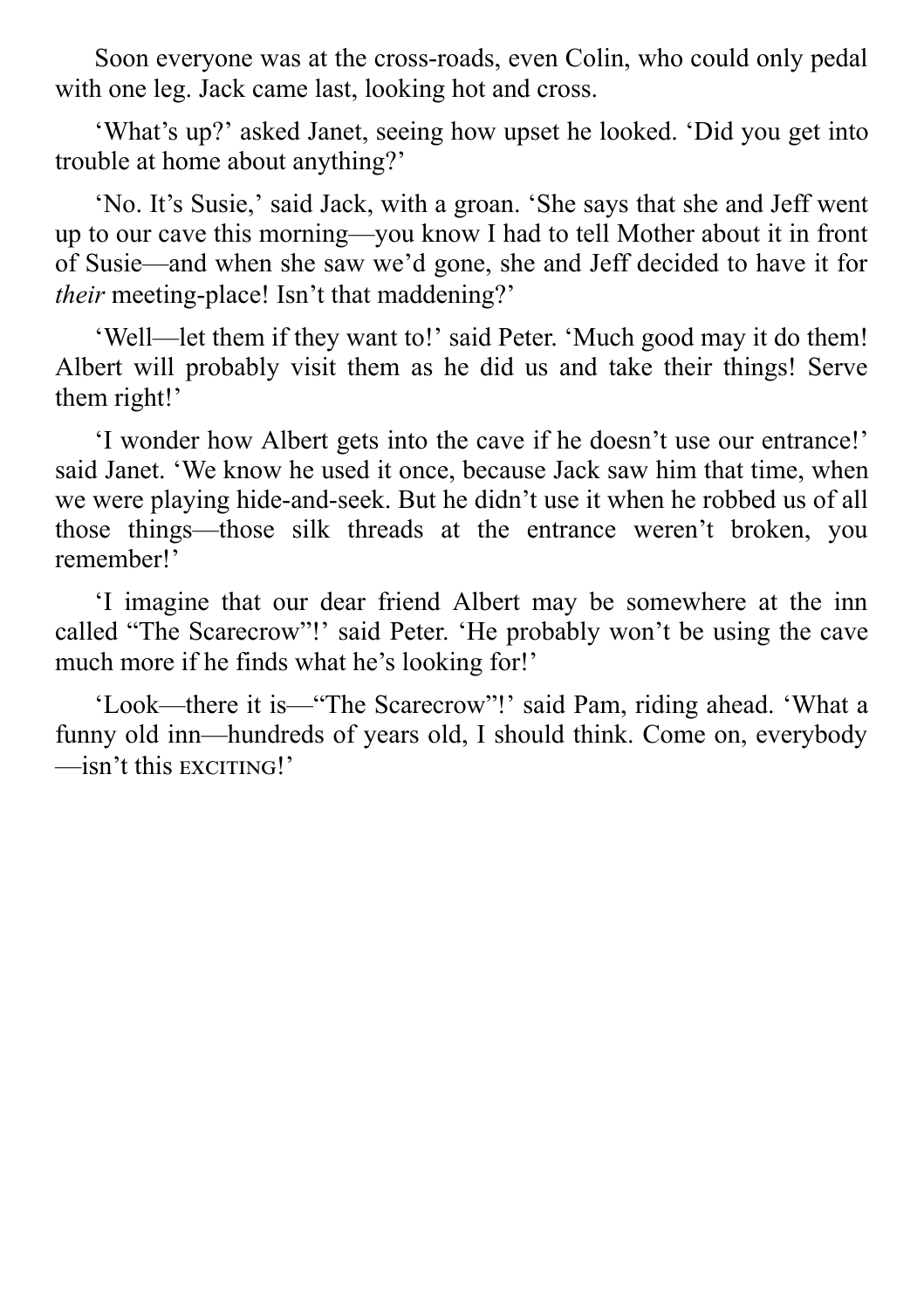Soon everyone was at the cross-roads, even Colin, who could only pedal with one leg. Jack came last, looking hot and cross.

'What's up?' asked Janet, seeing how upset he looked. 'Did you get into trouble at home about anything?'

'No. It's Susie,' said Jack, with a groan. 'She says that she and Jeff went up to our cave this morning—you know I had to tell Mother about it in front of Susie—and when she saw we'd gone, she and Jeff decided to have it for *their* meeting-place! Isn't that maddening?'

'Well—let them if they want to!' said Peter. 'Much good may it do them! Albert will probably visit them as he did us and take their things! Serve them right!'

'I wonder how Albert gets into the cave if he doesn't use our entrance!' said Janet. 'We know he used it once, because Jack saw him that time, when we were playing hide-and-seek. But he didn't use it when he robbed us of all those things—those silk threads at the entrance weren't broken, you remember!'

'I imagine that our dear friend Albert may be somewhere at the inn called "The Scarecrow"!' said Peter. 'He probably won't be using the cave much more if he finds what he's looking for!'

'Look—there it is—"The Scarecrow"!' said Pam, riding ahead. 'What a funny old inn—hundreds of years old, I should think. Come on, everybody  $-\sin'$ t this  $\arccos'$ '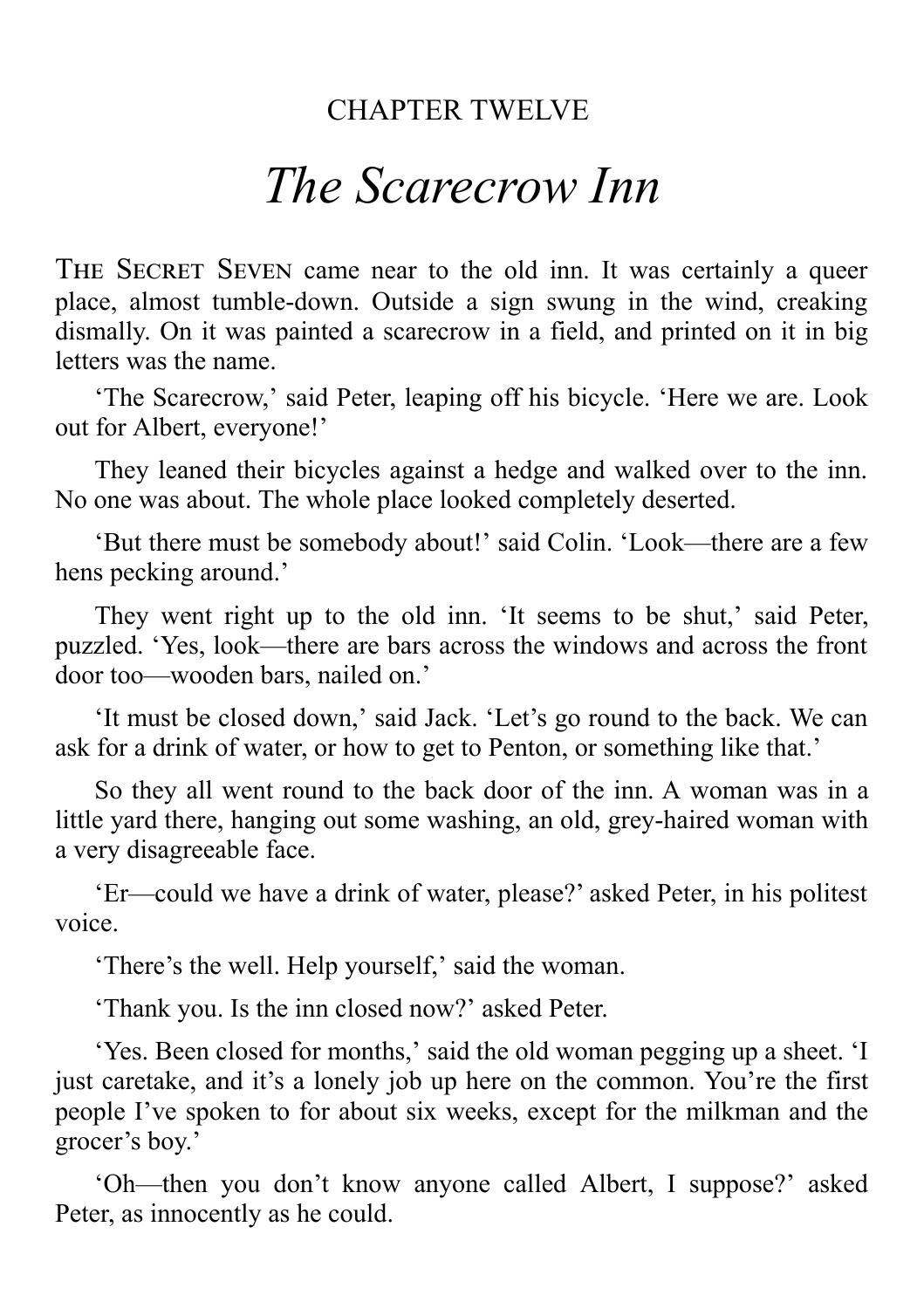#### CHAPTER TWELVE

## *The Scarecrow Inn*

<span id="page-45-0"></span>THE SECRET SEVEN came near to the old inn. It was certainly a queer place, almost tumble-down. Outside a sign swung in the wind, creaking dismally. On it was painted a scarecrow in a field, and printed on it in big letters was the name.

'The Scarecrow,' said Peter, leaping off his bicycle. 'Here we are. Look out for Albert, everyone!'

They leaned their bicycles against a hedge and walked over to the inn. No one was about. The whole place looked completely deserted.

'But there must be somebody about!' said Colin. 'Look—there are a few hens pecking around.'

They went right up to the old inn. 'It seems to be shut,' said Peter, puzzled. 'Yes, look—there are bars across the windows and across the front door too—wooden bars, nailed on.'

'It must be closed down,' said Jack. 'Let's go round to the back. We can ask for a drink of water, or how to get to Penton, or something like that.'

So they all went round to the back door of the inn. A woman was in a little yard there, hanging out some washing, an old, grey-haired woman with a very disagreeable face.

'Er—could we have a drink of water, please?' asked Peter, in his politest voice.

'There's the well. Help yourself,' said the woman.

'Thank you. Is the inn closed now?' asked Peter.

'Yes. Been closed for months,' said the old woman pegging up a sheet. 'I just caretake, and it's a lonely job up here on the common. You're the first people I've spoken to for about six weeks, except for the milkman and the grocer's boy.'

'Oh—then you don't know anyone called Albert, I suppose?' asked Peter, as innocently as he could.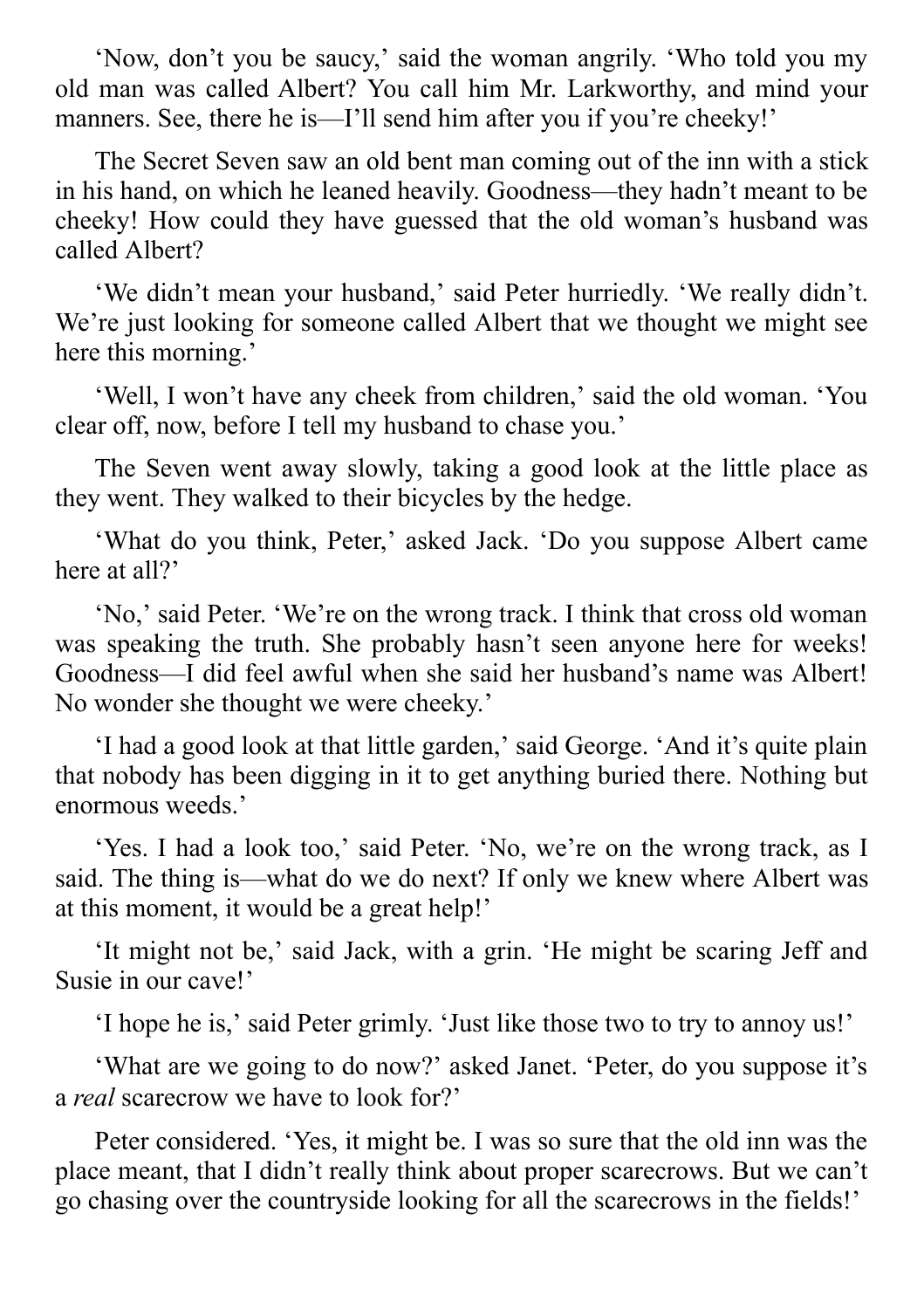'Now, don't you be saucy,' said the woman angrily. 'Who told you my old man was called Albert? You call him Mr. Larkworthy, and mind your manners. See, there he is—I'll send him after you if you're cheeky!'

The Secret Seven saw an old bent man coming out of the inn with a stick in his hand, on which he leaned heavily. Goodness—they hadn't meant to be cheeky! How could they have guessed that the old woman's husband was called Albert?

'We didn't mean your husband,' said Peter hurriedly. 'We really didn't. We're just looking for someone called Albert that we thought we might see here this morning.'

'Well, I won't have any cheek from children,' said the old woman. 'You clear off, now, before I tell my husband to chase you.'

The Seven went away slowly, taking a good look at the little place as they went. They walked to their bicycles by the hedge.

'What do you think, Peter,' asked Jack. 'Do you suppose Albert came here at all?'

'No,' said Peter. 'We're on the wrong track. I think that cross old woman was speaking the truth. She probably hasn't seen anyone here for weeks! Goodness—I did feel awful when she said her husband's name was Albert! No wonder she thought we were cheeky.'

'I had a good look at that little garden,' said George. 'And it's quite plain that nobody has been digging in it to get anything buried there. Nothing but enormous weeds.'

'Yes. I had a look too,' said Peter. 'No, we're on the wrong track, as I said. The thing is—what do we do next? If only we knew where Albert was at this moment, it would be a great help!'

'It might not be,' said Jack, with a grin. 'He might be scaring Jeff and Susie in our cave!'

'I hope he is,' said Peter grimly. 'Just like those two to try to annoy us!'

'What are we going to do now?' asked Janet. 'Peter, do you suppose it's a *real* scarecrow we have to look for?'

Peter considered. 'Yes, it might be. I was so sure that the old inn was the place meant, that I didn't really think about proper scarecrows. But we can't go chasing over the countryside looking for all the scarecrows in the fields!'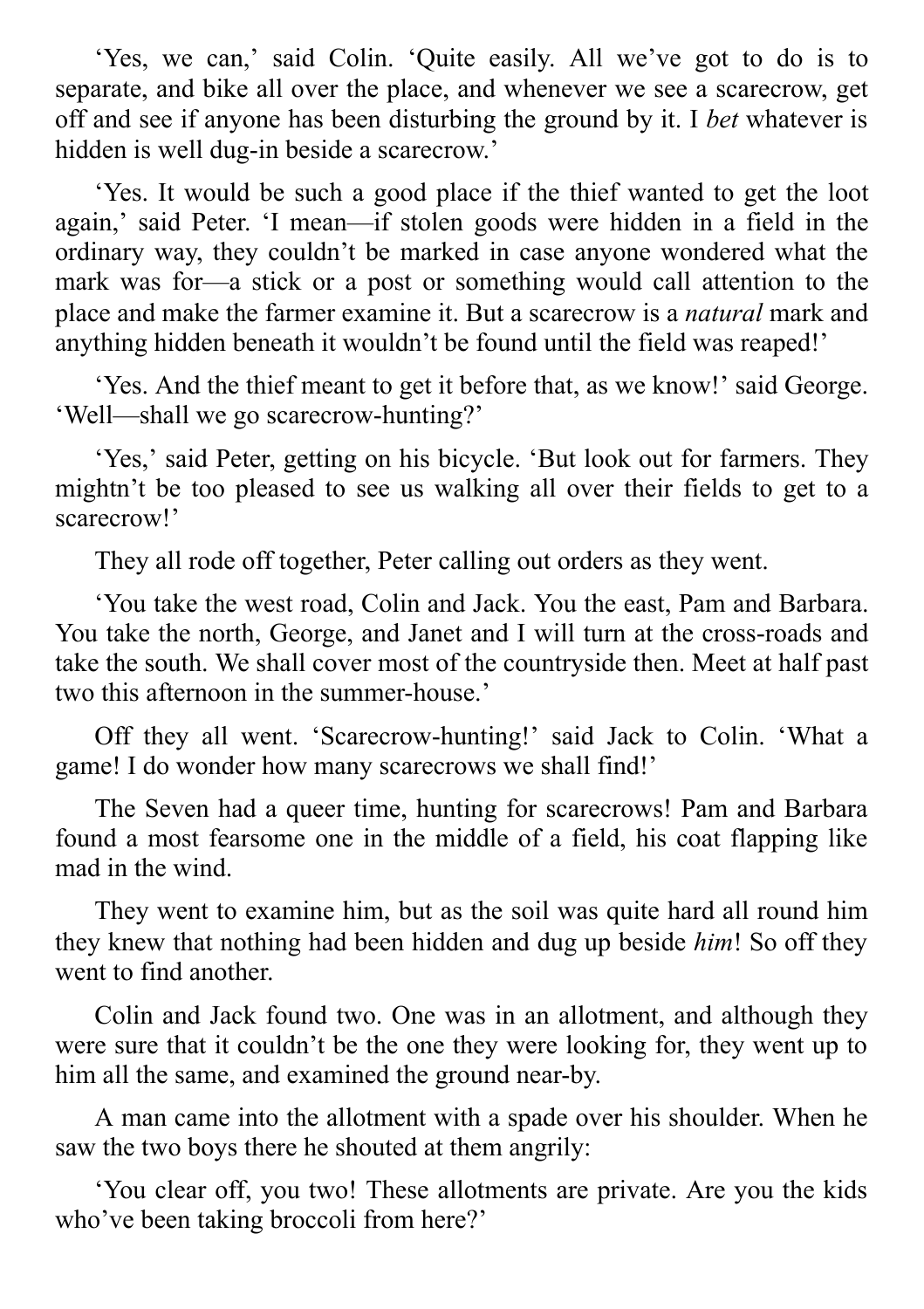'Yes, we can,' said Colin. 'Quite easily. All we've got to do is to separate, and bike all over the place, and whenever we see a scarecrow, get off and see if anyone has been disturbing the ground by it. I *bet* whatever is hidden is well dug-in beside a scarecrow.'

'Yes. It would be such a good place if the thief wanted to get the loot again,' said Peter. 'I mean—if stolen goods were hidden in a field in the ordinary way, they couldn't be marked in case anyone wondered what the mark was for—a stick or a post or something would call attention to the place and make the farmer examine it. But a scarecrow is a *natural* mark and anything hidden beneath it wouldn't be found until the field was reaped!'

'Yes. And the thief meant to get it before that, as we know!' said George. 'Well—shall we go scarecrow-hunting?'

'Yes,' said Peter, getting on his bicycle. 'But look out for farmers. They mightn't be too pleased to see us walking all over their fields to get to a scarecrow!'

They all rode off together, Peter calling out orders as they went.

'You take the west road, Colin and Jack. You the east, Pam and Barbara. You take the north, George, and Janet and I will turn at the cross-roads and take the south. We shall cover most of the countryside then. Meet at half past two this afternoon in the summer-house.'

Off they all went. 'Scarecrow-hunting!' said Jack to Colin. 'What a game! I do wonder how many scarecrows we shall find!'

The Seven had a queer time, hunting for scarecrows! Pam and Barbara found a most fearsome one in the middle of a field, his coat flapping like mad in the wind.

They went to examine him, but as the soil was quite hard all round him they knew that nothing had been hidden and dug up beside *him*! So off they went to find another.

Colin and Jack found two. One was in an allotment, and although they were sure that it couldn't be the one they were looking for, they went up to him all the same, and examined the ground near-by.

A man came into the allotment with a spade over his shoulder. When he saw the two boys there he shouted at them angrily:

'You clear off, you two! These allotments are private. Are you the kids who've been taking broccoli from here?'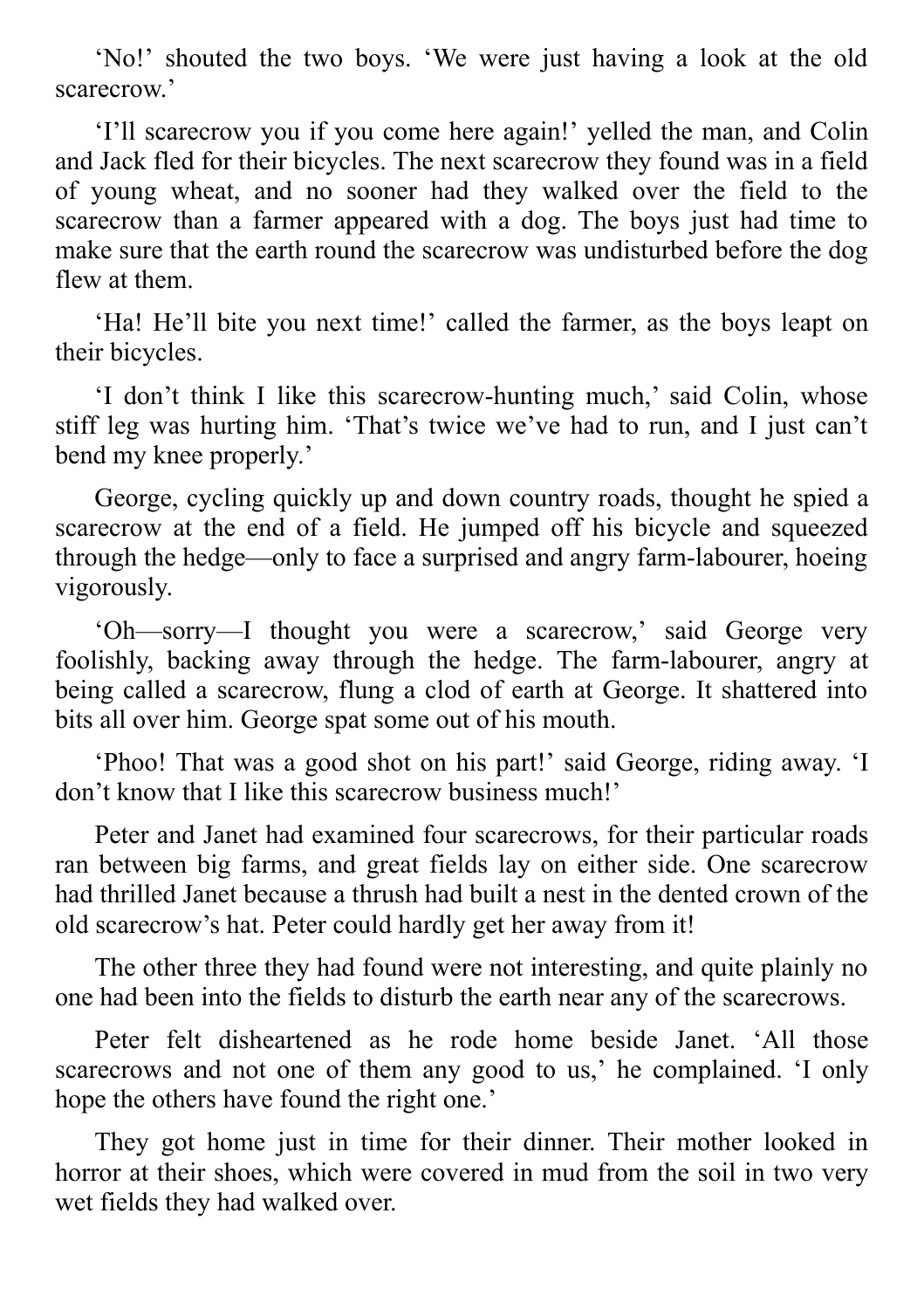'No!' shouted the two boys. 'We were just having a look at the old scarecrow.'

'I'll scarecrow you if you come here again!' yelled the man, and Colin and Jack fled for their bicycles. The next scarecrow they found was in a field of young wheat, and no sooner had they walked over the field to the scarecrow than a farmer appeared with a dog. The boys just had time to make sure that the earth round the scarecrow was undisturbed before the dog flew at them.

'Ha! He'll bite you next time!' called the farmer, as the boys leapt on their bicycles.

'I don't think I like this scarecrow-hunting much,' said Colin, whose stiff leg was hurting him. 'That's twice we've had to run, and I just can't bend my knee properly.'

George, cycling quickly up and down country roads, thought he spied a scarecrow at the end of a field. He jumped off his bicycle and squeezed through the hedge—only to face a surprised and angry farm-labourer, hoeing vigorously.

'Oh—sorry—I thought you were a scarecrow,' said George very foolishly, backing away through the hedge. The farm-labourer, angry at being called a scarecrow, flung a clod of earth at George. It shattered into bits all over him. George spat some out of his mouth.

'Phoo! That was a good shot on his part!' said George, riding away. 'I don't know that I like this scarecrow business much!'

Peter and Janet had examined four scarecrows, for their particular roads ran between big farms, and great fields lay on either side. One scarecrow had thrilled Janet because a thrush had built a nest in the dented crown of the old scarecrow's hat. Peter could hardly get her away from it!

The other three they had found were not interesting, and quite plainly no one had been into the fields to disturb the earth near any of the scarecrows.

Peter felt disheartened as he rode home beside Janet. 'All those scarecrows and not one of them any good to us,' he complained. 'I only hope the others have found the right one.'

They got home just in time for their dinner. Their mother looked in horror at their shoes, which were covered in mud from the soil in two very wet fields they had walked over.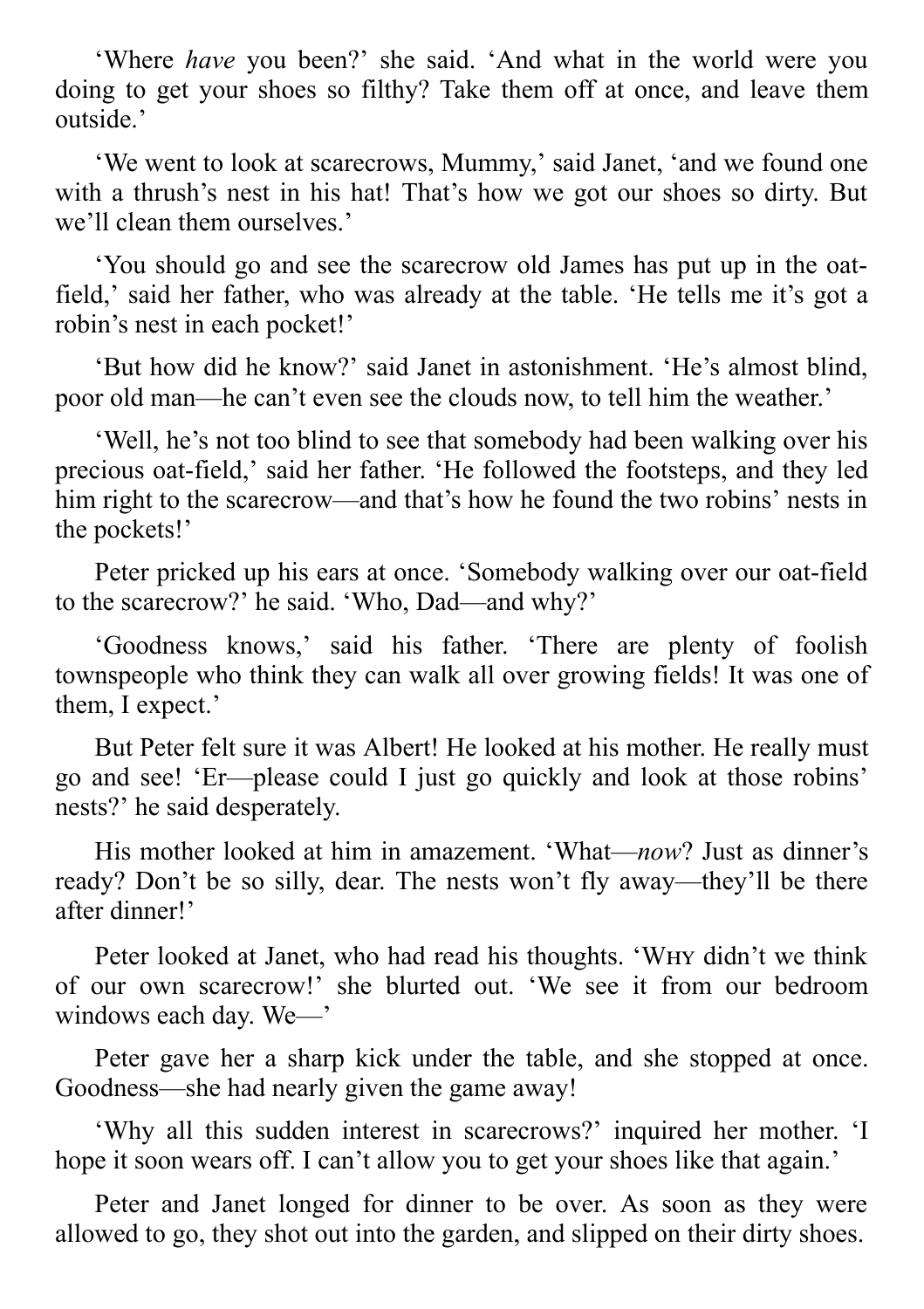'Where *have* you been?' she said. 'And what in the world were you doing to get your shoes so filthy? Take them off at once, and leave them outside.'

'We went to look at scarecrows, Mummy,' said Janet, 'and we found one with a thrush's nest in his hat! That's how we got our shoes so dirty. But we'll clean them ourselves.'

'You should go and see the scarecrow old James has put up in the oatfield,' said her father, who was already at the table. 'He tells me it's got a robin's nest in each pocket!'

'But how did he know?' said Janet in astonishment. 'He's almost blind, poor old man—he can't even see the clouds now, to tell him the weather.'

'Well, he's not too blind to see that somebody had been walking over his precious oat-field,' said her father. 'He followed the footsteps, and they led him right to the scarecrow—and that's how he found the two robins' nests in the pockets!'

Peter pricked up his ears at once. 'Somebody walking over our oat-field to the scarecrow?' he said. 'Who, Dad—and why?'

'Goodness knows,' said his father. 'There are plenty of foolish townspeople who think they can walk all over growing fields! It was one of them, I expect.'

But Peter felt sure it was Albert! He looked at his mother. He really must go and see! 'Er—please could I just go quickly and look at those robins' nests?' he said desperately.

His mother looked at him in amazement. 'What—*now*? Just as dinner's ready? Don't be so silly, dear. The nests won't fly away—they'll be there after dinner!'

Peter looked at Janet, who had read his thoughts. 'WHY didn't we think of our own scarecrow!' she blurted out. 'We see it from our bedroom windows each day. We—'

Peter gave her a sharp kick under the table, and she stopped at once. Goodness—she had nearly given the game away!

'Why all this sudden interest in scarecrows?' inquired her mother. 'I hope it soon wears off. I can't allow you to get your shoes like that again.'

Peter and Janet longed for dinner to be over. As soon as they were allowed to go, they shot out into the garden, and slipped on their dirty shoes.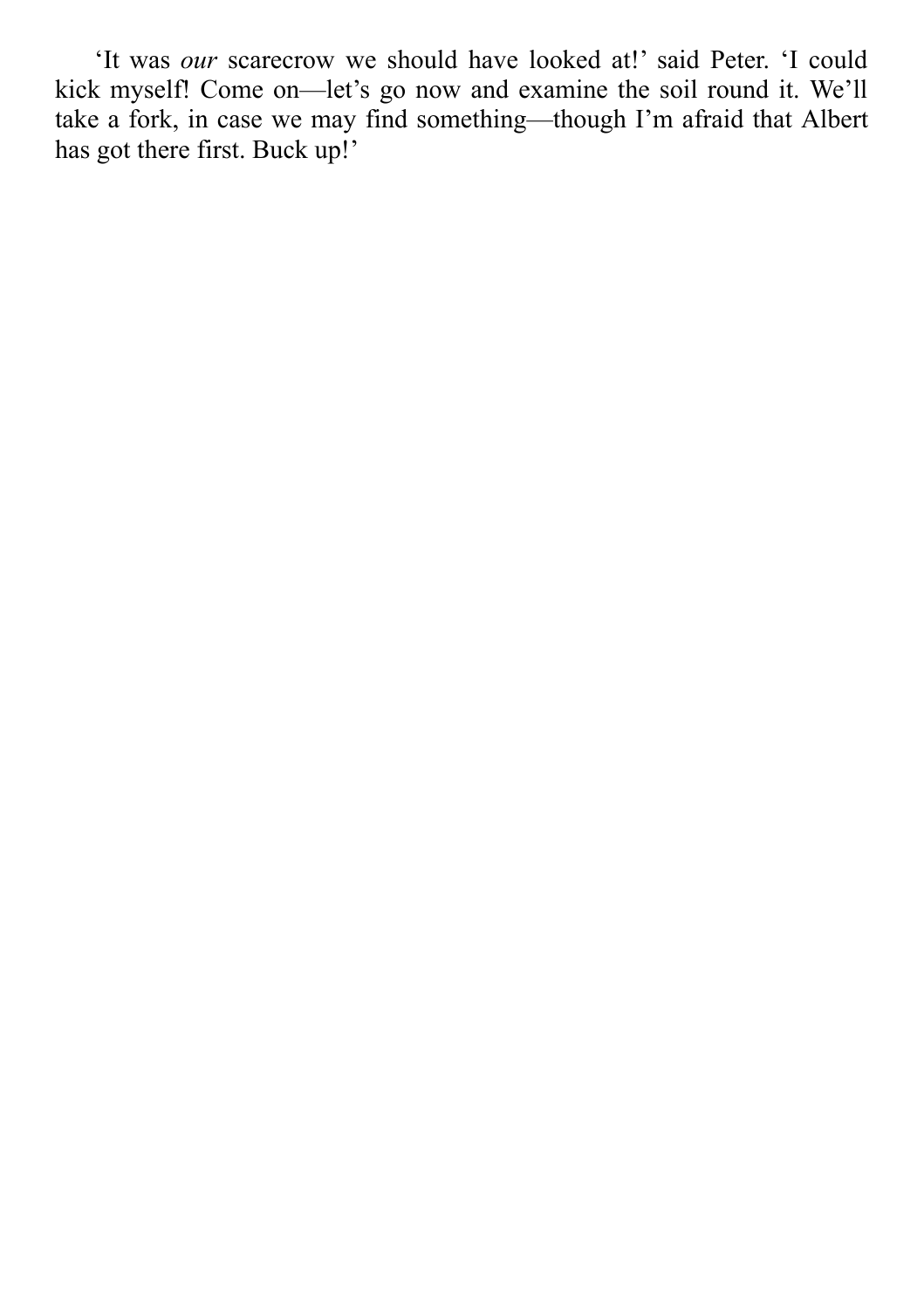'It was our scarecrow we should have looked at!' said Peter. 'I could kick myself! Come on—let's go now and examine the soil round it. We'll take a fork, in case we may find something—though I'm afraid that Albert has got there first. Buck up!'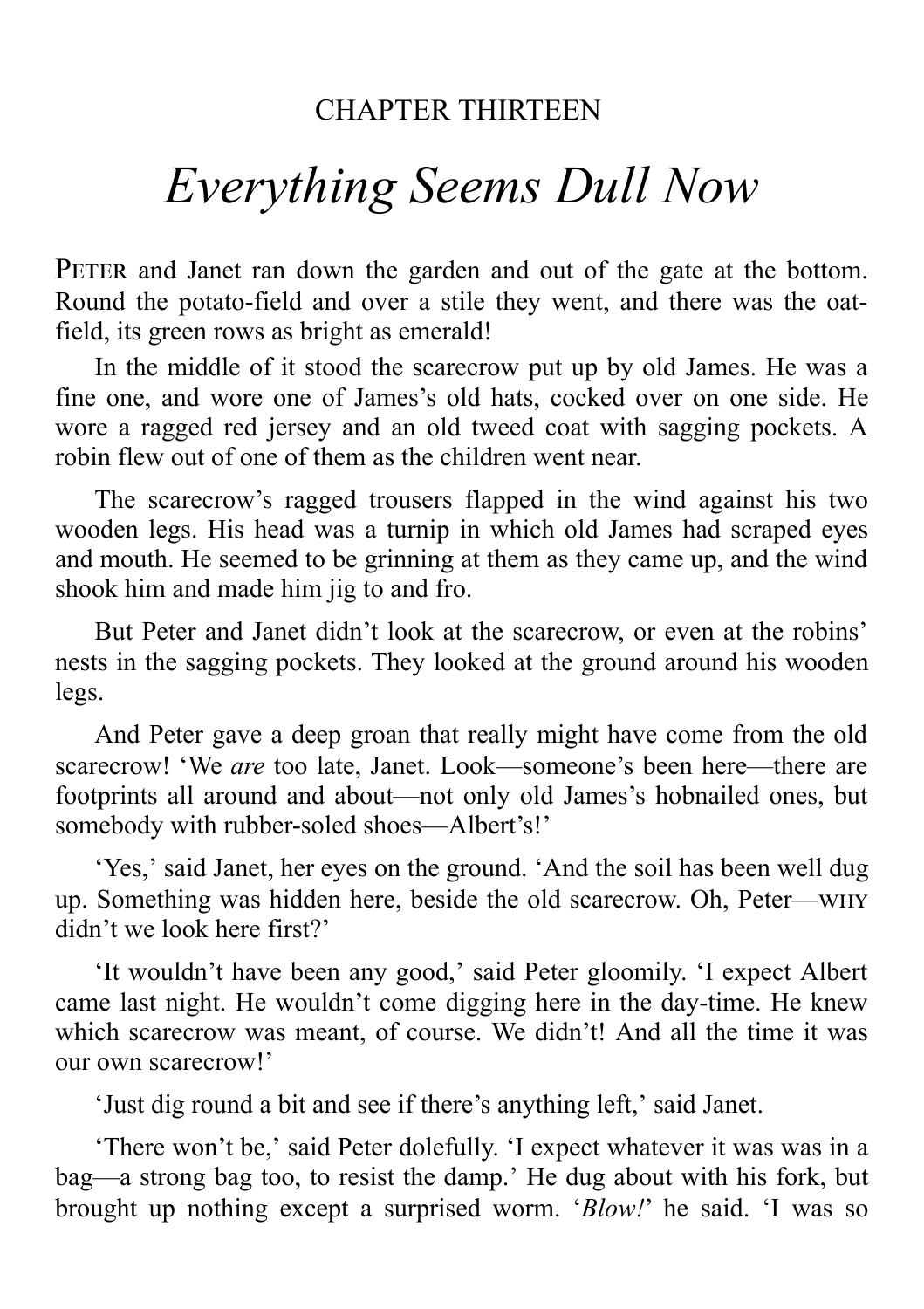#### CHAPTER THIRTEEN

## <span id="page-51-0"></span>*Everything Seems Dull Now*

PETER and Janet ran down the garden and out of the gate at the bottom. Round the potato-field and over a stile they went, and there was the oatfield, its green rows as bright as emerald!

In the middle of it stood the scarecrow put up by old James. He was a fine one, and wore one of James's old hats, cocked over on one side. He wore a ragged red jersey and an old tweed coat with sagging pockets. A robin flew out of one of them as the children went near.

The scarecrow's ragged trousers flapped in the wind against his two wooden legs. His head was a turnip in which old James had scraped eyes and mouth. He seemed to be grinning at them as they came up, and the wind shook him and made him jig to and fro.

But Peter and Janet didn't look at the scarecrow, or even at the robins' nests in the sagging pockets. They looked at the ground around his wooden legs.

And Peter gave a deep groan that really might have come from the old scarecrow! 'We *are* too late, Janet. Look—someone's been here—there are footprints all around and about—not only old James's hobnailed ones, but somebody with rubber-soled shoes—Albert's!'

'Yes,' said Janet, her eyes on the ground. 'And the soil has been well dug up. Something was hidden here, beside the old scarecrow. Oh, Peter didn't we look here first?'

'It wouldn't have been any good,' said Peter gloomily. 'I expect Albert came last night. He wouldn't come digging here in the day-time. He knew which scarecrow was meant, of course. We didn't! And all the time it was our own scarecrow!'

'Just dig round a bit and see if there's anything left,' said Janet.

'There won't be,' said Peter dolefully. 'I expect whatever it was was in a bag—a strong bag too, to resist the damp.' He dug about with his fork, but brought up nothing except a surprised worm. '*Blow!*' he said. 'I was so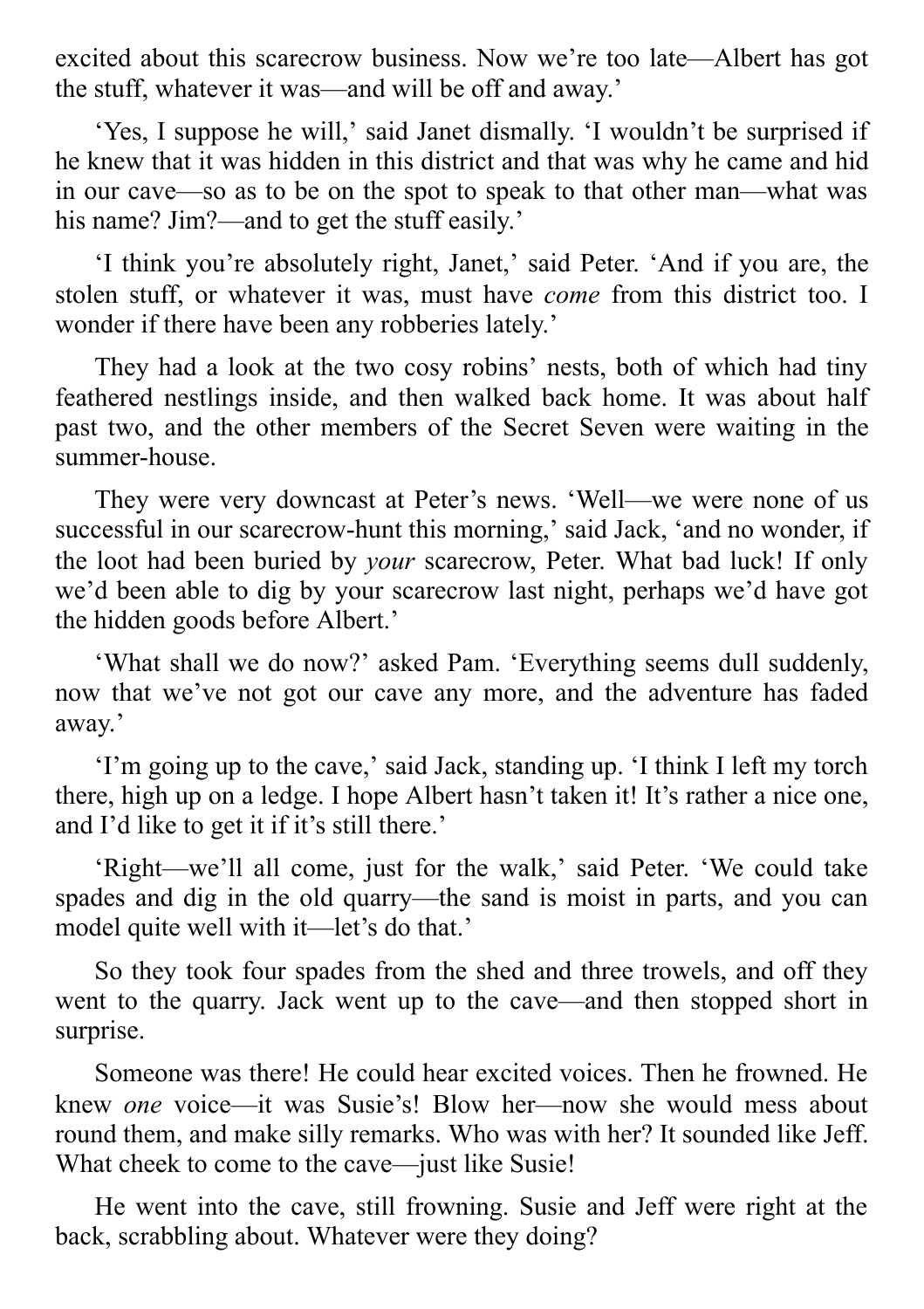excited about this scarecrow business. Now we're too late—Albert has got the stuff, whatever it was—and will be off and away.'

'Yes, I suppose he will,' said Janet dismally. 'I wouldn't be surprised if he knew that it was hidden in this district and that was why he came and hid in our cave—so as to be on the spot to speak to that other man—what was his name? Jim?—and to get the stuff easily.'

'I think you're absolutely right, Janet,' said Peter. 'And if you are, the stolen stuff, or whatever it was, must have *come* from this district too. I wonder if there have been any robberies lately.'

They had a look at the two cosy robins' nests, both of which had tiny feathered nestlings inside, and then walked back home. It was about half past two, and the other members of the Secret Seven were waiting in the summer-house.

They were very downcast at Peter's news. 'Well—we were none of us successful in our scarecrow-hunt this morning,' said Jack, 'and no wonder, if the loot had been buried by *your* scarecrow, Peter. What bad luck! If only we'd been able to dig by your scarecrow last night, perhaps we'd have got the hidden goods before Albert.'

'What shall we do now?' asked Pam. 'Everything seems dull suddenly, now that we've not got our cave any more, and the adventure has faded away.'

'I'm going up to the cave,' said Jack, standing up. 'I think I left my torch there, high up on a ledge. I hope Albert hasn't taken it! It's rather a nice one, and I'd like to get it if it's still there.'

'Right—we'll all come, just for the walk,' said Peter. 'We could take spades and dig in the old quarry—the sand is moist in parts, and you can model quite well with it—let's do that.'

So they took four spades from the shed and three trowels, and off they went to the quarry. Jack went up to the cave—and then stopped short in surprise.

Someone was there! He could hear excited voices. Then he frowned. He knew *one* voice—it was Susie's! Blow her—now she would mess about round them, and make silly remarks. Who was with her? It sounded like Jeff. What cheek to come to the cave—just like Susie!

He went into the cave, still frowning. Susie and Jeff were right at the back, scrabbling about. Whatever were they doing?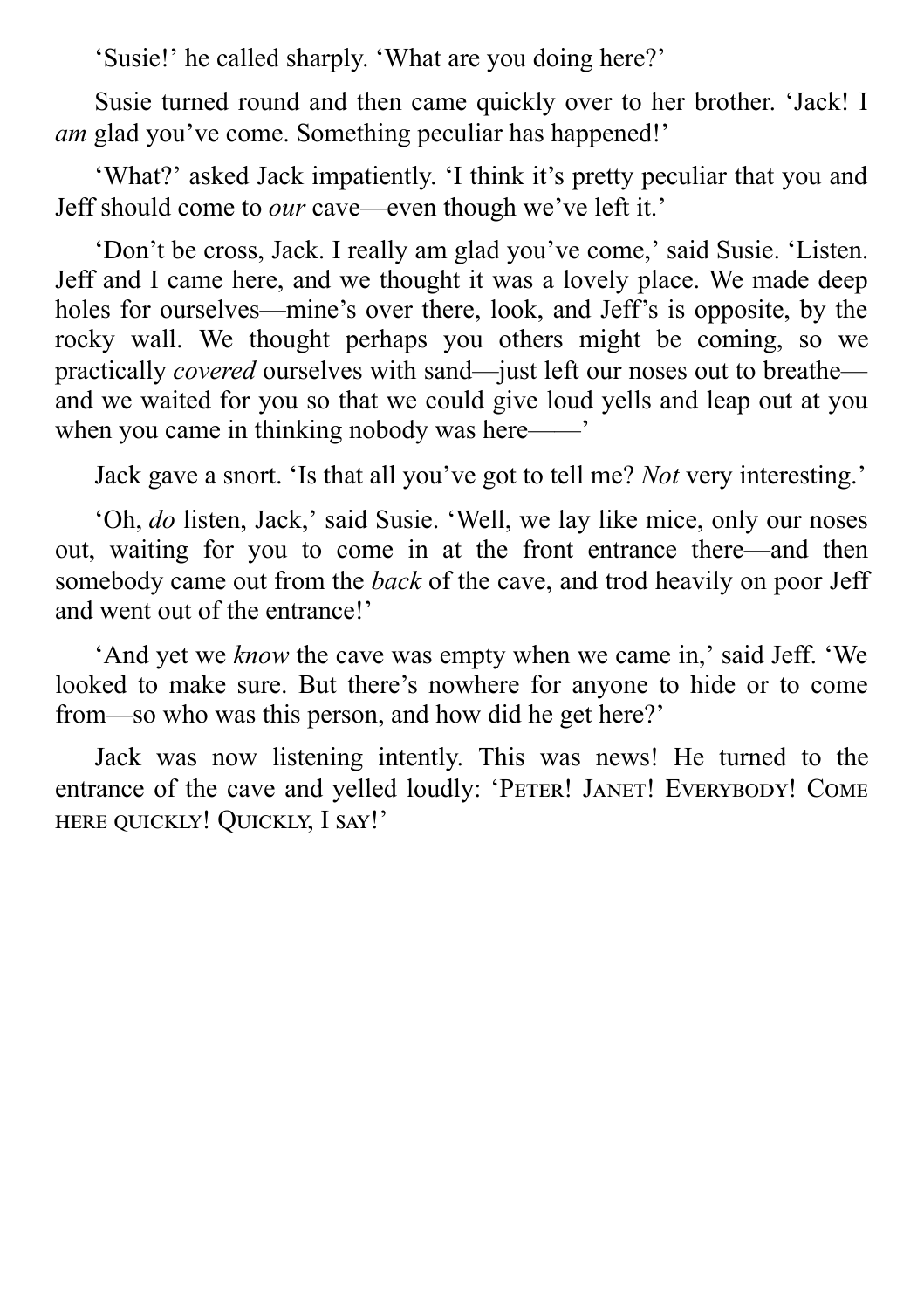'Susie!' he called sharply. 'What are you doing here?'

Susie turned round and then came quickly over to her brother. 'Jack! I *am* glad you've come. Something peculiar has happened!'

'What?' asked Jack impatiently. 'I think it's pretty peculiar that you and Jeff should come to *our* cave—even though we've left it.'

'Don't be cross, Jack. I really am glad you've come,' said Susie. 'Listen. Jeff and I came here, and we thought it was a lovely place. We made deep holes for ourselves—mine's over there, look, and Jeff's is opposite, by the rocky wall. We thought perhaps you others might be coming, so we practically *covered* ourselves with sand—just left our noses out to breathe and we waited for you so that we could give loud yells and leap out at you when you came in thinking nobody was here—— $\dot{\phantom{a}}$ 

Jack gave a snort. 'Is that all you've got to tell me? *Not* very interesting.'

'Oh, *do* listen, Jack,' said Susie. 'Well, we lay like mice, only our noses out, waiting for you to come in at the front entrance there—and then somebody came out from the *back* of the cave, and trod heavily on poor Jeff and went out of the entrance!'

'And yet we *know* the cave was empty when we came in,' said Jeff. 'We looked to make sure. But there's nowhere for anyone to hide or to come from—so who was this person, and how did he get here?'

Jack was now listening intently. This was news! He turned to the entrance of the cave and yelled loudly: 'PETER! JANET! EVERYBODY! COME HERE QUICKLY! QUICKLY, I SAY!'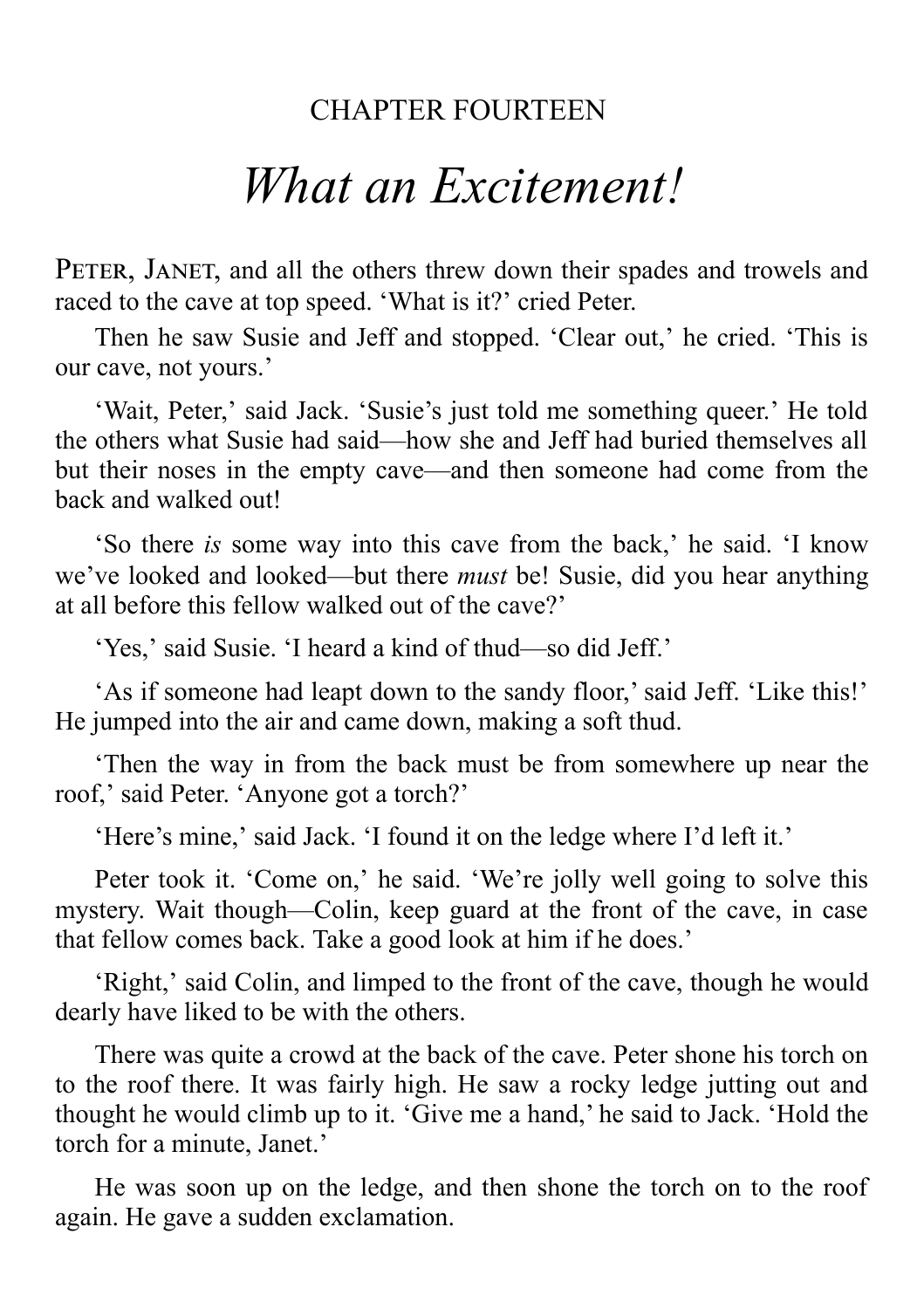#### CHAPTER FOURTEEN

## *What an Excitement!*

<span id="page-54-0"></span>PETER, JANET, and all the others threw down their spades and trowels and raced to the cave at top speed. 'What is it?' cried Peter.

Then he saw Susie and Jeff and stopped. 'Clear out,' he cried. 'This is our cave, not yours.'

'Wait, Peter,' said Jack. 'Susie's just told me something queer.' He told the others what Susie had said—how she and Jeff had buried themselves all but their noses in the empty cave—and then someone had come from the back and walked out!

'So there *is* some way into this cave from the back,' he said. 'I know we've looked and looked—but there *must* be! Susie, did you hear anything at all before this fellow walked out of the cave?'

'Yes,' said Susie. 'I heard a kind of thud—so did Jeff.'

'As if someone had leapt down to the sandy floor,' said Jeff. 'Like this!' He jumped into the air and came down, making a soft thud.

'Then the way in from the back must be from somewhere up near the roof,' said Peter. 'Anyone got a torch?'

'Here's mine,' said Jack. 'I found it on the ledge where I'd left it.'

Peter took it. 'Come on,' he said. 'We're jolly well going to solve this mystery. Wait though—Colin, keep guard at the front of the cave, in case that fellow comes back. Take a good look at him if he does.'

'Right,' said Colin, and limped to the front of the cave, though he would dearly have liked to be with the others.

There was quite a crowd at the back of the cave. Peter shone his torch on to the roof there. It was fairly high. He saw a rocky ledge jutting out and thought he would climb up to it. 'Give me a hand,' he said to Jack. 'Hold the torch for a minute, Janet.'

He was soon up on the ledge, and then shone the torch on to the roof again. He gave a sudden exclamation.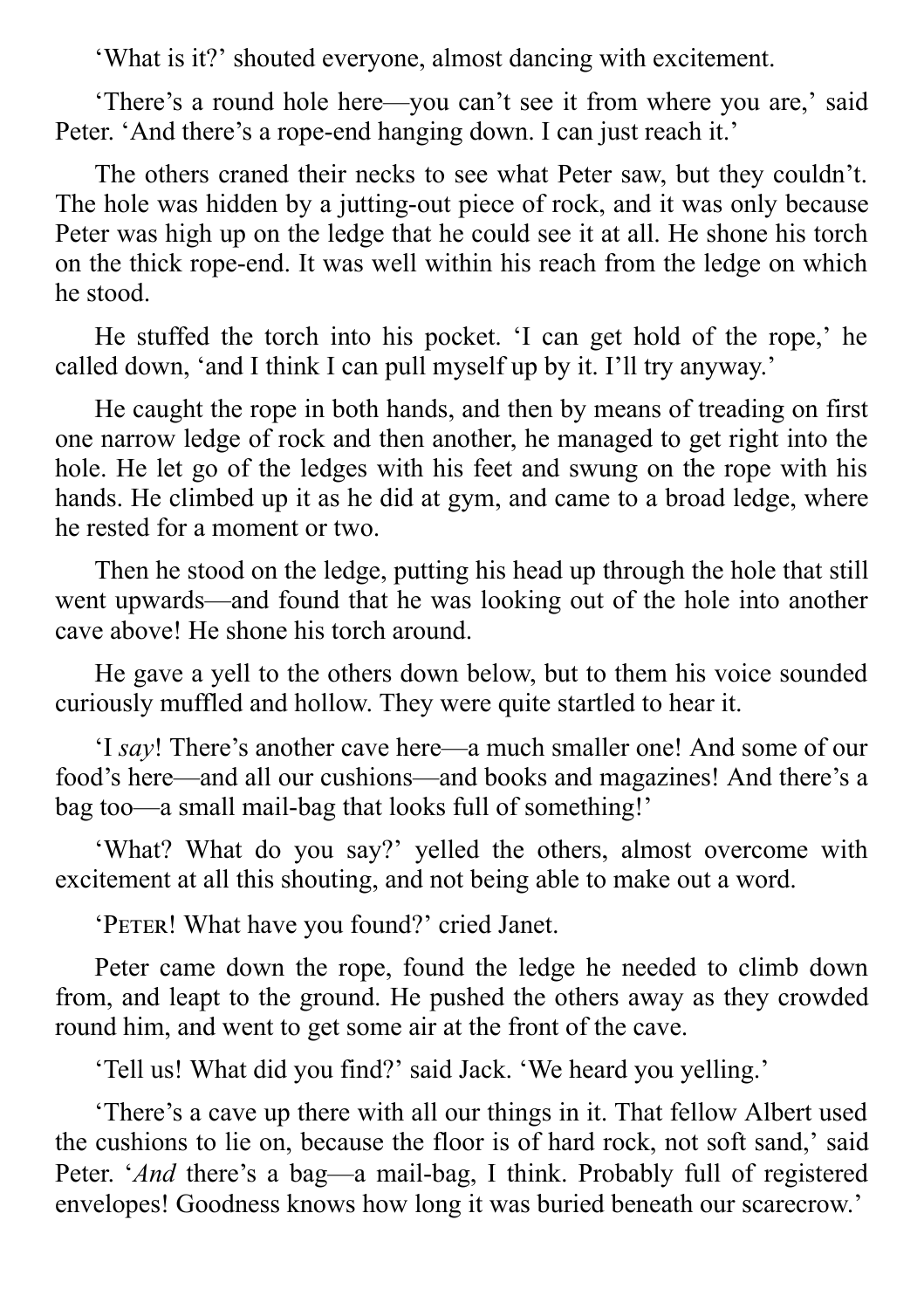'What is it?' shouted everyone, almost dancing with excitement.

'There's a round hole here—you can't see it from where you are,' said Peter. 'And there's a rope-end hanging down. I can just reach it.'

The others craned their necks to see what Peter saw, but they couldn't. The hole was hidden by a jutting-out piece of rock, and it was only because Peter was high up on the ledge that he could see it at all. He shone his torch on the thick rope-end. It was well within his reach from the ledge on which he stood.

He stuffed the torch into his pocket. 'I can get hold of the rope,' he called down, 'and I think I can pull myself up by it. I'll try anyway.'

He caught the rope in both hands, and then by means of treading on first one narrow ledge of rock and then another, he managed to get right into the hole. He let go of the ledges with his feet and swung on the rope with his hands. He climbed up it as he did at gym, and came to a broad ledge, where he rested for a moment or two.

Then he stood on the ledge, putting his head up through the hole that still went upwards—and found that he was looking out of the hole into another cave above! He shone his torch around.

He gave a yell to the others down below, but to them his voice sounded curiously muffled and hollow. They were quite startled to hear it.

'I *say*! There's another cave here—a much smaller one! And some of our food's here—and all our cushions—and books and magazines! And there's a bag too—a small mail-bag that looks full of something!'

'What? What do you say?' yelled the others, almost overcome with excitement at all this shouting, and not being able to make out a word.

'PETER! What have you found?' cried Janet.

Peter came down the rope, found the ledge he needed to climb down from, and leapt to the ground. He pushed the others away as they crowded round him, and went to get some air at the front of the cave.

'Tell us! What did you find?' said Jack. 'We heard you yelling.'

'There's a cave up there with all our things in it. That fellow Albert used the cushions to lie on, because the floor is of hard rock, not soft sand,' said Peter. '*And* there's a bag—a mail-bag, I think. Probably full of registered envelopes! Goodness knows how long it was buried beneath our scarecrow.'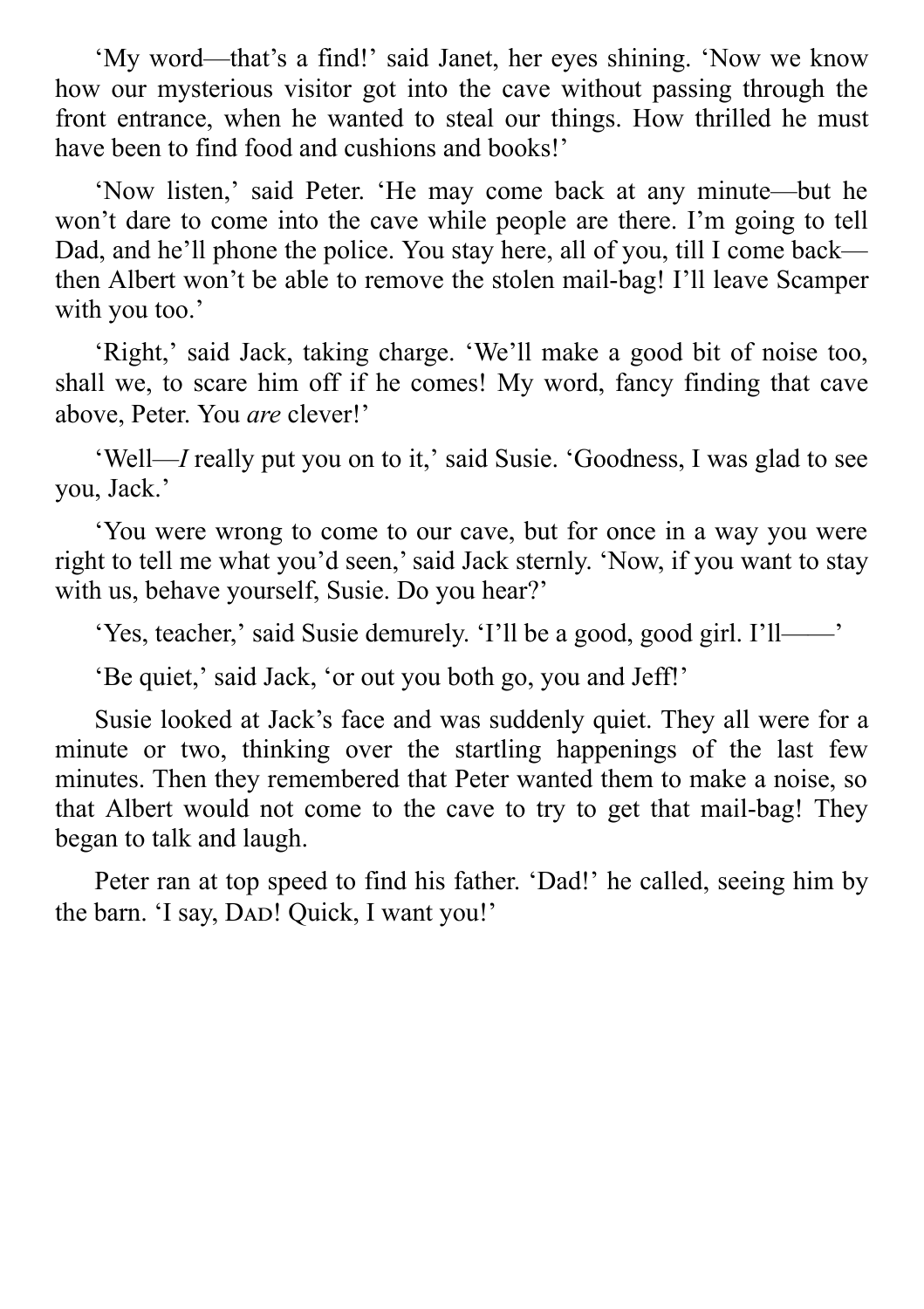'My word—that's a find!' said Janet, her eyes shining. 'Now we know how our mysterious visitor got into the cave without passing through the front entrance, when he wanted to steal our things. How thrilled he must have been to find food and cushions and books!'

'Now listen,' said Peter. 'He may come back at any minute—but he won't dare to come into the cave while people are there. I'm going to tell Dad, and he'll phone the police. You stay here, all of you, till I come back then Albert won't be able to remove the stolen mail-bag! I'll leave Scamper with you too.'

'Right,' said Jack, taking charge. 'We'll make a good bit of noise too, shall we, to scare him off if he comes! My word, fancy finding that cave above, Peter. You *are* clever!'

'Well—*I* really put you on to it,' said Susie. 'Goodness, I was glad to see you, Jack.'

'You were wrong to come to our cave, but for once in a way you were right to tell me what you'd seen,'said Jack sternly. 'Now, if you want to stay with us, behave yourself, Susie. Do you hear?'

'Yes, teacher,' said Susie demurely. 'I'll be a good, good girl. I'll——'

'Be quiet,' said Jack, 'or out you both go, you and Jeff!'

Susie looked at Jack's face and was suddenly quiet. They all were for a minute or two, thinking over the startling happenings of the last few minutes. Then they remembered that Peter wanted them to make a noise, so that Albert would not come to the cave to try to get that mail-bag! They began to talk and laugh.

Peter ran at top speed to find his father. 'Dad!' he called, seeing him by the barn. 'I say, DAD! Quick, I want you!'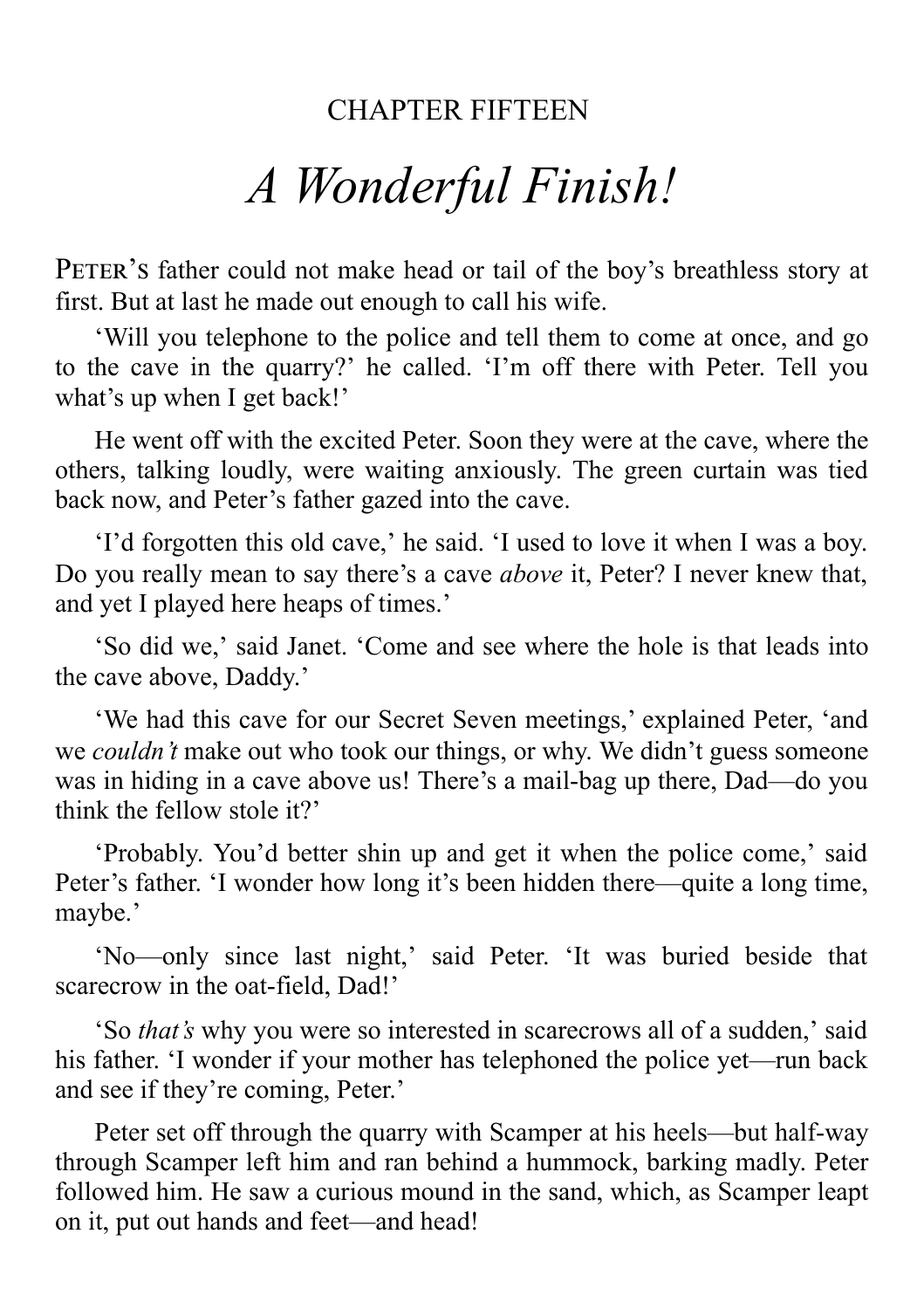#### CHAPTER FIFTEEN

## *A Wonderful Finish!*

<span id="page-57-0"></span>PETER'S father could not make head or tail of the boy's breathless story at first. But at last he made out enough to call his wife.

'Will you telephone to the police and tell them to come at once, and go to the cave in the quarry?' he called. 'I'm off there with Peter. Tell you what's up when I get back!'

He went off with the excited Peter. Soon they were at the cave, where the others, talking loudly, were waiting anxiously. The green curtain was tied back now, and Peter's father gazed into the cave.

'I'd forgotten this old cave,' he said. 'I used to love it when I was a boy. Do you really mean to say there's a cave *above* it, Peter? I never knew that, and yet I played here heaps of times.'

'So did we,' said Janet. 'Come and see where the hole is that leads into the cave above, Daddy.'

'We had this cave for our Secret Seven meetings,' explained Peter, 'and we *couldn't* make out who took our things, or why. We didn't guess someone was in hiding in a cave above us! There's a mail-bag up there, Dad—do you think the fellow stole it?'

'Probably. You'd better shin up and get it when the police come,' said Peter's father. 'I wonder how long it's been hidden there—quite a long time, maybe.'

'No—only since last night,' said Peter. 'It was buried beside that scarecrow in the oat-field, Dad!'

'So *that's* why you were so interested in scarecrows all of a sudden,' said his father. 'I wonder if your mother has telephoned the police yet—run back and see if they're coming, Peter.'

Peter set off through the quarry with Scamper at his heels—but half-way through Scamper left him and ran behind a hummock, barking madly. Peter followed him. He saw a curious mound in the sand, which, as Scamper leapt on it, put out hands and feet—and head!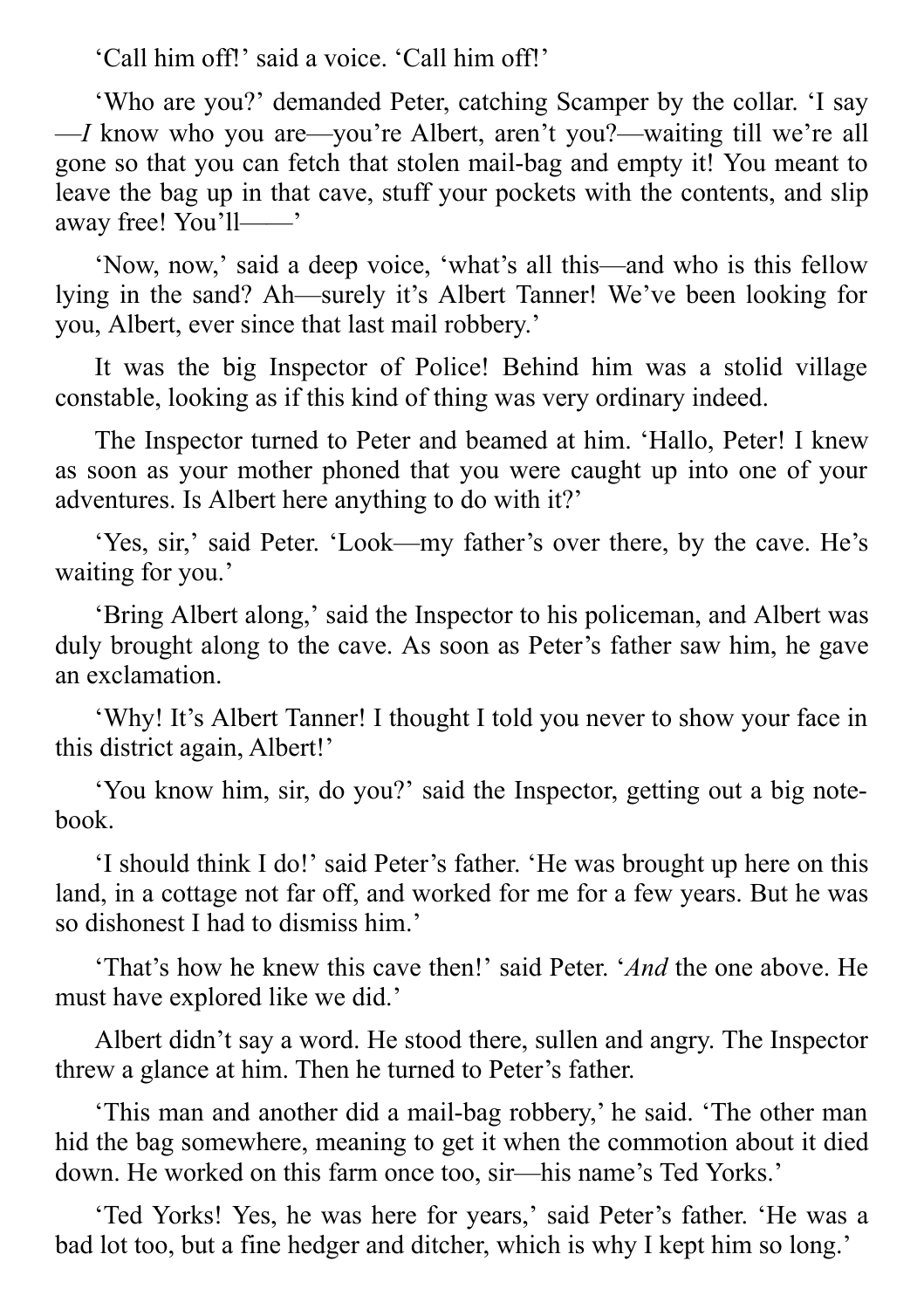'Call him off!' said a voice. 'Call him off!'

'Who are you?' demanded Peter, catching Scamper by the collar. 'I say —*I* know who you are—you're Albert, aren't you?—waiting till we're all gone so that you can fetch that stolen mail-bag and empty it! You meant to leave the bag up in that cave, stuff your pockets with the contents, and slip away free! You'll——'

'Now, now,' said a deep voice, 'what's all this—and who is this fellow lying in the sand? Ah—surely it's Albert Tanner! We've been looking for you, Albert, ever since that last mail robbery.'

It was the big Inspector of Police! Behind him was a stolid village constable, looking as if this kind of thing was very ordinary indeed.

The Inspector turned to Peter and beamed at him. 'Hallo, Peter! I knew as soon as your mother phoned that you were caught up into one of your adventures. Is Albert here anything to do with it?'

'Yes, sir,' said Peter. 'Look—my father's over there, by the cave. He's waiting for you.'

'Bring Albert along,' said the Inspector to his policeman, and Albert was duly brought along to the cave. As soon as Peter's father saw him, he gave an exclamation.

'Why! It's Albert Tanner! I thought I told you never to show your face in this district again, Albert!'

'You know him, sir, do you?' said the Inspector, getting out a big notebook.

'I should think I do!' said Peter's father. 'He was brought up here on this land, in a cottage not far off, and worked for me for a few years. But he was so dishonest I had to dismiss him.'

'That's how he knew this cave then!' said Peter. '*And* the one above. He must have explored like we did.'

Albert didn't say a word. He stood there, sullen and angry. The Inspector threw a glance at him. Then he turned to Peter's father.

'This man and another did a mail-bag robbery,' he said. 'The other man hid the bag somewhere, meaning to get it when the commotion about it died down. He worked on this farm once too, sir—his name's Ted Yorks.'

'Ted Yorks! Yes, he was here for years,' said Peter's father. 'He was a bad lot too, but a fine hedger and ditcher, which is why I kept him so long.'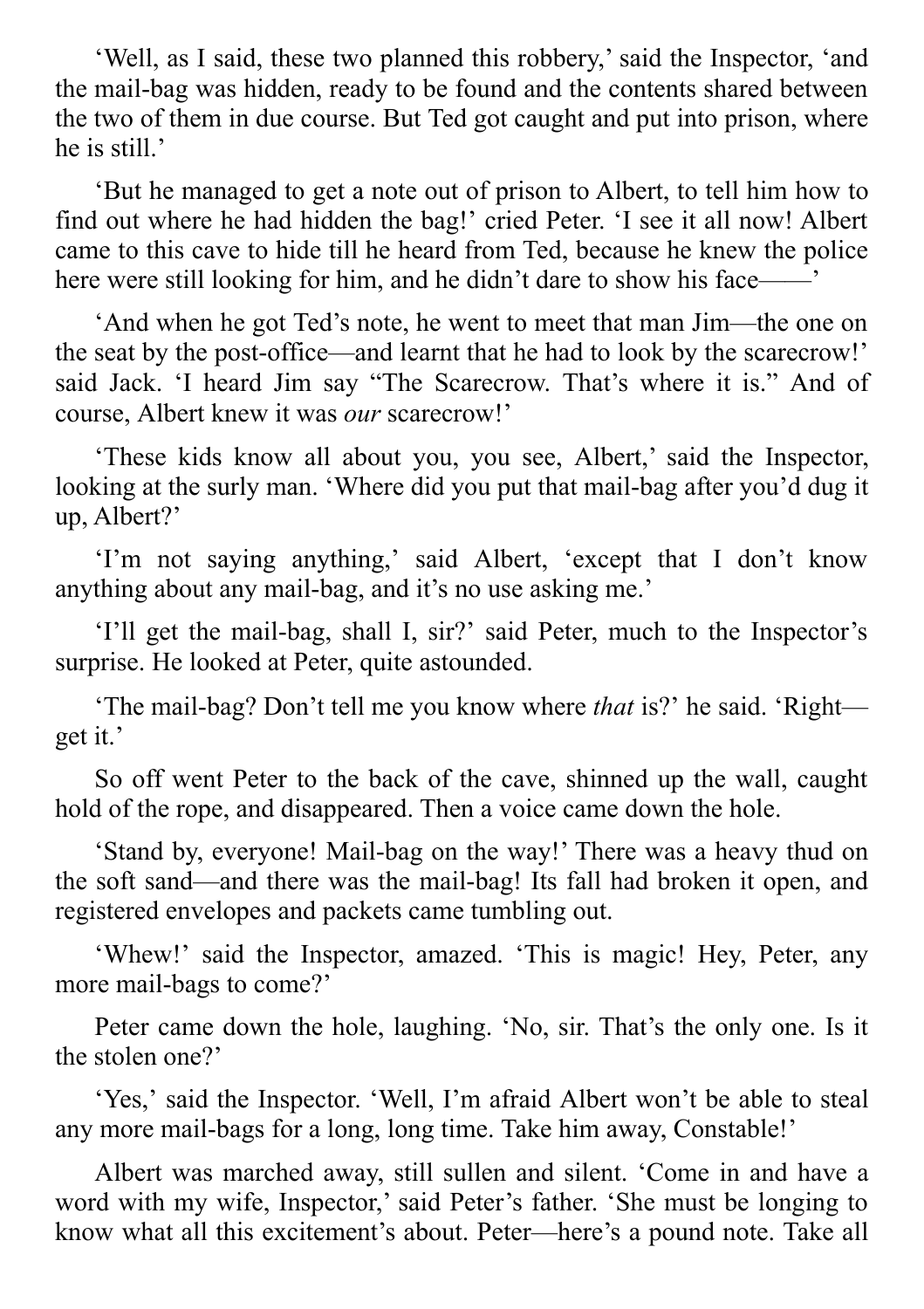'Well, as I said, these two planned this robbery,' said the Inspector, 'and the mail-bag was hidden, ready to be found and the contents shared between the two of them in due course. But Ted got caught and put into prison, where he is still.'

'But he managed to get a note out of prison to Albert, to tell him how to find out where he had hidden the bag!' cried Peter. 'I see it all now! Albert came to this cave to hide till he heard from Ted, because he knew the police here were still looking for him, and he didn't dare to show his face——'

'And when he got Ted's note, he went to meet that man Jim—the one on the seat by the post-office—and learnt that he had to look by the scarecrow!' said Jack. 'I heard Jim say "The Scarecrow. That's where it is." And of course, Albert knew it was *our* scarecrow!'

'These kids know all about you, you see, Albert,' said the Inspector, looking at the surly man. 'Where did you put that mail-bag after you'd dug it up, Albert?'

'I'm not saying anything,' said Albert, 'except that I don't know anything about any mail-bag, and it's no use asking me.'

'I'll get the mail-bag, shall I, sir?' said Peter, much to the Inspector's surprise. He looked at Peter, quite astounded.

'The mail-bag? Don't tell me you know where *that* is?' he said. 'Right get it.'

So off went Peter to the back of the cave, shinned up the wall, caught hold of the rope, and disappeared. Then a voice came down the hole.

'Stand by, everyone! Mail-bag on the way!' There was a heavy thud on the soft sand—and there was the mail-bag! Its fall had broken it open, and registered envelopes and packets came tumbling out.

'Whew!' said the Inspector, amazed. 'This is magic! Hey, Peter, any more mail-bags to come?'

Peter came down the hole, laughing. 'No, sir. That's the only one. Is it the stolen one?'

'Yes,' said the Inspector. 'Well, I'm afraid Albert won't be able to steal any more mail-bags for a long, long time. Take him away, Constable!'

Albert was marched away, still sullen and silent. 'Come in and have a word with my wife, Inspector,' said Peter's father. 'She must be longing to know what all this excitement's about. Peter—here's a pound note. Take all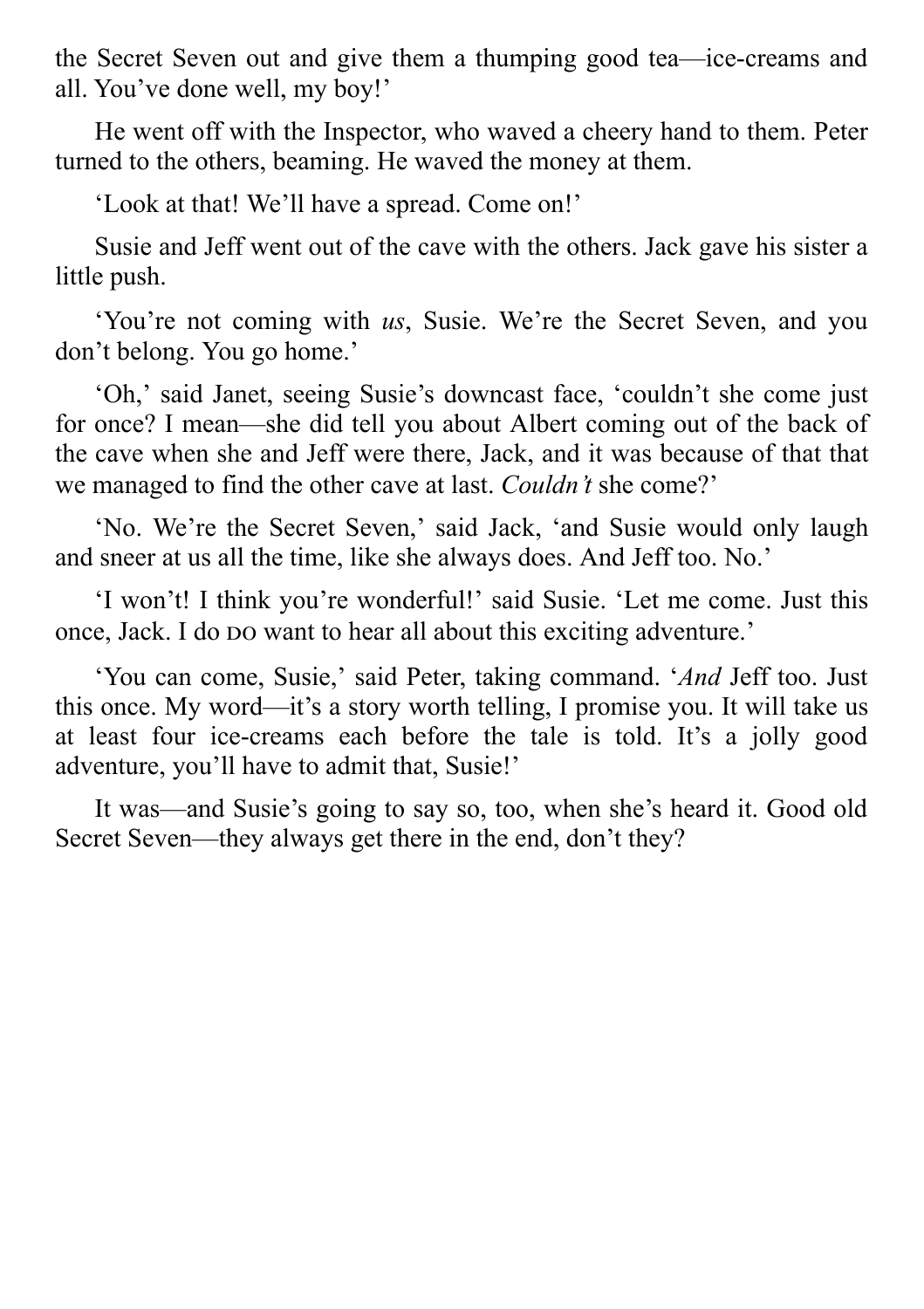the Secret Seven out and give them a thumping good tea—ice-creams and all. You've done well, my boy!'

He went off with the Inspector, who waved a cheery hand to them. Peter turned to the others, beaming. He waved the money at them.

'Look at that! We'll have a spread. Come on!'

Susie and Jeff went out of the cave with the others. Jack gave his sister a little push.

'You're not coming with *us*, Susie. We're the Secret Seven, and you don't belong. You go home.'

'Oh,' said Janet, seeing Susie's downcast face, 'couldn't she come just for once? I mean—she did tell you about Albert coming out of the back of the cave when she and Jeff were there, Jack, and it was because of that that we managed to find the other cave at last. *Couldn't* she come?'

'No. We're the Secret Seven,' said Jack, 'and Susie would only laugh and sneer at us all the time, like she always does. And Jeff too. No.'

'I won't! I think you're wonderful!' said Susie. 'Let me come. Just this once. Jack. I do DO want to hear all about this exciting adventure.'

'You can come, Susie,' said Peter, taking command. '*And* Jeff too. Just this once. My word—it's a story worth telling, I promise you. It will take us at least four ice-creams each before the tale is told. It's a jolly good adventure, you'll have to admit that, Susie!'

It was—and Susie's going to say so, too, when she's heard it. Good old Secret Seven—they always get there in the end, don't they?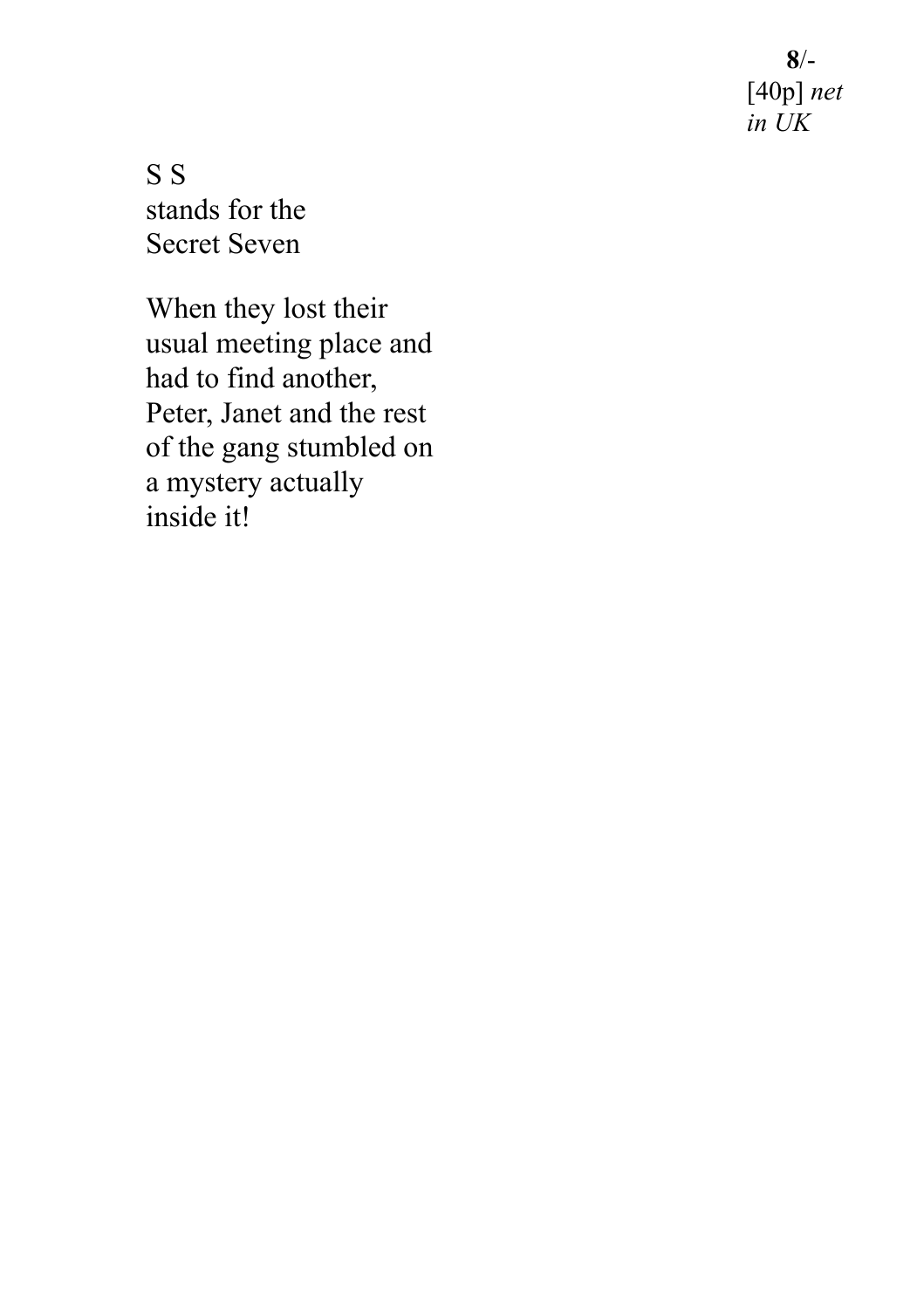**8** / - [40p] net *i n UK*

S S stands for the Secret Seven

When they lost their usual meeting place and had to find another , Peter, Janet and the rest of the gang stumbled on a mystery actually inside it!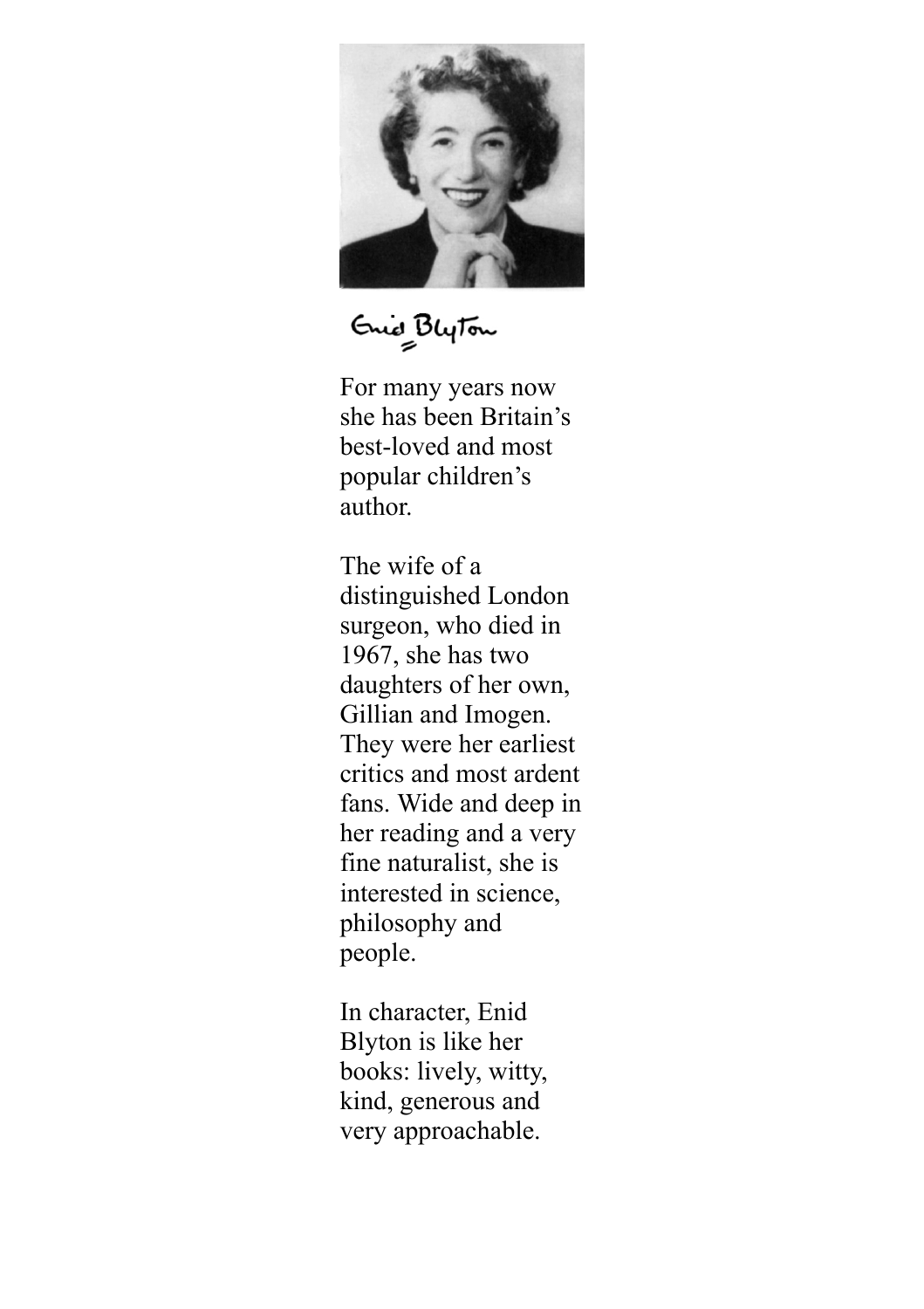

Enice Blyton

For many years now she has been Britain's best-loved and most popular children's author.

The wife of a distinguished London surgeon, who died in 1967, she has two daughters of her own, Gillian and Imogen. They were her earliest critics and most ardent fans. Wide and deep in her reading and a very fine naturalist, she is interested in science, philosophy and people.

In character, Enid Blyton is like her books: lively, witty, kind, generous and very approachable.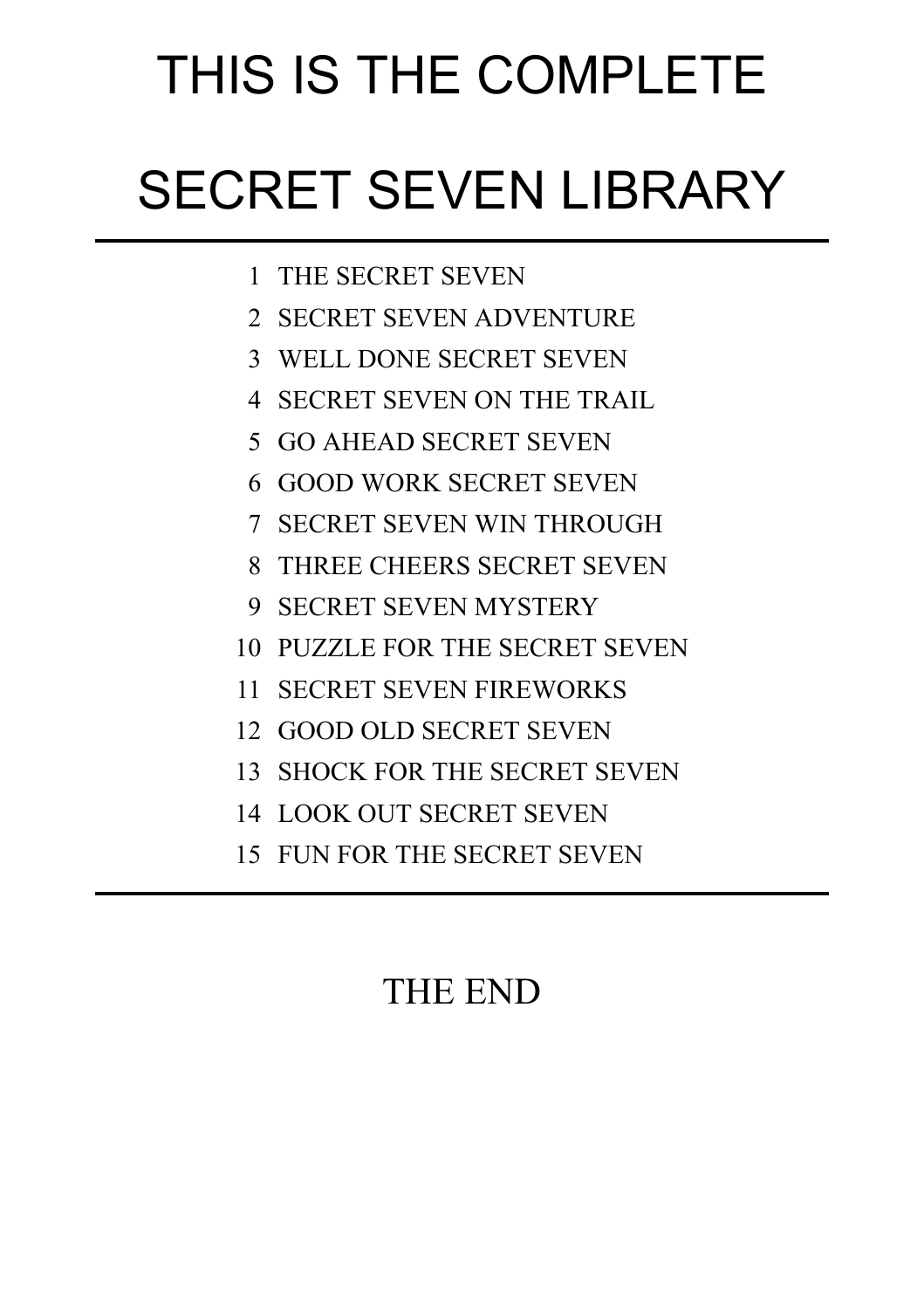## THIS IS THE COMPLETE

# SECRET SEVEN LIBRARY

- THE SECRET SEVEN
- SECRET SEVEN ADVENTURE
- WELL DONE SECRET SEVEN
- SECRET SEVEN ON THE TRAIL
- GO AHEAD SECRET SEVEN
- GOOD WORK SECRET SEVEN
- SECRET SEVEN WIN THROUGH
- THREE CHEERS SECRET SEVEN
- SECRET SEVEN MYSTERY
- PUZZLE FOR THE SECRET SEVEN
- SECRET SEVEN FIREWORKS
- GOOD OLD SECRET SEVEN
- SHOCK FOR THE SECRET SEVEN
- LOOK OUT SECRET SEVEN
- FUN FOR THE SECRET SEVEN

## THE END